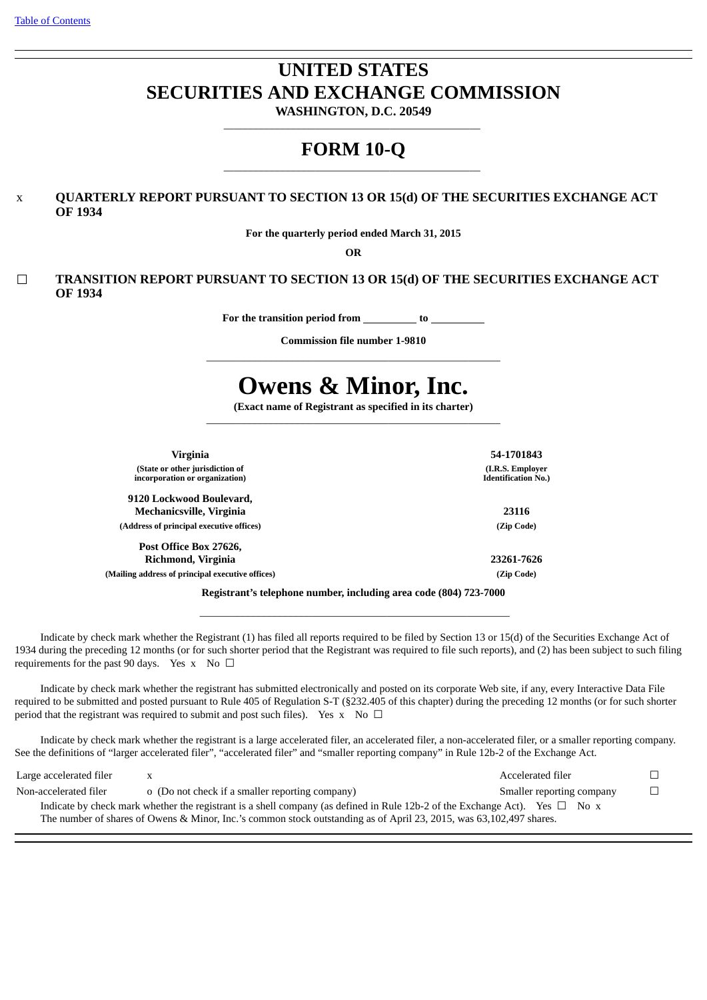# **UNITED STATES SECURITIES AND EXCHANGE COMMISSION**

**WASHINGTON, D.C. 20549** \_\_\_\_\_\_\_\_\_\_\_\_\_\_\_\_\_\_\_\_\_\_\_\_\_\_\_\_\_\_\_\_\_\_\_\_\_\_\_\_\_\_\_\_\_\_\_\_

# **FORM 10-Q** \_\_\_\_\_\_\_\_\_\_\_\_\_\_\_\_\_\_\_\_\_\_\_\_\_\_\_\_\_\_\_\_\_\_\_\_\_\_\_\_\_\_\_\_\_\_\_\_

### x **QUARTERLY REPORT PURSUANT TO SECTION 13 OR 15(d) OF THE SECURITIES EXCHANGE ACT OF 1934**

**For the quarterly period ended March 31, 2015**

**OR**

### ☐ **TRANSITION REPORT PURSUANT TO SECTION 13 OR 15(d) OF THE SECURITIES EXCHANGE ACT OF 1934**

**For the transition period from to**

**Commission file number 1-9810** \_\_\_\_\_\_\_\_\_\_\_\_\_\_\_\_\_\_\_\_\_\_\_\_\_\_\_\_\_\_\_\_\_\_\_\_\_\_\_\_\_\_\_\_\_\_\_\_\_\_\_\_\_\_\_

# **Owens & Minor, Inc.**

**(Exact name of Registrant as specified in its charter)** \_\_\_\_\_\_\_\_\_\_\_\_\_\_\_\_\_\_\_\_\_\_\_\_\_\_\_\_\_\_\_\_\_\_\_\_\_\_\_\_\_\_\_\_\_\_\_\_\_\_\_\_\_\_\_

| Virginia                                                          | 54-1701843                                      |
|-------------------------------------------------------------------|-------------------------------------------------|
| (State or other jurisdiction of<br>incorporation or organization) | (I.R.S. Employer)<br><b>Identification No.)</b> |
| 9120 Lockwood Boulevard,                                          |                                                 |
| Mechanicsville, Virginia                                          | 23116                                           |
| (Address of principal executive offices)                          | (Zip Code)                                      |
| Post Office Box 27626.                                            |                                                 |
| Richmond, Virginia                                                | 23261-7626                                      |
| (Mailing address of principal executive offices)                  | (Zip Code)                                      |
|                                                                   |                                                 |

**Registrant's telephone number, including area code (804) 723-7000** \_\_\_\_\_\_\_\_\_\_\_\_\_\_\_\_\_\_\_\_\_\_\_\_\_\_\_\_\_\_\_\_\_\_\_\_\_\_\_\_\_\_\_\_\_\_\_\_\_\_\_\_\_\_\_\_\_\_

Indicate by check mark whether the Registrant (1) has filed all reports required to be filed by Section 13 or 15(d) of the Securities Exchange Act of 1934 during the preceding 12 months (or for such shorter period that the Registrant was required to file such reports), and (2) has been subject to such filing requirements for the past 90 days. Yes  $x \to 0$ 

Indicate by check mark whether the registrant has submitted electronically and posted on its corporate Web site, if any, every Interactive Data File required to be submitted and posted pursuant to Rule 405 of Regulation S-T (§232.405 of this chapter) during the preceding 12 months (or for such shorter period that the registrant was required to submit and post such files). Yes  $x \in N_0 \square$ 

Indicate by check mark whether the registrant is a large accelerated filer, an accelerated filer, a non-accelerated filer, or a smaller reporting company. See the definitions of "larger accelerated filer", "accelerated filer" and "smaller reporting company" in Rule 12b-2 of the Exchange Act.

<span id="page-0-0"></span>

| Large accelerated filer |                                                                                                                                     | Accelerated filer         |        |  |  |  |  |  |  |
|-------------------------|-------------------------------------------------------------------------------------------------------------------------------------|---------------------------|--------|--|--|--|--|--|--|
| Non-accelerated filer   | o (Do not check if a smaller reporting company)                                                                                     | Smaller reporting company | $\Box$ |  |  |  |  |  |  |
|                         | Indicate by check mark whether the registrant is a shell company (as defined in Rule 12b-2 of the Exchange Act). Yes $\square$ No x |                           |        |  |  |  |  |  |  |
|                         | The number of shares of Owens & Minor, Inc.'s common stock outstanding as of April 23, 2015, was 63,102,497 shares.                 |                           |        |  |  |  |  |  |  |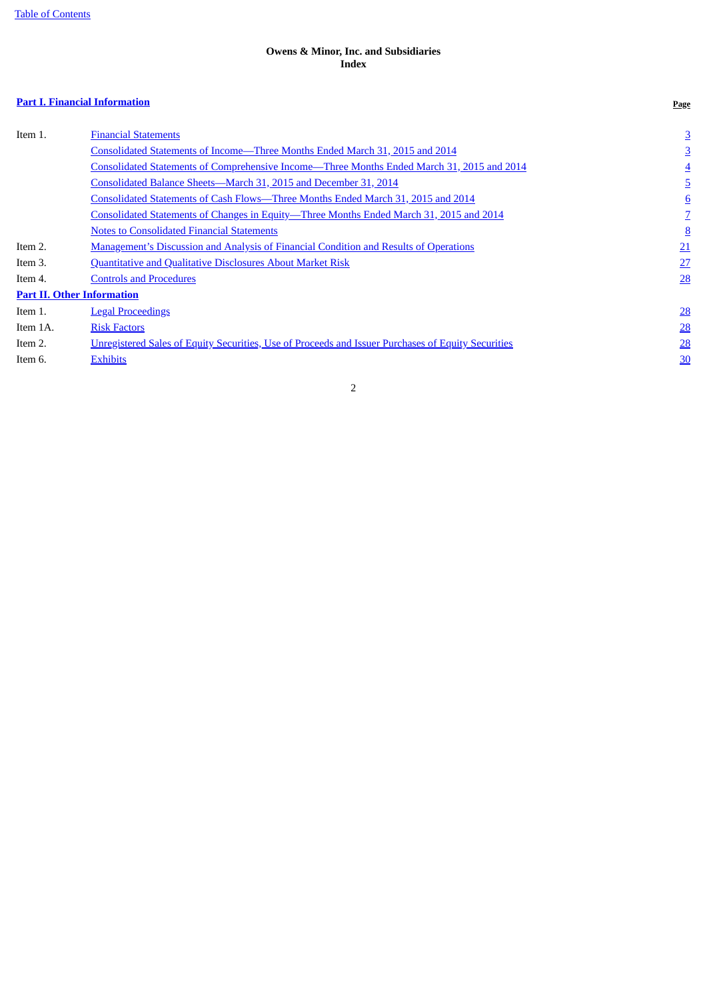### **Owens & Minor, Inc. and Subsidiaries Index**

# **Part I. Financial [Information](#page-1-0) Page**

<span id="page-1-0"></span>

| Item 1.  | <b>Financial Statements</b>                                                                        |                |
|----------|----------------------------------------------------------------------------------------------------|----------------|
|          | Consolidated Statements of Income—Three Months Ended March 31, 2015 and 2014                       | 3              |
|          | <u>Consolidated Statements of Comprehensive Income—Three Months Ended March 31, 2015 and 2014</u>  | $\overline{4}$ |
|          | Consolidated Balance Sheets-March 31, 2015 and December 31, 2014                                   | 5              |
|          | <u>Consolidated Statements of Cash Flows—Three Months Ended March 31, 2015 and 2014</u>            | 6              |
|          | <u>Consolidated Statements of Changes in Equity-Three Months Ended March 31, 2015 and 2014</u>     |                |
|          | <b>Notes to Consolidated Financial Statements</b>                                                  | 8              |
| Item 2.  | <b>Management's Discussion and Analysis of Financial Condition and Results of Operations</b>       | 21             |
| Item 3.  | Quantitative and Qualitative Disclosures About Market Risk                                         | 27             |
| Item 4.  | <b>Controls and Procedures</b>                                                                     | 28             |
|          | <b>Part II. Other Information</b>                                                                  |                |
| Item 1.  | <b>Legal Proceedings</b>                                                                           | 28             |
| Item 1A. | <b>Risk Factors</b>                                                                                | 28             |
| Item 2.  | Unregistered Sales of Equity Securities, Use of Proceeds and Issuer Purchases of Equity Securities | 28             |
| Item 6.  | <b>Exhibits</b>                                                                                    | 30             |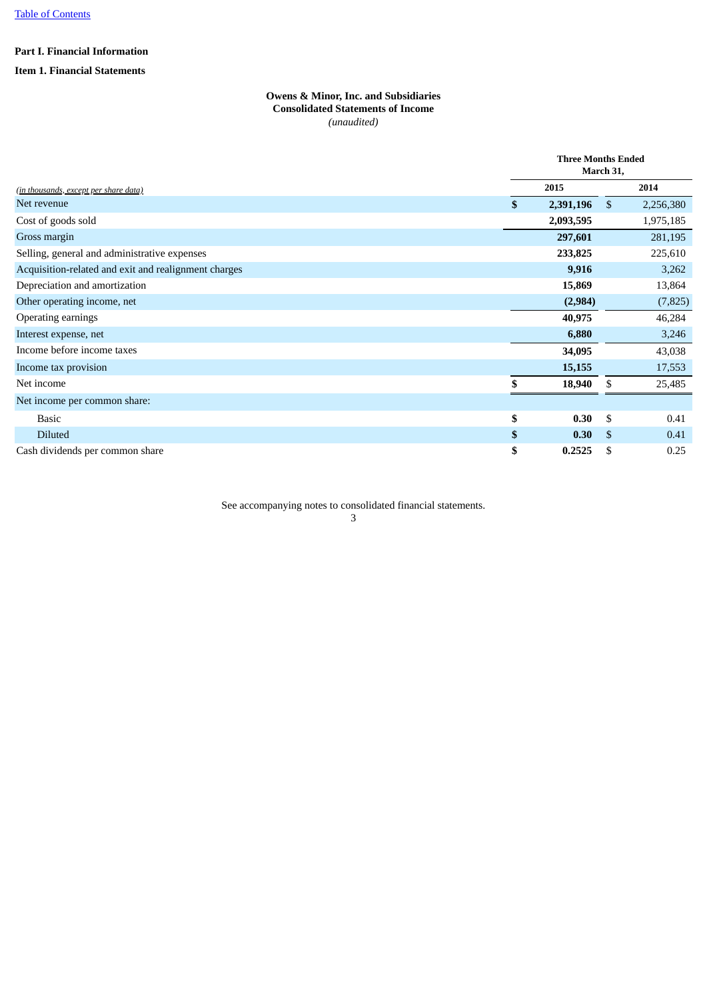# **Part I. Financial Information**

# <span id="page-2-1"></span><span id="page-2-0"></span>**Item 1. Financial Statements**

### **Owens & Minor, Inc. and Subsidiaries Consolidated Statements of Income** *(unaudited)*

|                                                      | <b>Three Months Ended</b> |           |              |           |  |
|------------------------------------------------------|---------------------------|-----------|--------------|-----------|--|
| (in thousands, except per share data)                |                           | 2015      |              | 2014      |  |
| Net revenue                                          | \$                        | 2,391,196 | $\mathbb{S}$ | 2,256,380 |  |
| Cost of goods sold                                   |                           | 2,093,595 |              | 1,975,185 |  |
| Gross margin                                         |                           | 297,601   |              | 281,195   |  |
| Selling, general and administrative expenses         |                           | 233,825   |              | 225,610   |  |
| Acquisition-related and exit and realignment charges |                           | 9,916     |              | 3,262     |  |
| Depreciation and amortization                        |                           | 15,869    |              | 13,864    |  |
| Other operating income, net                          |                           | (2,984)   |              | (7, 825)  |  |
| Operating earnings                                   |                           | 40,975    |              | 46,284    |  |
| Interest expense, net                                |                           | 6,880     |              | 3,246     |  |
| Income before income taxes                           |                           | 34,095    |              | 43,038    |  |
| Income tax provision                                 |                           | 15,155    |              | 17,553    |  |
| Net income                                           | \$.                       | 18,940    | £.           | 25,485    |  |
| Net income per common share:                         |                           |           |              |           |  |
| <b>Basic</b>                                         | \$                        | 0.30      | \$           | 0.41      |  |
| <b>Diluted</b>                                       | \$                        | 0.30      | \$           | 0.41      |  |
| Cash dividends per common share                      | \$                        | 0.2525    | \$           | 0.25      |  |

<span id="page-2-2"></span>See accompanying notes to consolidated financial statements.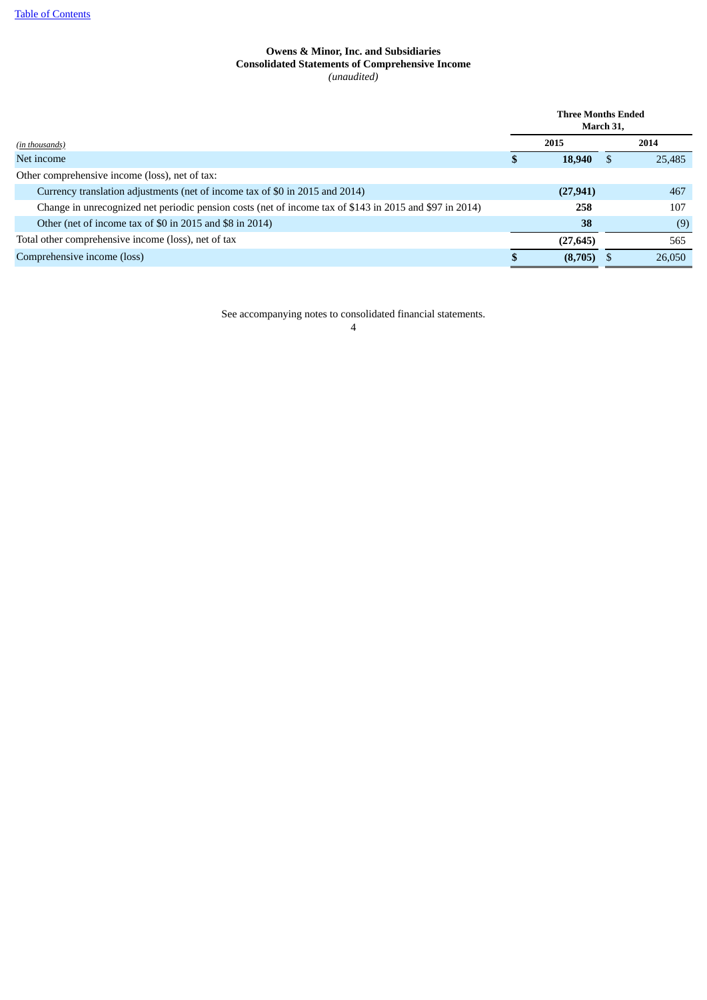### **Owens & Minor, Inc. and Subsidiaries Consolidated Statements of Comprehensive Income** *(unaudited)*

|                                                                                                         | <b>Three Months Ended</b><br>March 31, |           |     |        |  |
|---------------------------------------------------------------------------------------------------------|----------------------------------------|-----------|-----|--------|--|
| (in thousands)                                                                                          |                                        | 2015      |     | 2014   |  |
| Net income                                                                                              |                                        | 18,940    | - S | 25,485 |  |
| Other comprehensive income (loss), net of tax:                                                          |                                        |           |     |        |  |
| Currency translation adjustments (net of income tax of \$0 in 2015 and 2014)                            |                                        | (27, 941) |     | 467    |  |
| Change in unrecognized net periodic pension costs (net of income tax of \$143 in 2015 and \$97 in 2014) |                                        | 258       |     | 107    |  |
| Other (net of income tax of \$0 in 2015 and \$8 in 2014)                                                |                                        | 38        |     | (9)    |  |
| Total other comprehensive income (loss), net of tax                                                     |                                        | (27, 645) |     | 565    |  |
| Comprehensive income (loss)                                                                             |                                        | (8,705)   |     | 26,050 |  |

<span id="page-3-0"></span>See accompanying notes to consolidated financial statements.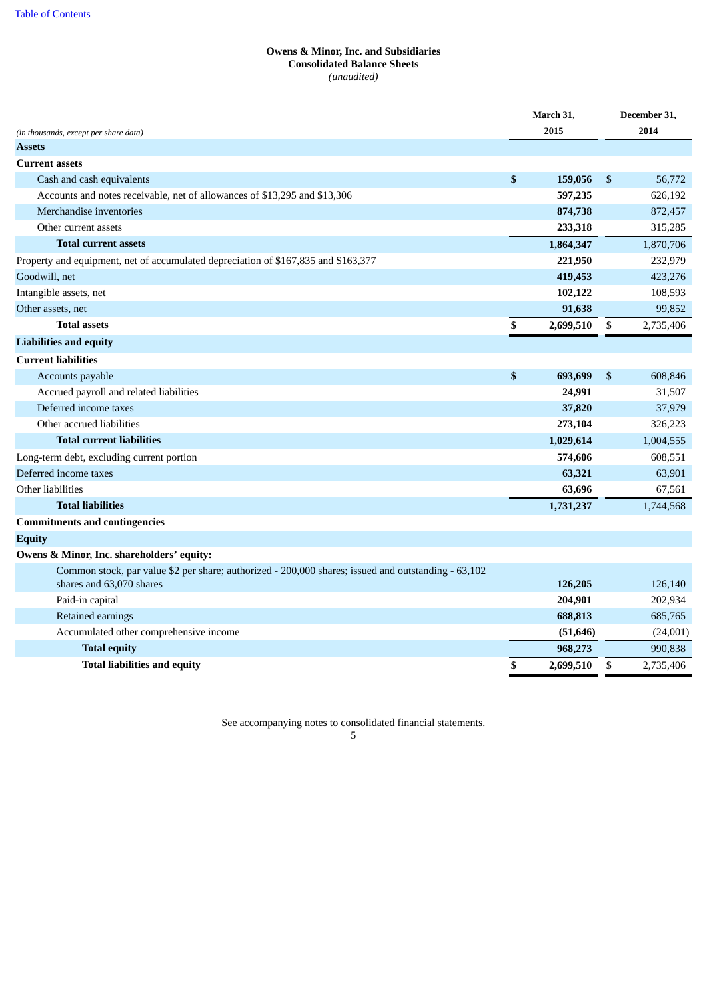### **Owens & Minor, Inc. and Subsidiaries Consolidated Balance Sheets** *(unaudited)*

|                                                                                                     | March 31, |           |    | December 31, |
|-----------------------------------------------------------------------------------------------------|-----------|-----------|----|--------------|
| <u>(in thousands, except per share data)</u>                                                        |           | 2015      |    | 2014         |
| <b>Assets</b>                                                                                       |           |           |    |              |
| <b>Current assets</b>                                                                               |           |           |    |              |
| Cash and cash equivalents                                                                           | \$        | 159,056   | \$ | 56,772       |
| Accounts and notes receivable, net of allowances of \$13,295 and \$13,306                           |           | 597,235   |    | 626,192      |
| Merchandise inventories                                                                             |           | 874,738   |    | 872,457      |
| Other current assets                                                                                |           | 233,318   |    | 315,285      |
| <b>Total current assets</b>                                                                         |           | 1,864,347 |    | 1,870,706    |
| Property and equipment, net of accumulated depreciation of \$167,835 and \$163,377                  |           | 221,950   |    | 232,979      |
| Goodwill, net                                                                                       |           | 419,453   |    | 423,276      |
| Intangible assets, net                                                                              |           | 102,122   |    | 108,593      |
| Other assets, net                                                                                   |           | 91,638    |    | 99,852       |
| <b>Total assets</b>                                                                                 | \$        | 2,699,510 | \$ | 2,735,406    |
| <b>Liabilities and equity</b>                                                                       |           |           |    |              |
| <b>Current liabilities</b>                                                                          |           |           |    |              |
| Accounts payable                                                                                    | \$        | 693,699   | \$ | 608,846      |
| Accrued payroll and related liabilities                                                             |           | 24,991    |    | 31,507       |
| Deferred income taxes                                                                               |           | 37,820    |    | 37,979       |
| Other accrued liabilities                                                                           |           | 273,104   |    | 326,223      |
| <b>Total current liabilities</b>                                                                    |           | 1,029,614 |    | 1,004,555    |
| Long-term debt, excluding current portion                                                           |           | 574,606   |    | 608,551      |
| Deferred income taxes                                                                               |           | 63,321    |    | 63,901       |
| Other liabilities                                                                                   |           | 63,696    |    | 67,561       |
| <b>Total liabilities</b>                                                                            |           | 1,731,237 |    | 1,744,568    |
| <b>Commitments and contingencies</b>                                                                |           |           |    |              |
| <b>Equity</b>                                                                                       |           |           |    |              |
| Owens & Minor, Inc. shareholders' equity:                                                           |           |           |    |              |
| Common stock, par value \$2 per share; authorized - 200,000 shares; issued and outstanding - 63,102 |           |           |    |              |
| shares and 63,070 shares                                                                            |           | 126,205   |    | 126,140      |
| Paid-in capital                                                                                     |           | 204,901   |    | 202,934      |
| Retained earnings                                                                                   |           | 688,813   |    | 685,765      |
| Accumulated other comprehensive income                                                              |           | (51, 646) |    | (24,001)     |
| <b>Total equity</b>                                                                                 |           | 968,273   |    | 990,838      |
| <b>Total liabilities and equity</b>                                                                 | \$        | 2,699,510 | \$ | 2,735,406    |

<span id="page-4-0"></span>See accompanying notes to consolidated financial statements.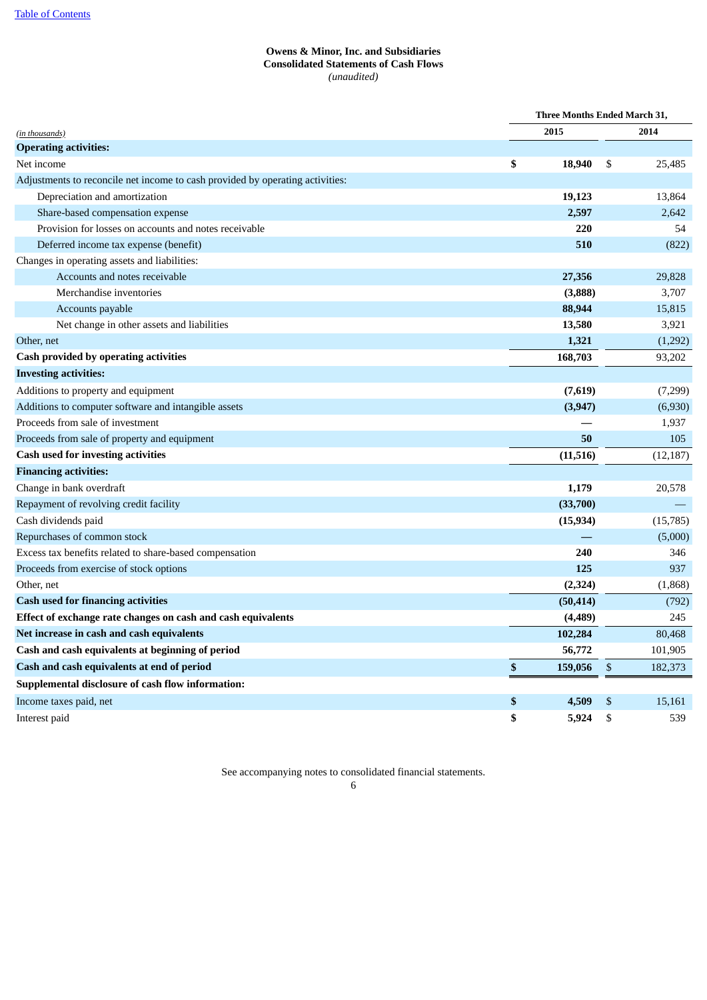### **Owens & Minor, Inc. and Subsidiaries Consolidated Statements of Cash Flows** *(unaudited)*

|                                                                               |    | <b>Three Months Ended March 31,</b> |    |           |
|-------------------------------------------------------------------------------|----|-------------------------------------|----|-----------|
| (in thousands)                                                                |    | 2015                                |    | 2014      |
| <b>Operating activities:</b>                                                  |    |                                     |    |           |
| Net income                                                                    | \$ | 18,940                              | \$ | 25,485    |
| Adjustments to reconcile net income to cash provided by operating activities: |    |                                     |    |           |
| Depreciation and amortization                                                 |    | 19,123                              |    | 13,864    |
| Share-based compensation expense                                              |    | 2,597                               |    | 2,642     |
| Provision for losses on accounts and notes receivable                         |    | 220                                 |    | 54        |
| Deferred income tax expense (benefit)                                         |    | 510                                 |    | (822)     |
| Changes in operating assets and liabilities:                                  |    |                                     |    |           |
| Accounts and notes receivable                                                 |    | 27,356                              |    | 29,828    |
| Merchandise inventories                                                       |    | (3,888)                             |    | 3,707     |
| Accounts payable                                                              |    | 88,944                              |    | 15,815    |
| Net change in other assets and liabilities                                    |    | 13,580                              |    | 3,921     |
| Other, net                                                                    |    | 1,321                               |    | (1,292)   |
| <b>Cash provided by operating activities</b>                                  |    | 168,703                             |    | 93,202    |
| <b>Investing activities:</b>                                                  |    |                                     |    |           |
| Additions to property and equipment                                           |    | (7,619)                             |    | (7,299)   |
| Additions to computer software and intangible assets                          |    | (3, 947)                            |    | (6,930)   |
| Proceeds from sale of investment                                              |    |                                     |    | 1,937     |
| Proceeds from sale of property and equipment                                  |    | 50                                  |    | 105       |
| <b>Cash used for investing activities</b>                                     |    | (11, 516)                           |    | (12, 187) |
| <b>Financing activities:</b>                                                  |    |                                     |    |           |
| Change in bank overdraft                                                      |    | 1,179                               |    | 20,578    |
| Repayment of revolving credit facility                                        |    | (33,700)                            |    |           |
| Cash dividends paid                                                           |    | (15, 934)                           |    | (15,785)  |
| Repurchases of common stock                                                   |    |                                     |    | (5,000)   |
| Excess tax benefits related to share-based compensation                       |    | 240                                 |    | 346       |
| Proceeds from exercise of stock options                                       |    | 125                                 |    | 937       |
| Other, net                                                                    |    | (2, 324)                            |    | (1,868)   |
| <b>Cash used for financing activities</b>                                     |    | (50, 414)                           |    | (792)     |
| Effect of exchange rate changes on cash and cash equivalents                  |    | (4, 489)                            |    | 245       |
| Net increase in cash and cash equivalents                                     |    | 102,284                             |    | 80,468    |
| Cash and cash equivalents at beginning of period                              |    | 56,772                              |    | 101,905   |
| Cash and cash equivalents at end of period                                    | \$ | 159,056                             | \$ | 182,373   |
| Supplemental disclosure of cash flow information:                             |    |                                     |    |           |
| Income taxes paid, net                                                        | \$ | 4,509                               | \$ | 15,161    |
| Interest paid                                                                 | \$ | 5,924                               | \$ | 539       |

<span id="page-5-0"></span>See accompanying notes to consolidated financial statements.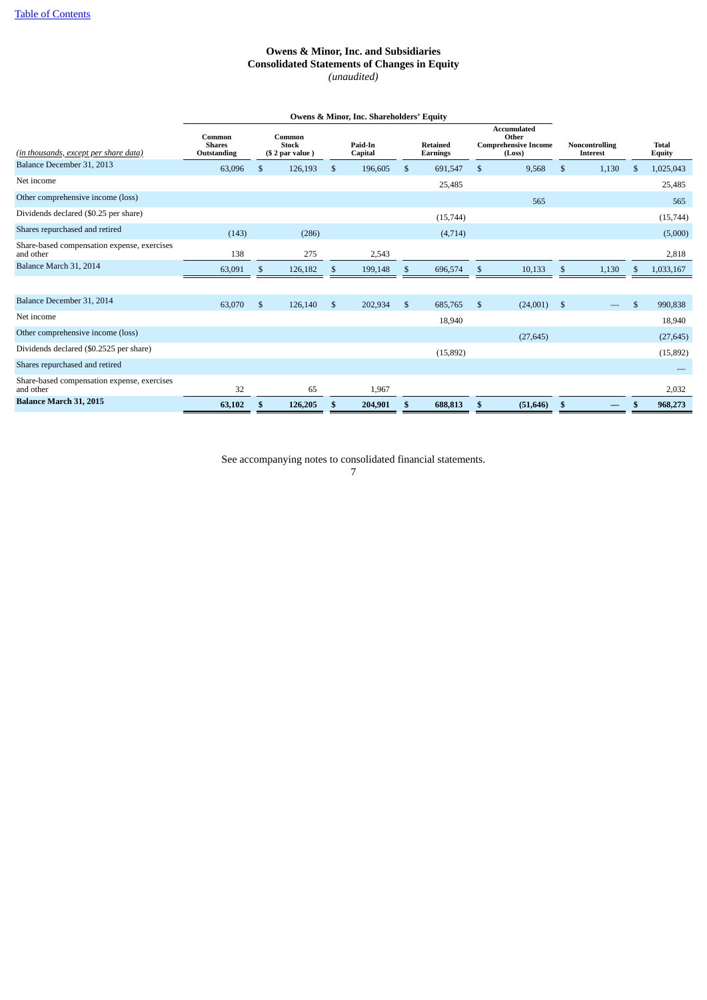### **Owens & Minor, Inc. and Subsidiaries Consolidated Statements of Changes in Equity** *(unaudited)*

|                                                          |                                        |               |                                           |               | Owens & Minor, Inc. Shareholders' Equity |     |                                    |                |                                                                      |     |                            |              |                               |
|----------------------------------------------------------|----------------------------------------|---------------|-------------------------------------------|---------------|------------------------------------------|-----|------------------------------------|----------------|----------------------------------------------------------------------|-----|----------------------------|--------------|-------------------------------|
| (in thousands, except per share data)                    | Common<br><b>Shares</b><br>Outstanding |               | Common<br><b>Stock</b><br>$$2$ par value) |               | Paid-In<br>Capital                       |     | <b>Retained</b><br><b>Earnings</b> |                | <b>Accumulated</b><br>Other<br><b>Comprehensive Income</b><br>(Loss) |     | Noncontrolling<br>Interest |              | <b>Total</b><br><b>Equity</b> |
| Balance December 31, 2013                                | 63,096                                 | <sup>\$</sup> | 126,193                                   | <sup>\$</sup> | 196,605                                  | \$. | 691,547                            | $\mathfrak{S}$ | 9,568                                                                | \$  | 1,130                      | <b>S</b>     | 1,025,043                     |
| Net income                                               |                                        |               |                                           |               |                                          |     | 25,485                             |                |                                                                      |     |                            |              | 25,485                        |
| Other comprehensive income (loss)                        |                                        |               |                                           |               |                                          |     |                                    |                | 565                                                                  |     |                            |              | 565                           |
| Dividends declared (\$0.25 per share)                    |                                        |               |                                           |               |                                          |     | (15,744)                           |                |                                                                      |     |                            |              | (15,744)                      |
| Shares repurchased and retired                           | (143)                                  |               | (286)                                     |               |                                          |     | (4,714)                            |                |                                                                      |     |                            |              | (5,000)                       |
| Share-based compensation expense, exercises<br>and other | 138                                    |               | 275                                       |               | 2,543                                    |     |                                    |                |                                                                      |     |                            |              | 2,818                         |
| Balance March 31, 2014                                   | 63,091                                 | $\mathbb{S}$  | 126,182                                   | \$            | 199,148                                  | \$  | 696,574                            | $\mathfrak{S}$ | 10,133                                                               | \$  | 1,130                      | S            | 1,033,167                     |
|                                                          |                                        |               |                                           |               |                                          |     |                                    |                |                                                                      |     |                            |              |                               |
| Balance December 31, 2014                                | 63,070                                 | $\mathbb{S}$  | 126,140                                   | \$            | 202,934                                  | \$  | 685,765                            | $\mathbb{S}$   | (24,001)                                                             | -\$ |                            | $\mathbb{S}$ | 990,838                       |
| Net income                                               |                                        |               |                                           |               |                                          |     | 18,940                             |                |                                                                      |     |                            |              | 18,940                        |
| Other comprehensive income (loss)                        |                                        |               |                                           |               |                                          |     |                                    |                | (27, 645)                                                            |     |                            |              | (27, 645)                     |
| Dividends declared (\$0.2525 per share)                  |                                        |               |                                           |               |                                          |     | (15,892)                           |                |                                                                      |     |                            |              | (15,892)                      |
| Shares repurchased and retired                           |                                        |               |                                           |               |                                          |     |                                    |                |                                                                      |     |                            |              |                               |
| Share-based compensation expense, exercises<br>and other | 32                                     |               | 65                                        |               | 1,967                                    |     |                                    |                |                                                                      |     |                            |              | 2,032                         |
| <b>Balance March 31, 2015</b>                            | 63,102                                 | S.            | 126,205                                   | S.            | 204,901                                  | S   | 688,813                            | <sup>\$</sup>  | (51, 646)                                                            | \$  |                            |              | 968,273                       |

<span id="page-6-0"></span>See accompanying notes to consolidated financial statements.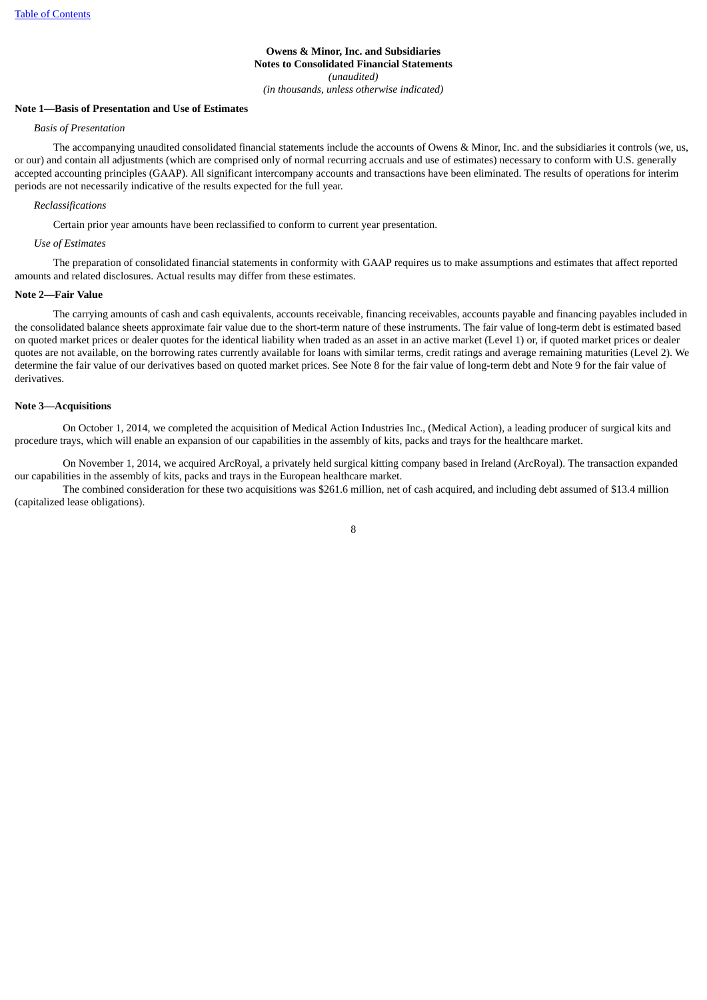### **Owens & Minor, Inc. and Subsidiaries Notes to Consolidated Financial Statements** *(unaudited) (in thousands, unless otherwise indicated)*

#### **Note 1—Basis of Presentation and Use of Estimates**

#### *Basis of Presentation*

The accompanying unaudited consolidated financial statements include the accounts of Owens & Minor, Inc. and the subsidiaries it controls (we, us, or our) and contain all adjustments (which are comprised only of normal recurring accruals and use of estimates) necessary to conform with U.S. generally accepted accounting principles (GAAP). All significant intercompany accounts and transactions have been eliminated. The results of operations for interim periods are not necessarily indicative of the results expected for the full year.

#### *Reclassifications*

Certain prior year amounts have been reclassified to conform to current year presentation.

#### *Use of Estimates*

The preparation of consolidated financial statements in conformity with GAAP requires us to make assumptions and estimates that affect reported amounts and related disclosures. Actual results may differ from these estimates.

#### **Note 2—Fair Value**

The carrying amounts of cash and cash equivalents, accounts receivable, financing receivables, accounts payable and financing payables included in the consolidated balance sheets approximate fair value due to the short-term nature of these instruments. The fair value of long-term debt is estimated based on quoted market prices or dealer quotes for the identical liability when traded as an asset in an active market (Level 1) or, if quoted market prices or dealer quotes are not available, on the borrowing rates currently available for loans with similar terms, credit ratings and average remaining maturities (Level 2). We determine the fair value of our derivatives based on quoted market prices. See Note 8 for the fair value of long-term debt and Note 9 for the fair value of derivatives.

#### **Note 3—Acquisitions**

On October 1, 2014, we completed the acquisition of Medical Action Industries Inc., (Medical Action), a leading producer of surgical kits and procedure trays, which will enable an expansion of our capabilities in the assembly of kits, packs and trays for the healthcare market.

On November 1, 2014, we acquired ArcRoyal, a privately held surgical kitting company based in Ireland (ArcRoyal). The transaction expanded our capabilities in the assembly of kits, packs and trays in the European healthcare market.

The combined consideration for these two acquisitions was \$261.6 million, net of cash acquired, and including debt assumed of \$13.4 million (capitalized lease obligations).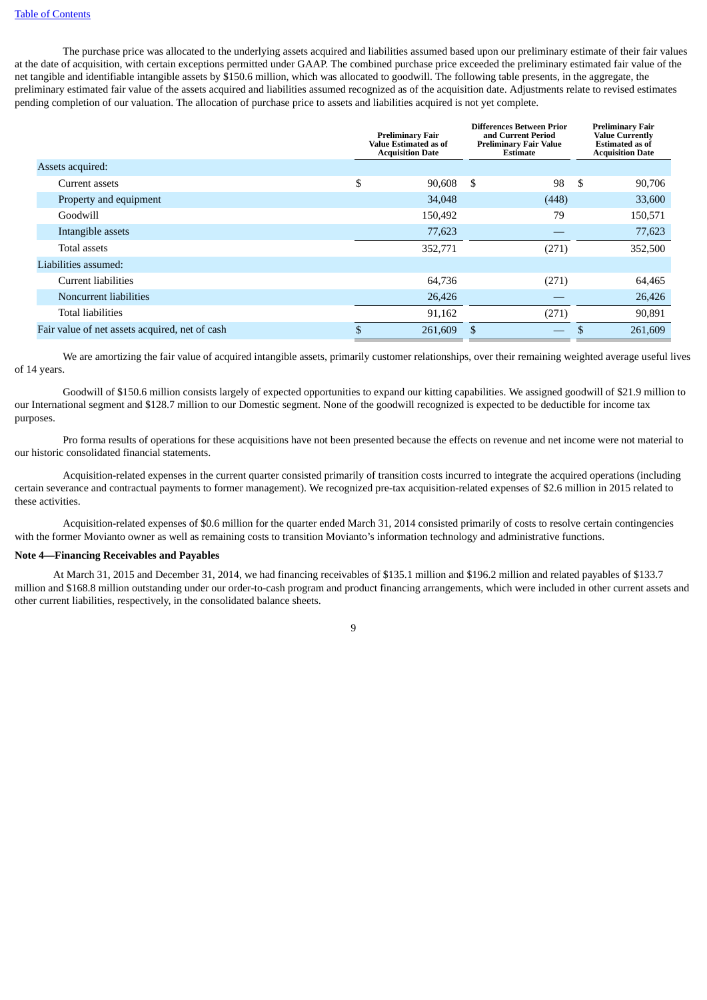The purchase price was allocated to the underlying assets acquired and liabilities assumed based upon our preliminary estimate of their fair values at the date of acquisition, with certain exceptions permitted under GAAP. The combined purchase price exceeded the preliminary estimated fair value of the net tangible and identifiable intangible assets by \$150.6 million, which was allocated to goodwill. The following table presents, in the aggregate, the preliminary estimated fair value of the assets acquired and liabilities assumed recognized as of the acquisition date. Adjustments relate to revised estimates pending completion of our valuation. The allocation of purchase price to assets and liabilities acquired is not yet complete.

|                                                | <b>Preliminary Fair</b><br>Value Estimated as of<br><b>Acquisition Date</b> | <b>Differences Between Prior</b><br>and Current Period<br><b>Preliminary Fair Value</b><br>Estimate |       |     | <b>Preliminary Fair</b><br><b>Value Currently</b><br><b>Estimated as of</b><br><b>Acquisition Date</b> |
|------------------------------------------------|-----------------------------------------------------------------------------|-----------------------------------------------------------------------------------------------------|-------|-----|--------------------------------------------------------------------------------------------------------|
| Assets acquired:                               |                                                                             |                                                                                                     |       |     |                                                                                                        |
| Current assets                                 | \$<br>90,608                                                                | \$                                                                                                  | 98    | -\$ | 90,706                                                                                                 |
| Property and equipment                         | 34,048                                                                      |                                                                                                     | (448) |     | 33,600                                                                                                 |
| Goodwill                                       | 150,492                                                                     |                                                                                                     | 79    |     | 150,571                                                                                                |
| Intangible assets                              | 77,623                                                                      |                                                                                                     |       |     | 77,623                                                                                                 |
| Total assets                                   | 352,771                                                                     |                                                                                                     | (271) |     | 352,500                                                                                                |
| Liabilities assumed:                           |                                                                             |                                                                                                     |       |     |                                                                                                        |
| <b>Current liabilities</b>                     | 64,736                                                                      |                                                                                                     | (271) |     | 64,465                                                                                                 |
| Noncurrent liabilities                         | 26,426                                                                      |                                                                                                     |       |     | 26,426                                                                                                 |
| <b>Total liabilities</b>                       | 91,162                                                                      |                                                                                                     | (271) |     | 90,891                                                                                                 |
| Fair value of net assets acquired, net of cash | \$<br>261,609                                                               | \$                                                                                                  |       |     | 261,609                                                                                                |

We are amortizing the fair value of acquired intangible assets, primarily customer relationships, over their remaining weighted average useful lives of 14 years.

Goodwill of \$150.6 million consists largely of expected opportunities to expand our kitting capabilities. We assigned goodwill of \$21.9 million to our International segment and \$128.7 million to our Domestic segment. None of the goodwill recognized is expected to be deductible for income tax purposes.

Pro forma results of operations for these acquisitions have not been presented because the effects on revenue and net income were not material to our historic consolidated financial statements.

Acquisition-related expenses in the current quarter consisted primarily of transition costs incurred to integrate the acquired operations (including certain severance and contractual payments to former management). We recognized pre-tax acquisition-related expenses of \$2.6 million in 2015 related to these activities.

Acquisition-related expenses of \$0.6 million for the quarter ended March 31, 2014 consisted primarily of costs to resolve certain contingencies with the former Movianto owner as well as remaining costs to transition Movianto's information technology and administrative functions.

#### **Note 4—Financing Receivables and Payables**

At March 31, 2015 and December 31, 2014, we had financing receivables of \$135.1 million and \$196.2 million and related payables of \$133.7 million and \$168.8 million outstanding under our order-to-cash program and product financing arrangements, which were included in other current assets and other current liabilities, respectively, in the consolidated balance sheets.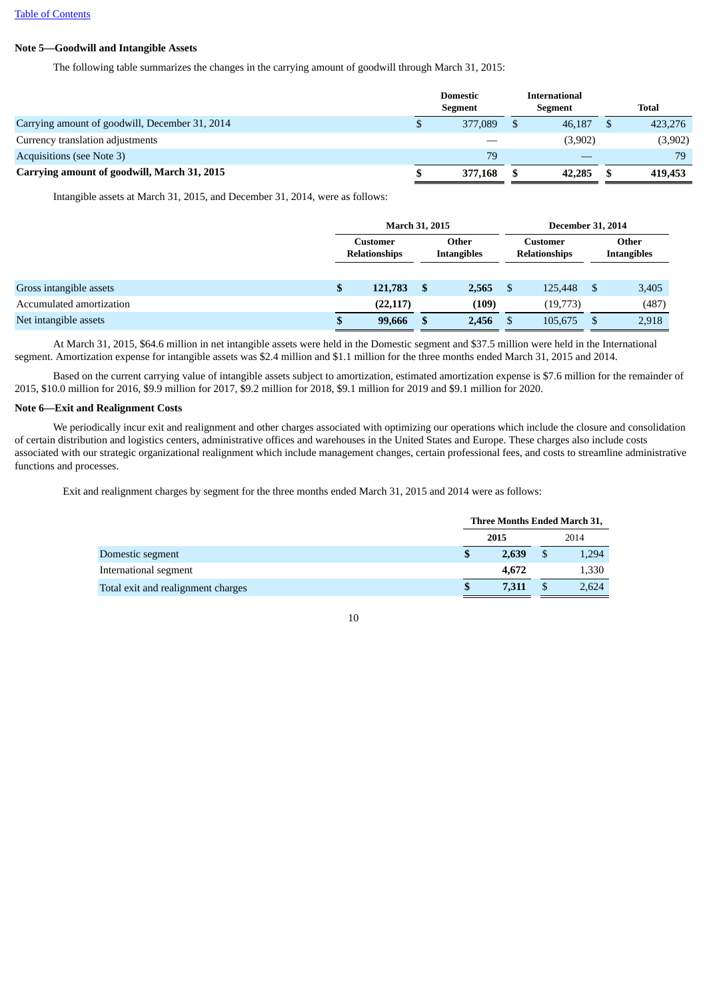### **Note 5—Goodwill and Intangible Assets**

The following table summarizes the changes in the carrying amount of goodwill through March 31, 2015:

|                                                | <b>Domestic</b><br>Segment | <b>International</b><br>Segment | <b>Total</b> |
|------------------------------------------------|----------------------------|---------------------------------|--------------|
| Carrying amount of goodwill, December 31, 2014 | 377,089                    | 46.187                          | 423,276      |
| Currency translation adjustments               |                            | (3,902)                         | (3,902)      |
| Acquisitions (see Note 3)                      | 79                         |                                 | 79           |
| Carrying amount of goodwill, March 31, 2015    | 377,168                    | 42,285                          | 419,453      |

Intangible assets at March 31, 2015, and December 31, 2014, were as follows:

|                          | March 31, 2015                   |           |                             |       | <b>December 31, 2014</b>         |          |  |                             |  |
|--------------------------|----------------------------------|-----------|-----------------------------|-------|----------------------------------|----------|--|-----------------------------|--|
|                          | Customer<br><b>Relationships</b> |           | Other<br><b>Intangibles</b> |       | Customer<br><b>Relationships</b> |          |  | Other<br><b>Intangibles</b> |  |
|                          |                                  |           |                             |       |                                  |          |  |                             |  |
| Gross intangible assets  |                                  | 121,783   |                             | 2,565 | \$                               | 125,448  |  | 3,405                       |  |
| Accumulated amortization |                                  | (22, 117) |                             | (109) |                                  | (19,773) |  | (487)                       |  |
| Net intangible assets    |                                  | 99,666    |                             | 2,456 | S                                | 105,675  |  | 2,918                       |  |

At March 31, 2015, \$64.6 million in net intangible assets were held in the Domestic segment and \$37.5 million were held in the International segment. Amortization expense for intangible assets was \$2.4 million and \$1.1 million for the three months ended March 31, 2015 and 2014.

Based on the current carrying value of intangible assets subject to amortization, estimated amortization expense is \$7.6 million for the remainder of 2015, \$10.0 million for 2016, \$9.9 million for 2017, \$9.2 million for 2018, \$9.1 million for 2019 and \$9.1 million for 2020.

#### **Note 6—Exit and Realignment Costs**

We periodically incur exit and realignment and other charges associated with optimizing our operations which include the closure and consolidation of certain distribution and logistics centers, administrative offices and warehouses in the United States and Europe. These charges also include costs associated with our strategic organizational realignment which include management changes, certain professional fees, and costs to streamline administrative functions and processes.

Exit and realignment charges by segment for the three months ended March 31, 2015 and 2014 were as follows:

|                                    | Three Months Ended March 31, |       |  |       |  |  |
|------------------------------------|------------------------------|-------|--|-------|--|--|
|                                    |                              | 2015  |  | 2014  |  |  |
| Domestic segment                   |                              | 2.639 |  | 1,294 |  |  |
| International segment              |                              | 4.672 |  | 1,330 |  |  |
| Total exit and realignment charges |                              | 7.311 |  | 2,624 |  |  |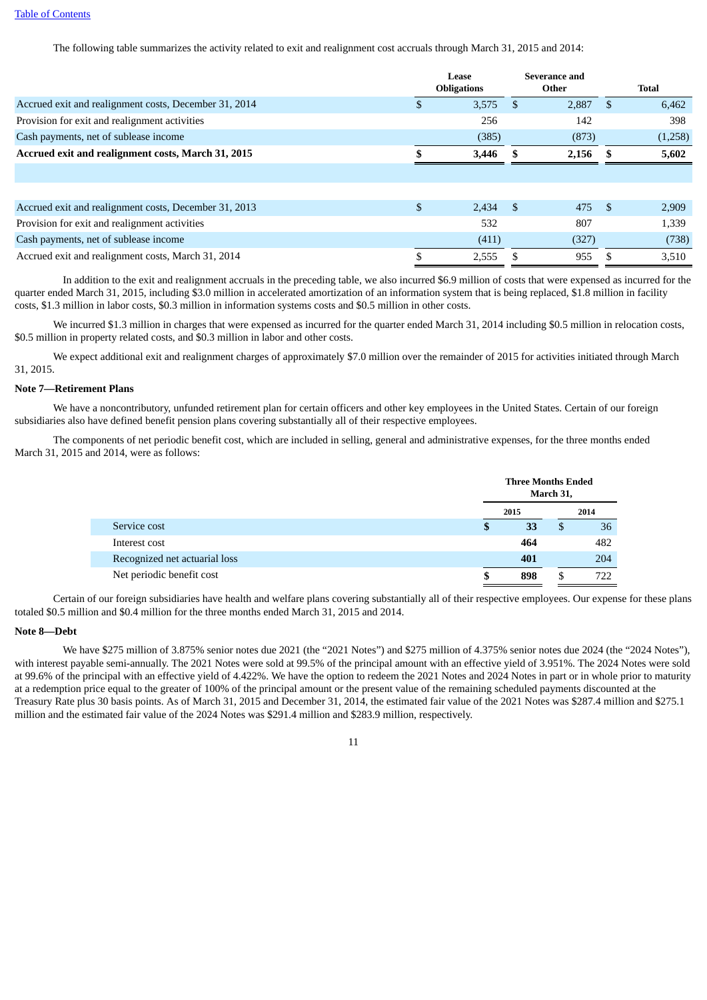The following table summarizes the activity related to exit and realignment cost accruals through March 31, 2015 and 2014:

|                                                       |    | Lease<br><b>Obligations</b> |      | Severance and<br>Other |      | <b>Total</b> |
|-------------------------------------------------------|----|-----------------------------|------|------------------------|------|--------------|
| Accrued exit and realignment costs, December 31, 2014 | S  | 3,575                       | S.   | 2,887                  | -S   | 6,462        |
| Provision for exit and realignment activities         |    | 256                         |      | 142                    |      | 398          |
| Cash payments, net of sublease income                 |    | (385)                       |      | (873)                  |      | (1,258)      |
| Accrued exit and realignment costs, March 31, 2015    |    | 3,446                       |      | 2,156                  | -S   | 5,602        |
|                                                       |    |                             |      |                        |      |              |
|                                                       |    |                             |      |                        |      |              |
| Accrued exit and realignment costs, December 31, 2013 | \$ | 2,434                       | - \$ | 475                    | - \$ | 2,909        |
| Provision for exit and realignment activities         |    | 532                         |      | 807                    |      | 1,339        |
| Cash payments, net of sublease income                 |    | (411)                       |      | (327)                  |      | (738)        |
| Accrued exit and realignment costs, March 31, 2014    |    | 2,555                       |      | 955                    |      | 3,510        |

In addition to the exit and realignment accruals in the preceding table, we also incurred \$6.9 million of costs that were expensed as incurred for the quarter ended March 31, 2015, including \$3.0 million in accelerated amortization of an information system that is being replaced, \$1.8 million in facility costs, \$1.3 million in labor costs, \$0.3 million in information systems costs and \$0.5 million in other costs.

We incurred \$1.3 million in charges that were expensed as incurred for the quarter ended March 31, 2014 including \$0.5 million in relocation costs, \$0.5 million in property related costs, and \$0.3 million in labor and other costs.

We expect additional exit and realignment charges of approximately \$7.0 million over the remainder of 2015 for activities initiated through March 31, 2015.

#### **Note 7—Retirement Plans**

We have a noncontributory, unfunded retirement plan for certain officers and other key employees in the United States. Certain of our foreign subsidiaries also have defined benefit pension plans covering substantially all of their respective employees.

The components of net periodic benefit cost, which are included in selling, general and administrative expenses, for the three months ended March 31, 2015 and 2014, were as follows:

|                               | <b>Three Months Ended</b> | March 31, |      |
|-------------------------------|---------------------------|-----------|------|
|                               | 2015                      |           | 2014 |
| Service cost                  | \$<br>33                  | \$        | 36   |
| Interest cost                 | 464                       |           | 482  |
| Recognized net actuarial loss | 401                       |           | 204  |
| Net periodic benefit cost     | \$<br>898                 | S         | 722  |

Certain of our foreign subsidiaries have health and welfare plans covering substantially all of their respective employees. Our expense for these plans totaled \$0.5 million and \$0.4 million for the three months ended March 31, 2015 and 2014.

#### **Note 8—Debt**

We have \$275 million of 3.875% senior notes due 2021 (the "2021 Notes") and \$275 million of 4.375% senior notes due 2024 (the "2024 Notes"), with interest payable semi-annually. The 2021 Notes were sold at 99.5% of the principal amount with an effective yield of 3.951%. The 2024 Notes were sold at 99.6% of the principal with an effective yield of 4.422%. We have the option to redeem the 2021 Notes and 2024 Notes in part or in whole prior to maturity at a redemption price equal to the greater of 100% of the principal amount or the present value of the remaining scheduled payments discounted at the Treasury Rate plus 30 basis points. As of March 31, 2015 and December 31, 2014, the estimated fair value of the 2021 Notes was \$287.4 million and \$275.1 million and the estimated fair value of the 2024 Notes was \$291.4 million and \$283.9 million, respectively.

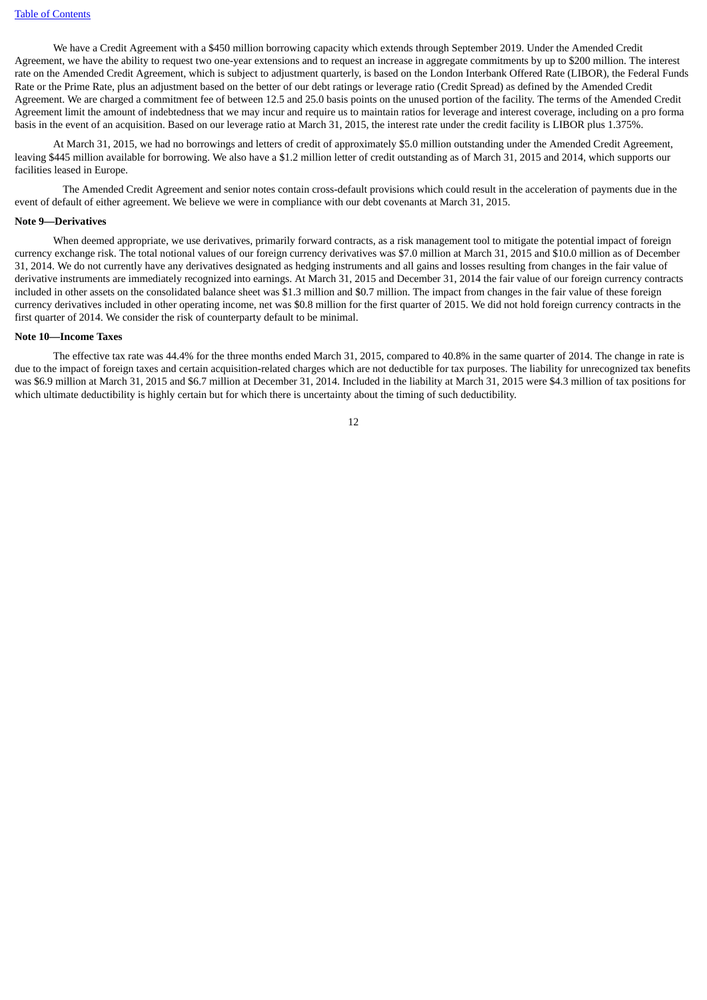We have a Credit Agreement with a \$450 million borrowing capacity which extends through September 2019. Under the Amended Credit Agreement, we have the ability to request two one-year extensions and to request an increase in aggregate commitments by up to \$200 million. The interest rate on the Amended Credit Agreement, which is subject to adjustment quarterly, is based on the London Interbank Offered Rate (LIBOR), the Federal Funds Rate or the Prime Rate, plus an adjustment based on the better of our debt ratings or leverage ratio (Credit Spread) as defined by the Amended Credit Agreement. We are charged a commitment fee of between 12.5 and 25.0 basis points on the unused portion of the facility. The terms of the Amended Credit Agreement limit the amount of indebtedness that we may incur and require us to maintain ratios for leverage and interest coverage, including on a pro forma basis in the event of an acquisition. Based on our leverage ratio at March 31, 2015, the interest rate under the credit facility is LIBOR plus 1.375%.

At March 31, 2015, we had no borrowings and letters of credit of approximately \$5.0 million outstanding under the Amended Credit Agreement, leaving \$445 million available for borrowing. We also have a \$1.2 million letter of credit outstanding as of March 31, 2015 and 2014, which supports our facilities leased in Europe.

The Amended Credit Agreement and senior notes contain cross-default provisions which could result in the acceleration of payments due in the event of default of either agreement. We believe we were in compliance with our debt covenants at March 31, 2015.

#### **Note 9—Derivatives**

When deemed appropriate, we use derivatives, primarily forward contracts, as a risk management tool to mitigate the potential impact of foreign currency exchange risk. The total notional values of our foreign currency derivatives was \$7.0 million at March 31, 2015 and \$10.0 million as of December 31, 2014. We do not currently have any derivatives designated as hedging instruments and all gains and losses resulting from changes in the fair value of derivative instruments are immediately recognized into earnings. At March 31, 2015 and December 31, 2014 the fair value of our foreign currency contracts included in other assets on the consolidated balance sheet was \$1.3 million and \$0.7 million. The impact from changes in the fair value of these foreign currency derivatives included in other operating income, net was \$0.8 million for the first quarter of 2015. We did not hold foreign currency contracts in the first quarter of 2014. We consider the risk of counterparty default to be minimal.

#### **Note 10—Income Taxes**

The effective tax rate was 44.4% for the three months ended March 31, 2015, compared to 40.8% in the same quarter of 2014. The change in rate is due to the impact of foreign taxes and certain acquisition-related charges which are not deductible for tax purposes. The liability for unrecognized tax benefits was \$6.9 million at March 31, 2015 and \$6.7 million at December 31, 2014. Included in the liability at March 31, 2015 were \$4.3 million of tax positions for which ultimate deductibility is highly certain but for which there is uncertainty about the timing of such deductibility.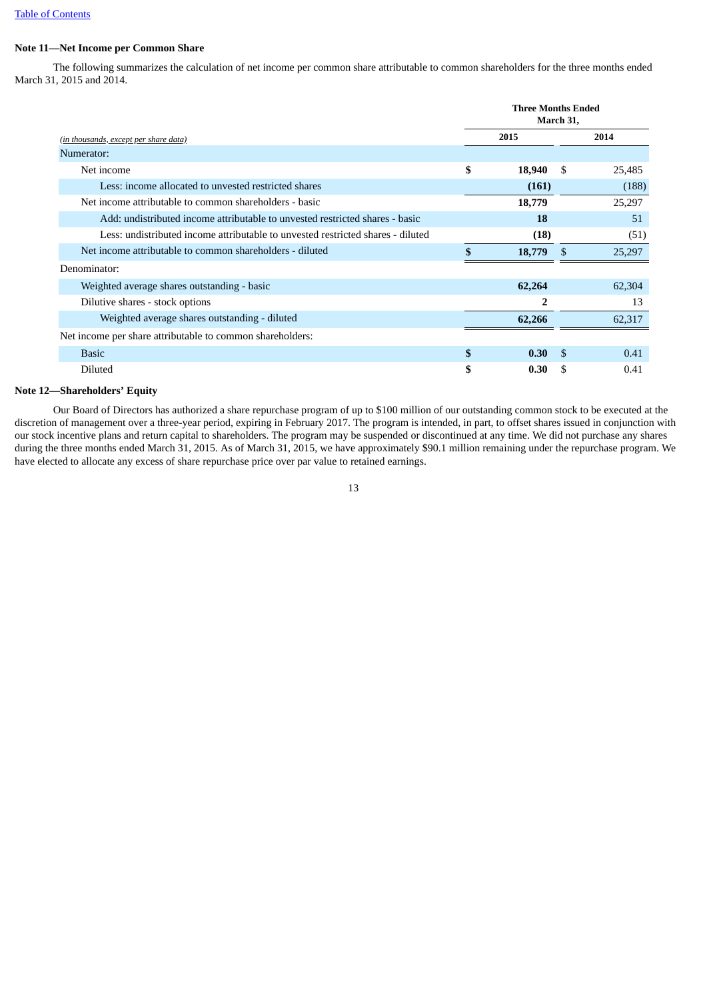### **Note 11—Net Income per Common Share**

The following summarizes the calculation of net income per common share attributable to common shareholders for the three months ended March 31, 2015 and 2014.

|                                                                                 |    | <b>Three Months Ended</b> | March 31,     |        |
|---------------------------------------------------------------------------------|----|---------------------------|---------------|--------|
| (in thousands, except per share data)                                           |    |                           | 2014          |        |
| Numerator:                                                                      |    |                           |               |        |
| Net income                                                                      | \$ | 18,940                    | \$.           | 25,485 |
| Less: income allocated to unvested restricted shares                            |    | (161)                     |               | (188)  |
| Net income attributable to common shareholders - basic                          |    | 18,779                    |               | 25,297 |
| Add: undistributed income attributable to unvested restricted shares - basic    |    | 18                        |               | 51     |
| Less: undistributed income attributable to unvested restricted shares - diluted |    | (18)                      |               | (51)   |
| Net income attributable to common shareholders - diluted                        | \$ | 18,779                    | -\$           | 25,297 |
| Denominator:                                                                    |    |                           |               |        |
| Weighted average shares outstanding - basic                                     |    | 62,264                    |               | 62,304 |
| Dilutive shares - stock options                                                 |    | $\overline{2}$            |               | 13     |
| Weighted average shares outstanding - diluted                                   |    | 62,266                    |               | 62,317 |
| Net income per share attributable to common shareholders:                       |    |                           |               |        |
| <b>Basic</b>                                                                    | \$ | 0.30                      | $\mathbf{\$}$ | 0.41   |
| <b>Diluted</b>                                                                  | \$ | 0.30                      | \$            | 0.41   |

#### **Note 12—Shareholders' Equity**

Our Board of Directors has authorized a share repurchase program of up to \$100 million of our outstanding common stock to be executed at the discretion of management over a three-year period, expiring in February 2017. The program is intended, in part, to offset shares issued in conjunction with our stock incentive plans and return capital to shareholders. The program may be suspended or discontinued at any time. We did not purchase any shares during the three months ended March 31, 2015. As of March 31, 2015, we have approximately \$90.1 million remaining under the repurchase program. We have elected to allocate any excess of share repurchase price over par value to retained earnings.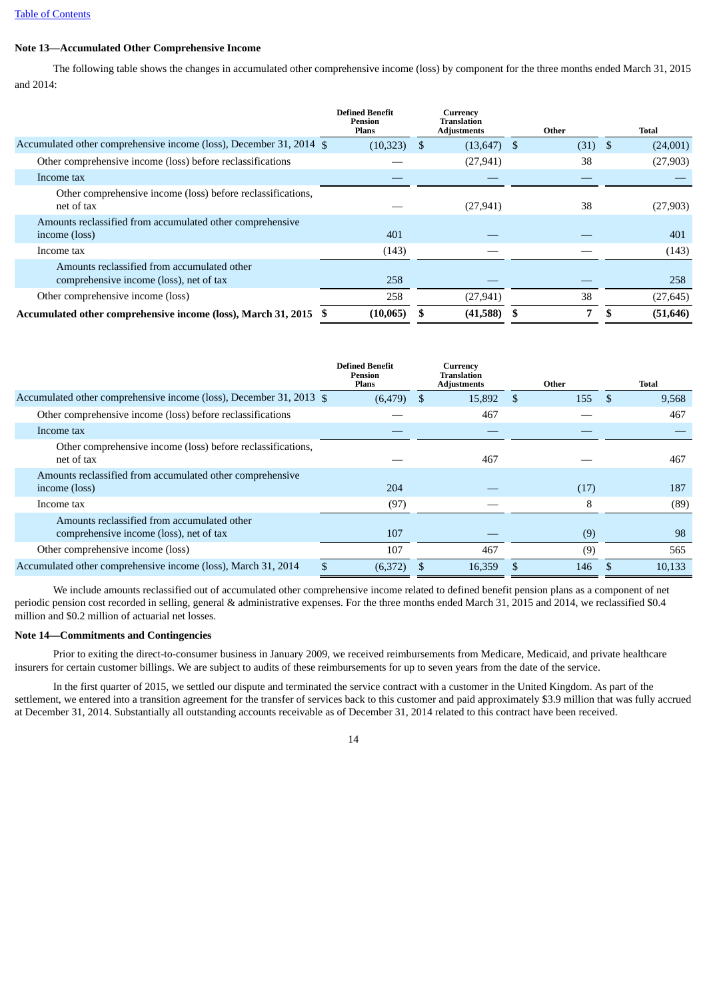### **Note 13—Accumulated Other Comprehensive Income**

The following table shows the changes in accumulated other comprehensive income (loss) by component for the three months ended March 31, 2015 and 2014:

|                                                                                        | <b>Defined Benefit</b><br><b>Pension</b><br><b>Plans</b> | Currency<br><b>Translation</b><br><b>Adjustments</b> | Other     | <b>Total</b>    |
|----------------------------------------------------------------------------------------|----------------------------------------------------------|------------------------------------------------------|-----------|-----------------|
| Accumulated other comprehensive income (loss), December 31, 2014 \$                    | (10,323)                                                 | $(13,647)$ \$<br>S.                                  | $(31)$ \$ | (24,001)        |
| Other comprehensive income (loss) before reclassifications                             |                                                          | (27, 941)                                            | 38        | (27, 903)       |
| Income tax                                                                             |                                                          |                                                      |           |                 |
| Other comprehensive income (loss) before reclassifications,<br>net of tax              |                                                          | (27, 941)                                            | 38        | (27, 903)       |
| Amounts reclassified from accumulated other comprehensive<br>income (loss)             | 401                                                      |                                                      |           | 401             |
| Income tax                                                                             | (143)                                                    |                                                      |           | (143)           |
| Amounts reclassified from accumulated other<br>comprehensive income (loss), net of tax | 258                                                      |                                                      |           | 258             |
| Other comprehensive income (loss)                                                      | 258                                                      | (27, 941)                                            | 38        | (27, 645)       |
| Accumulated other comprehensive income (loss), March 31, 2015 \$                       | (10, 065)                                                | (41,588)                                             | 7<br>S    | (51, 646)<br>-S |

|                                                                                        | <b>Defined Benefit</b><br>Pension  | Currency<br><b>Translation</b> |                      |             |
|----------------------------------------------------------------------------------------|------------------------------------|--------------------------------|----------------------|-------------|
|                                                                                        | Plans                              | <b>Adjustments</b>             | Other                | Total       |
| Accumulated other comprehensive income (loss), December 31, 2013 \$                    | (6, 479)                           | 15,892                         | 155<br><sup>\$</sup> | 9,568<br>-S |
| Other comprehensive income (loss) before reclassifications                             |                                    | 467                            |                      | 467         |
| Income tax                                                                             |                                    |                                |                      |             |
| Other comprehensive income (loss) before reclassifications,<br>net of tax              |                                    | 467                            |                      | 467         |
| Amounts reclassified from accumulated other comprehensive<br>income (loss)             | 204                                |                                | (17)                 | 187         |
| Income tax                                                                             | (97)                               |                                | 8                    | (89)        |
| Amounts reclassified from accumulated other<br>comprehensive income (loss), net of tax | 107                                |                                | (9)                  | 98          |
| Other comprehensive income (loss)                                                      | 107                                | 467                            | (9)                  | 565         |
| Accumulated other comprehensive income (loss), March 31, 2014                          | $\mathbf{\mathfrak{K}}$<br>(6,372) | 16,359                         | 146                  | 10,133      |

We include amounts reclassified out of accumulated other comprehensive income related to defined benefit pension plans as a component of net periodic pension cost recorded in selling, general & administrative expenses. For the three months ended March 31, 2015 and 2014, we reclassified \$0.4 million and \$0.2 million of actuarial net losses.

#### **Note 14—Commitments and Contingencies**

Prior to exiting the direct-to-consumer business in January 2009, we received reimbursements from Medicare, Medicaid, and private healthcare insurers for certain customer billings. We are subject to audits of these reimbursements for up to seven years from the date of the service.

In the first quarter of 2015, we settled our dispute and terminated the service contract with a customer in the United Kingdom. As part of the settlement, we entered into a transition agreement for the transfer of services back to this customer and paid approximately \$3.9 million that was fully accrued at December 31, 2014. Substantially all outstanding accounts receivable as of December 31, 2014 related to this contract have been received.

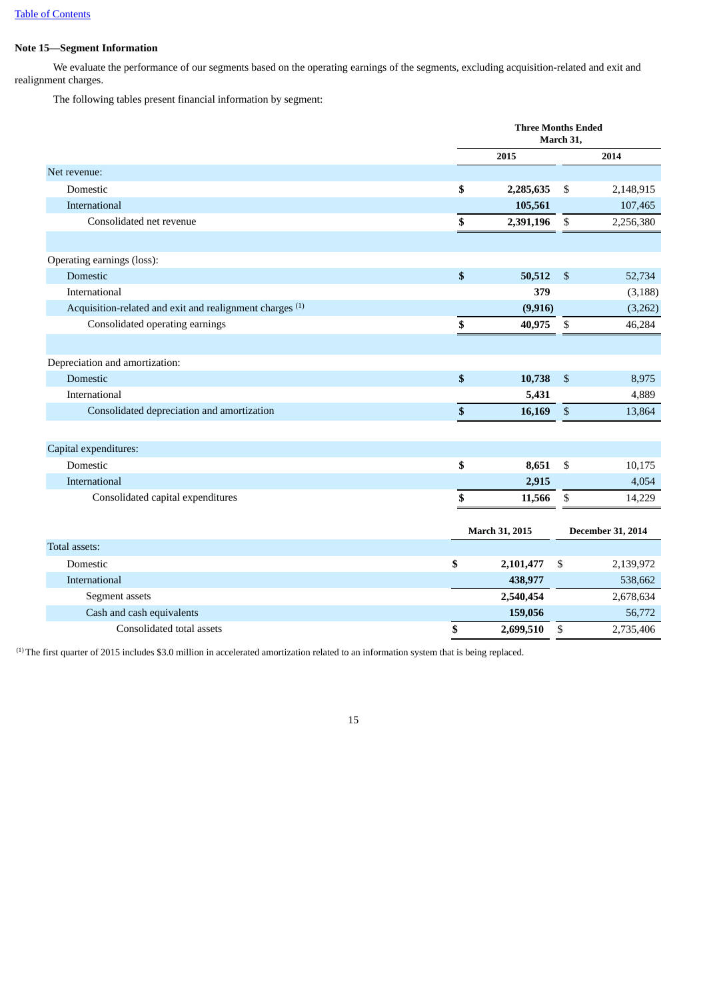### **Note 15—Segment Information**

We evaluate the performance of our segments based on the operating earnings of the segments, excluding acquisition-related and exit and realignment charges.

The following tables present financial information by segment:

|                                                                                                        |                    | <b>Three Months Ended</b> | March 31, |                          |
|--------------------------------------------------------------------------------------------------------|--------------------|---------------------------|-----------|--------------------------|
|                                                                                                        |                    | 2015                      |           | 2014                     |
| Net revenue:                                                                                           |                    |                           |           |                          |
| Domestic                                                                                               | \$                 | 2,285,635                 | \$        | 2,148,915                |
| International                                                                                          |                    | 105,561                   |           | 107,465                  |
| Consolidated net revenue                                                                               | \$                 | 2,391,196                 | \$        | 2,256,380                |
|                                                                                                        |                    |                           |           |                          |
| Operating earnings (loss):                                                                             |                    |                           |           |                          |
| Domestic<br>International                                                                              | $\$$               | 50,512<br>379             | $\$$      | 52,734                   |
|                                                                                                        |                    |                           |           | (3, 188)                 |
| Acquisition-related and exit and realignment charges <sup>(1)</sup><br>Consolidated operating earnings |                    | (9, 916)<br>40,975        |           | (3,262)<br>46,284        |
|                                                                                                        | \$                 |                           | \$        |                          |
| Depreciation and amortization:                                                                         |                    |                           |           |                          |
| Domestic                                                                                               | $\pmb{\mathbb{S}}$ | 10,738                    | $\$$      | 8,975                    |
| International                                                                                          |                    | 5,431                     |           | 4,889                    |
| Consolidated depreciation and amortization                                                             | $\$$               | 16,169                    | \$        | 13,864                   |
| Capital expenditures:                                                                                  |                    |                           |           |                          |
| Domestic                                                                                               | \$                 | 8,651                     | \$        | 10,175                   |
| International                                                                                          |                    | 2,915                     |           | 4,054                    |
| Consolidated capital expenditures                                                                      | \$                 | 11,566                    | \$        | 14,229                   |
|                                                                                                        |                    | March 31, 2015            |           | <b>December 31, 2014</b> |
| Total assets:                                                                                          |                    |                           |           |                          |
| Domestic                                                                                               | \$                 | 2,101,477                 | \$        | 2,139,972                |
| International                                                                                          |                    | 438,977                   |           | 538,662                  |
| Segment assets                                                                                         |                    | 2,540,454                 |           | 2,678,634                |
| Cash and cash equivalents                                                                              |                    | 159,056                   |           | 56,772                   |
| Consolidated total assets                                                                              | \$                 | 2,699,510                 | \$        | 2,735,406                |

(1) The first quarter of 2015 includes \$3.0 million in accelerated amortization related to an information system that is being replaced.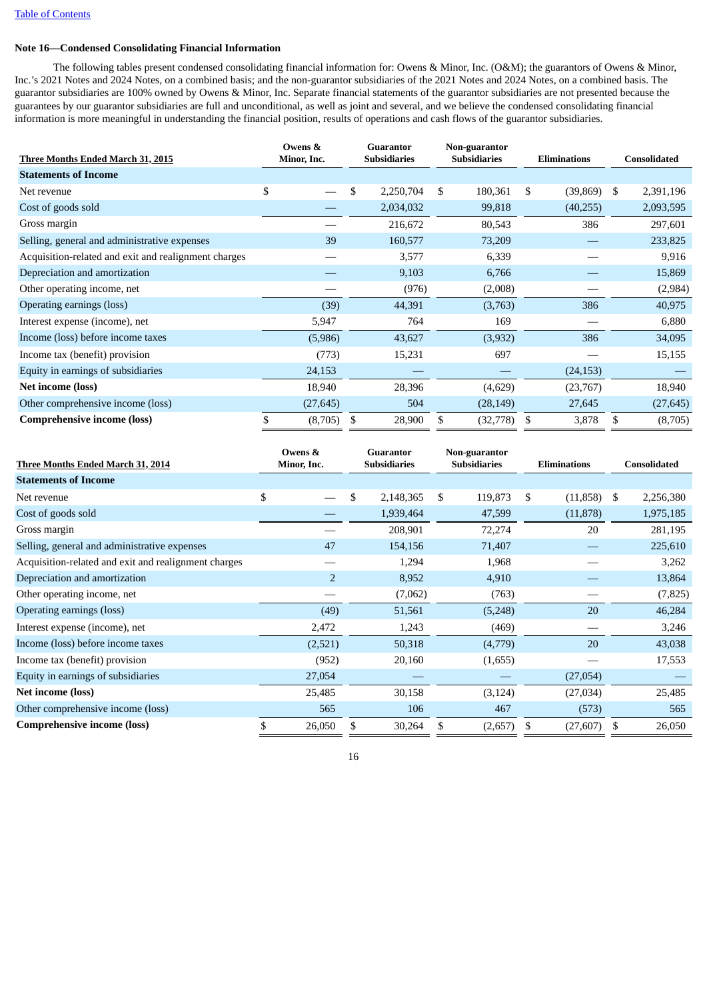### **Note 16—Condensed Consolidating Financial Information**

The following tables present condensed consolidating financial information for: Owens & Minor, Inc. (O&M); the guarantors of Owens & Minor, Inc.'s 2021 Notes and 2024 Notes, on a combined basis; and the non-guarantor subsidiaries of the 2021 Notes and 2024 Notes, on a combined basis. The guarantor subsidiaries are 100% owned by Owens & Minor, Inc. Separate financial statements of the guarantor subsidiaries are not presented because the guarantees by our guarantor subsidiaries are full and unconditional, as well as joint and several, and we believe the condensed consolidating financial information is more meaningful in understanding the financial position, results of operations and cash flows of the guarantor subsidiaries.

| <b>Three Months Ended March 31, 2015</b>             | Owens &<br>Minor, Inc. | Guarantor<br><b>Subsidiaries</b> |           | Non-guarantor<br><b>Subsidiaries</b> |           | <b>Eliminations</b> |           |    | Consolidated |  |
|------------------------------------------------------|------------------------|----------------------------------|-----------|--------------------------------------|-----------|---------------------|-----------|----|--------------|--|
| <b>Statements of Income</b>                          |                        |                                  |           |                                      |           |                     |           |    |              |  |
| Net revenue                                          | \$                     | \$                               | 2,250,704 | \$                                   | 180,361   | \$                  | (39, 869) | \$ | 2,391,196    |  |
| Cost of goods sold                                   |                        |                                  | 2,034,032 |                                      | 99,818    |                     | (40, 255) |    | 2,093,595    |  |
| Gross margin                                         |                        |                                  | 216,672   |                                      | 80,543    |                     | 386       |    | 297,601      |  |
| Selling, general and administrative expenses         | 39                     |                                  | 160,577   |                                      | 73,209    |                     |           |    | 233,825      |  |
| Acquisition-related and exit and realignment charges |                        |                                  | 3,577     |                                      | 6,339     |                     |           |    | 9,916        |  |
| Depreciation and amortization                        |                        |                                  | 9,103     |                                      | 6,766     |                     |           |    | 15,869       |  |
| Other operating income, net                          |                        |                                  | (976)     |                                      | (2,008)   |                     |           |    | (2,984)      |  |
| Operating earnings (loss)                            | (39)                   |                                  | 44,391    |                                      | (3,763)   |                     | 386       |    | 40,975       |  |
| Interest expense (income), net                       | 5,947                  |                                  | 764       |                                      | 169       |                     |           |    | 6,880        |  |
| Income (loss) before income taxes                    | (5,986)                |                                  | 43,627    |                                      | (3,932)   |                     | 386       |    | 34,095       |  |
| Income tax (benefit) provision                       | (773)                  |                                  | 15,231    |                                      | 697       |                     |           |    | 15,155       |  |
| Equity in earnings of subsidiaries                   | 24,153                 |                                  |           |                                      |           |                     | (24, 153) |    |              |  |
| Net income (loss)                                    | 18,940                 |                                  | 28,396    |                                      | (4,629)   |                     | (23,767)  |    | 18,940       |  |
| Other comprehensive income (loss)                    | (27, 645)              |                                  | 504       |                                      | (28, 149) |                     | 27,645    |    | (27, 645)    |  |
| <b>Comprehensive income (loss)</b>                   | \$<br>(8,705)          | \$                               | 28,900    | \$                                   | (32, 778) |                     | 3,878     | S  | (8,705)      |  |

| Three Months Ended March 31, 2014                    | Owens &<br>Minor, Inc. | Guarantor<br>Non-guarantor<br><b>Subsidiaries</b><br><b>Subsidiaries</b> |           | <b>Eliminations</b> |                 | Consolidated |           |
|------------------------------------------------------|------------------------|--------------------------------------------------------------------------|-----------|---------------------|-----------------|--------------|-----------|
| <b>Statements of Income</b>                          |                        |                                                                          |           |                     |                 |              |           |
| Net revenue                                          | \$                     | \$                                                                       | 2,148,365 | \$<br>119,873       | \$<br>(11, 858) | \$           | 2,256,380 |
| Cost of goods sold                                   |                        |                                                                          | 1,939,464 | 47,599              | (11, 878)       |              | 1,975,185 |
| Gross margin                                         |                        |                                                                          | 208,901   | 72,274              | 20              |              | 281,195   |
| Selling, general and administrative expenses         | 47                     |                                                                          | 154,156   | 71,407              |                 |              | 225,610   |
| Acquisition-related and exit and realignment charges |                        |                                                                          | 1,294     | 1,968               |                 |              | 3,262     |
| Depreciation and amortization                        | $\overline{2}$         |                                                                          | 8,952     | 4,910               |                 |              | 13,864    |
| Other operating income, net                          |                        |                                                                          | (7,062)   | (763)               |                 |              | (7,825)   |
| Operating earnings (loss)                            | (49)                   |                                                                          | 51,561    | (5,248)             | 20              |              | 46,284    |
| Interest expense (income), net                       | 2,472                  |                                                                          | 1,243     | (469)               |                 |              | 3,246     |
| Income (loss) before income taxes                    | (2,521)                |                                                                          | 50,318    | (4,779)             | 20              |              | 43,038    |
| Income tax (benefit) provision                       | (952)                  |                                                                          | 20,160    | (1,655)             |                 |              | 17,553    |
| Equity in earnings of subsidiaries                   | 27,054                 |                                                                          |           |                     | (27,054)        |              |           |
| <b>Net income (loss)</b>                             | 25,485                 |                                                                          | 30,158    | (3, 124)            | (27, 034)       |              | 25,485    |
| Other comprehensive income (loss)                    | 565                    |                                                                          | 106       | 467                 | (573)           |              | 565       |
| <b>Comprehensive income (loss)</b>                   | \$<br>26,050           | \$                                                                       | 30,264    | \$<br>(2,657)       | (27, 607)       | S            | 26,050    |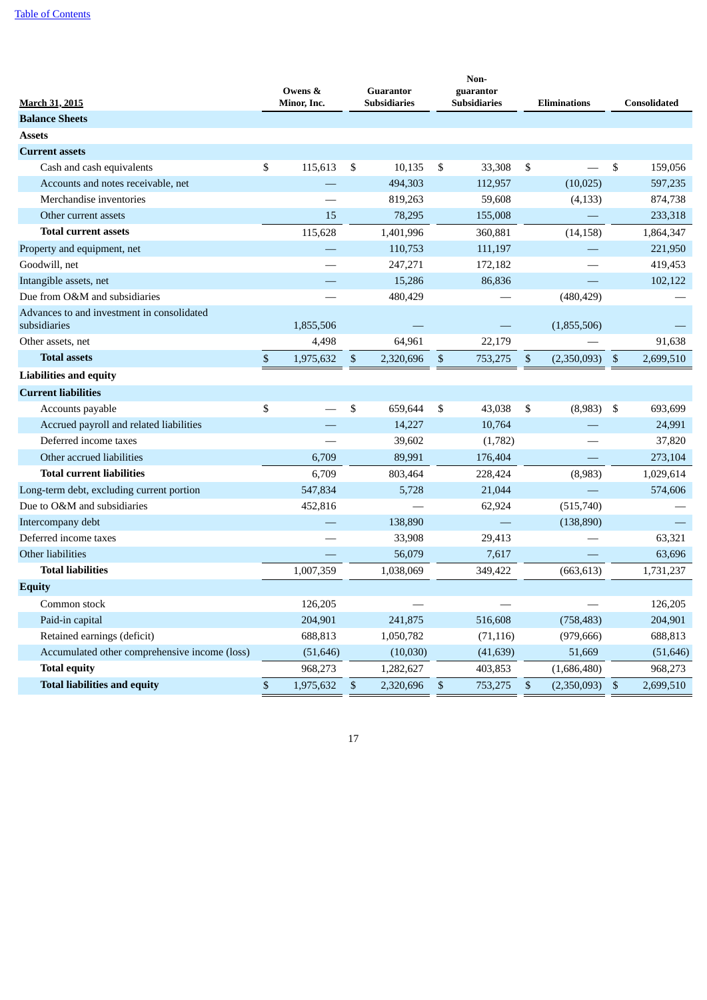| <b>March 31, 2015</b>                                      |                           | Owens &<br>Minor, Inc. |                | Guarantor<br>Subsidiaries | Non-<br>guarantor<br><b>Subsidiaries</b> |              | <b>Eliminations</b> | <b>Consolidated</b> |
|------------------------------------------------------------|---------------------------|------------------------|----------------|---------------------------|------------------------------------------|--------------|---------------------|---------------------|
| <b>Balance Sheets</b>                                      |                           |                        |                |                           |                                          |              |                     |                     |
| <b>Assets</b>                                              |                           |                        |                |                           |                                          |              |                     |                     |
| <b>Current assets</b>                                      |                           |                        |                |                           |                                          |              |                     |                     |
| Cash and cash equivalents                                  | \$                        | 115,613                | \$             | 10,135                    | \$<br>33,308                             | \$           |                     | \$<br>159,056       |
| Accounts and notes receivable, net                         |                           |                        |                | 494,303                   | 112,957                                  |              | (10, 025)           | 597,235             |
| Merchandise inventories                                    |                           |                        |                | 819,263                   | 59,608                                   |              | (4, 133)            | 874,738             |
| Other current assets                                       |                           | 15                     |                | 78,295                    | 155,008                                  |              |                     | 233,318             |
| <b>Total current assets</b>                                |                           | 115,628                |                | 1,401,996                 | 360,881                                  |              | (14, 158)           | 1,864,347           |
| Property and equipment, net                                |                           |                        |                | 110,753                   | 111,197                                  |              |                     | 221,950             |
| Goodwill, net                                              |                           |                        |                | 247,271                   | 172,182                                  |              |                     | 419,453             |
| Intangible assets, net                                     |                           |                        |                | 15,286                    | 86,836                                   |              |                     | 102,122             |
| Due from O&M and subsidiaries                              |                           |                        |                | 480,429                   |                                          |              | (480, 429)          |                     |
| Advances to and investment in consolidated<br>subsidiaries |                           | 1,855,506              |                |                           |                                          |              | (1,855,506)         |                     |
| Other assets, net                                          |                           | 4,498                  |                | 64,961                    | 22,179                                   |              |                     | 91,638              |
| <b>Total assets</b>                                        | $\boldsymbol{\mathsf{S}}$ | 1,975,632              | $\mathfrak{S}$ | 2,320,696                 | \$<br>753,275                            | \$           | (2,350,093)         | \$<br>2,699,510     |
| <b>Liabilities and equity</b>                              |                           |                        |                |                           |                                          |              |                     |                     |
| <b>Current liabilities</b>                                 |                           |                        |                |                           |                                          |              |                     |                     |
| Accounts payable                                           | \$                        |                        | \$             | 659,644                   | \$<br>43,038                             | \$           | (8,983)             | \$<br>693,699       |
| Accrued payroll and related liabilities                    |                           |                        |                | 14,227                    | 10,764                                   |              |                     | 24,991              |
| Deferred income taxes                                      |                           |                        |                | 39,602                    | (1,782)                                  |              |                     | 37,820              |
| Other accrued liabilities                                  |                           | 6,709                  |                | 89,991                    | 176,404                                  |              |                     | 273,104             |
| <b>Total current liabilities</b>                           |                           | 6,709                  |                | 803,464                   | 228,424                                  |              | (8,983)             | 1,029,614           |
| Long-term debt, excluding current portion                  |                           | 547,834                |                | 5,728                     | 21,044                                   |              |                     | 574,606             |
| Due to O&M and subsidiaries                                |                           | 452,816                |                |                           | 62,924                                   |              | (515,740)           |                     |
| Intercompany debt                                          |                           |                        |                | 138,890                   |                                          |              | (138, 890)          |                     |
| Deferred income taxes                                      |                           |                        |                | 33,908                    | 29,413                                   |              |                     | 63,321              |
| Other liabilities                                          |                           |                        |                | 56,079                    | 7,617                                    |              |                     | 63,696              |
| <b>Total liabilities</b>                                   |                           | 1,007,359              |                | 1,038,069                 | 349,422                                  |              | (663, 613)          | 1,731,237           |
| <b>Equity</b>                                              |                           |                        |                |                           |                                          |              |                     |                     |
| Common stock                                               |                           | 126,205                |                |                           |                                          |              |                     | 126,205             |
| Paid-in capital                                            |                           | 204,901                |                | 241,875                   | 516,608                                  |              | (758, 483)          | 204,901             |
| Retained earnings (deficit)                                |                           | 688,813                |                | 1,050,782                 | (71, 116)                                |              | (979, 666)          | 688,813             |
| Accumulated other comprehensive income (loss)              |                           | (51, 646)              |                | (10,030)                  | (41, 639)                                |              | 51,669              | (51, 646)           |
| <b>Total equity</b>                                        |                           | 968,273                |                | 1,282,627                 | 403,853                                  |              | (1,686,480)         | 968,273             |
| <b>Total liabilities and equity</b>                        | $\mathbb{S}$              | 1,975,632              | \$             | 2,320,696                 | \$<br>753,275                            | $\mathbb{S}$ | $(2,350,093)$ \$    | 2,699,510           |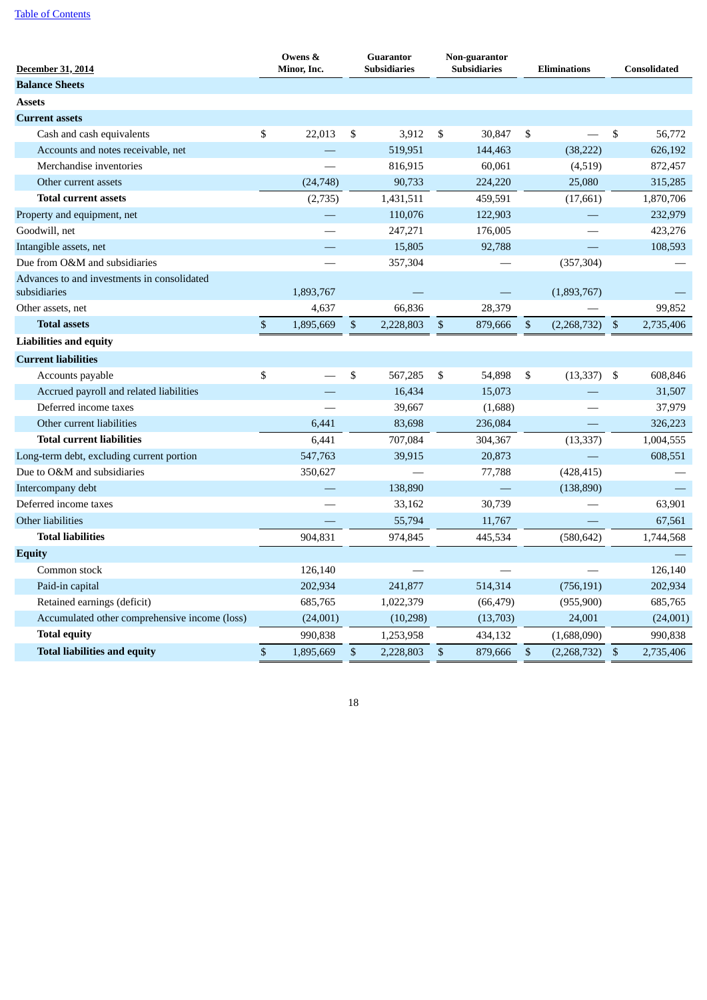| December 31, 2014                                           |                           | Owens &<br>Minor, Inc. | <b>Guarantor</b><br><b>Subsidiaries</b> | Non-guarantor<br><b>Subsidiaries</b> | <b>Eliminations</b> |                | <b>Consolidated</b> |
|-------------------------------------------------------------|---------------------------|------------------------|-----------------------------------------|--------------------------------------|---------------------|----------------|---------------------|
| <b>Balance Sheets</b>                                       |                           |                        |                                         |                                      |                     |                |                     |
| <b>Assets</b>                                               |                           |                        |                                         |                                      |                     |                |                     |
| <b>Current assets</b>                                       |                           |                        |                                         |                                      |                     |                |                     |
| Cash and cash equivalents                                   | \$                        | 22,013                 | \$<br>3,912                             | \$<br>30,847                         | \$                  | \$             | 56,772              |
| Accounts and notes receivable, net                          |                           |                        | 519,951                                 | 144,463                              | (38, 222)           |                | 626,192             |
| Merchandise inventories                                     |                           |                        | 816,915                                 | 60,061                               | (4,519)             |                | 872,457             |
| Other current assets                                        |                           | (24,748)               | 90,733                                  | 224,220                              | 25,080              |                | 315,285             |
| <b>Total current assets</b>                                 |                           | (2,735)                | 1,431,511                               | 459,591                              | (17,661)            |                | 1,870,706           |
| Property and equipment, net                                 |                           |                        | 110,076                                 | 122,903                              |                     |                | 232,979             |
| Goodwill, net                                               |                           |                        | 247,271                                 | 176,005                              |                     |                | 423,276             |
| Intangible assets, net                                      |                           |                        | 15,805                                  | 92,788                               |                     |                | 108,593             |
| Due from O&M and subsidiaries                               |                           |                        | 357,304                                 |                                      | (357, 304)          |                |                     |
| Advances to and investments in consolidated<br>subsidiaries |                           | 1,893,767              |                                         |                                      | (1,893,767)         |                |                     |
| Other assets, net                                           |                           | 4,637                  | 66,836                                  | 28,379                               |                     |                | 99,852              |
| <b>Total assets</b>                                         | \$                        | 1,895,669              | \$<br>2,228,803                         | \$<br>879,666                        | \$<br>(2,268,732)   | $\mathfrak{S}$ | 2,735,406           |
| <b>Liabilities and equity</b>                               |                           |                        |                                         |                                      |                     |                |                     |
| <b>Current liabilities</b>                                  |                           |                        |                                         |                                      |                     |                |                     |
| Accounts payable                                            | \$                        |                        | \$<br>567,285                           | \$<br>54,898                         | \$<br>(13, 337)     | \$             | 608,846             |
| Accrued payroll and related liabilities                     |                           |                        | 16,434                                  | 15,073                               |                     |                | 31,507              |
| Deferred income taxes                                       |                           |                        | 39,667                                  | (1,688)                              |                     |                | 37,979              |
| Other current liabilities                                   |                           | 6,441                  | 83,698                                  | 236,084                              |                     |                | 326,223             |
| <b>Total current liabilities</b>                            |                           | 6,441                  | 707,084                                 | 304,367                              | (13, 337)           |                | 1,004,555           |
| Long-term debt, excluding current portion                   |                           | 547,763                | 39,915                                  | 20,873                               |                     |                | 608,551             |
| Due to O&M and subsidiaries                                 |                           | 350,627                |                                         | 77,788                               | (428, 415)          |                |                     |
| Intercompany debt                                           |                           |                        | 138,890                                 |                                      | (138, 890)          |                |                     |
| Deferred income taxes                                       |                           |                        | 33,162                                  | 30,739                               |                     |                | 63,901              |
| Other liabilities                                           |                           |                        | 55,794                                  | 11,767                               |                     |                | 67,561              |
| <b>Total liabilities</b>                                    |                           | 904,831                | 974,845                                 | 445,534                              | (580, 642)          |                | 1,744,568           |
| <b>Equity</b>                                               |                           |                        |                                         |                                      |                     |                |                     |
| Common stock                                                |                           | 126,140                |                                         |                                      |                     |                | 126,140             |
| Paid-in capital                                             |                           | 202,934                | 241,877                                 | 514,314                              | (756, 191)          |                | 202,934             |
| Retained earnings (deficit)                                 |                           | 685,765                | 1,022,379                               | (66, 479)                            | (955, 900)          |                | 685,765             |
| Accumulated other comprehensive income (loss)               |                           | (24,001)               | (10, 298)                               | (13,703)                             | 24,001              |                | (24,001)            |
| <b>Total equity</b>                                         |                           | 990,838                | 1,253,958                               | 434,132                              | (1,688,090)         |                | 990,838             |
| <b>Total liabilities and equity</b>                         | $\boldsymbol{\mathsf{S}}$ | 1,895,669              | \$<br>2,228,803                         | \$<br>879,666                        | \$<br>(2,268,732)   | $\mathfrak{S}$ | 2,735,406           |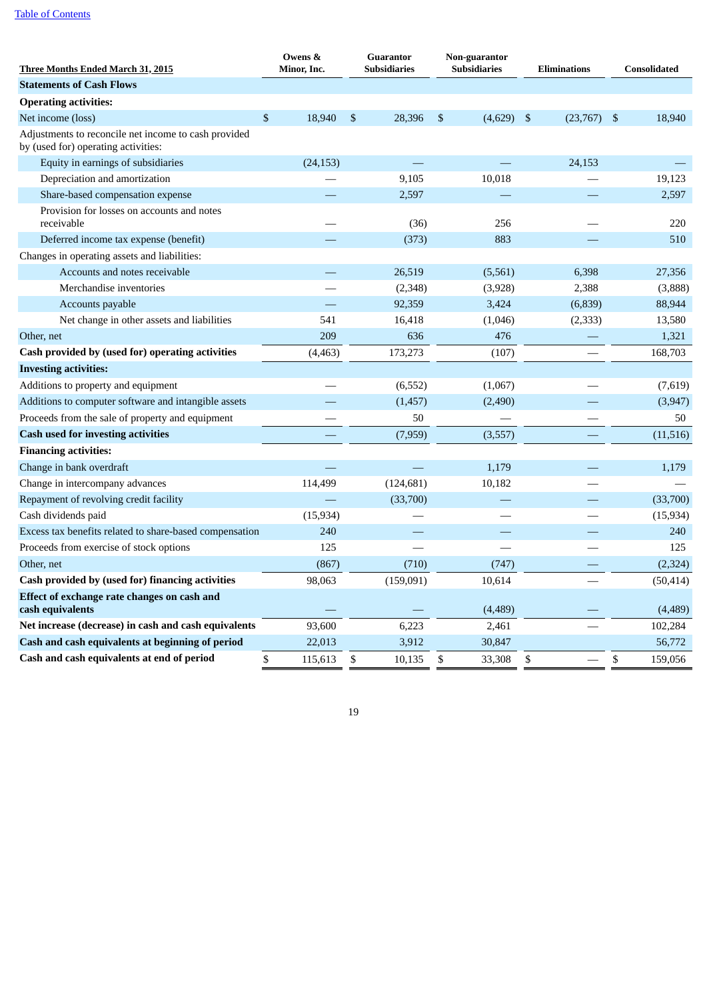| <b>Three Months Ended March 31, 2015</b>                                                    | Owens &<br>Minor, Inc. | Guarantor<br><b>Subsidiaries</b> |      | Non-guarantor<br><b>Subsidiaries</b> |              | <b>Eliminations</b> | <b>Consolidated</b> |
|---------------------------------------------------------------------------------------------|------------------------|----------------------------------|------|--------------------------------------|--------------|---------------------|---------------------|
| <b>Statements of Cash Flows</b>                                                             |                        |                                  |      |                                      |              |                     |                     |
| <b>Operating activities:</b>                                                                |                        |                                  |      |                                      |              |                     |                     |
| Net income (loss)                                                                           | \$<br>18,940           | \$<br>28,396                     | $\$$ | (4,629)                              | $\mathbb{S}$ | (23,767)            | \$<br>18,940        |
| Adjustments to reconcile net income to cash provided<br>by (used for) operating activities: |                        |                                  |      |                                      |              |                     |                     |
| Equity in earnings of subsidiaries                                                          | (24, 153)              |                                  |      |                                      |              | 24,153              |                     |
| Depreciation and amortization                                                               |                        | 9,105                            |      | 10,018                               |              |                     | 19,123              |
| Share-based compensation expense                                                            |                        | 2,597                            |      |                                      |              |                     | 2,597               |
| Provision for losses on accounts and notes<br>receivable                                    |                        | (36)                             |      | 256                                  |              |                     | 220                 |
| Deferred income tax expense (benefit)                                                       |                        | (373)                            |      | 883                                  |              |                     | 510                 |
| Changes in operating assets and liabilities:                                                |                        |                                  |      |                                      |              |                     |                     |
| Accounts and notes receivable                                                               |                        | 26,519                           |      | (5, 561)                             |              | 6,398               | 27,356              |
| Merchandise inventories                                                                     |                        | (2,348)                          |      | (3,928)                              |              | 2,388               | (3,888)             |
| Accounts payable                                                                            |                        | 92,359                           |      | 3,424                                |              | (6, 839)            | 88,944              |
| Net change in other assets and liabilities                                                  | 541                    | 16,418                           |      | (1,046)                              |              | (2, 333)            | 13,580              |
| Other, net                                                                                  | 209                    | 636                              |      | 476                                  |              |                     | 1,321               |
| Cash provided by (used for) operating activities                                            | (4, 463)               | 173,273                          |      | (107)                                |              |                     | 168,703             |
| <b>Investing activities:</b>                                                                |                        |                                  |      |                                      |              |                     |                     |
| Additions to property and equipment                                                         |                        | (6, 552)                         |      | (1,067)                              |              |                     | (7,619)             |
| Additions to computer software and intangible assets                                        |                        | (1, 457)                         |      | (2,490)                              |              |                     | (3,947)             |
| Proceeds from the sale of property and equipment                                            |                        | 50                               |      |                                      |              |                     | 50                  |
| <b>Cash used for investing activities</b>                                                   |                        | (7,959)                          |      | (3,557)                              |              |                     | (11,516)            |
| <b>Financing activities:</b>                                                                |                        |                                  |      |                                      |              |                     |                     |
| Change in bank overdraft                                                                    |                        |                                  |      | 1,179                                |              |                     | 1,179               |
| Change in intercompany advances                                                             | 114,499                | (124, 681)                       |      | 10,182                               |              |                     |                     |
| Repayment of revolving credit facility                                                      |                        | (33,700)                         |      |                                      |              |                     | (33,700)            |
| Cash dividends paid                                                                         | (15, 934)              |                                  |      |                                      |              |                     | (15, 934)           |
| Excess tax benefits related to share-based compensation                                     | 240                    |                                  |      |                                      |              |                     | 240                 |
| Proceeds from exercise of stock options                                                     | 125                    |                                  |      |                                      |              |                     | 125                 |
| Other, net                                                                                  | (867)                  | (710)                            |      | (747)                                |              |                     | (2,324)             |
| Cash provided by (used for) financing activities                                            | 98,063                 | (159,091)                        |      | 10,614                               |              |                     | (50, 414)           |
| Effect of exchange rate changes on cash and<br>cash equivalents                             |                        |                                  |      | (4, 489)                             |              |                     | (4,489)             |
| Net increase (decrease) in cash and cash equivalents                                        | 93,600                 | 6,223                            |      | 2,461                                |              |                     | 102,284             |
| Cash and cash equivalents at beginning of period                                            | 22,013                 | 3,912                            |      | 30,847                               |              |                     | 56,772              |
| Cash and cash equivalents at end of period                                                  | \$<br>115,613          | \$<br>10,135                     | \$   | 33,308                               | \$           |                     | \$<br>159,056       |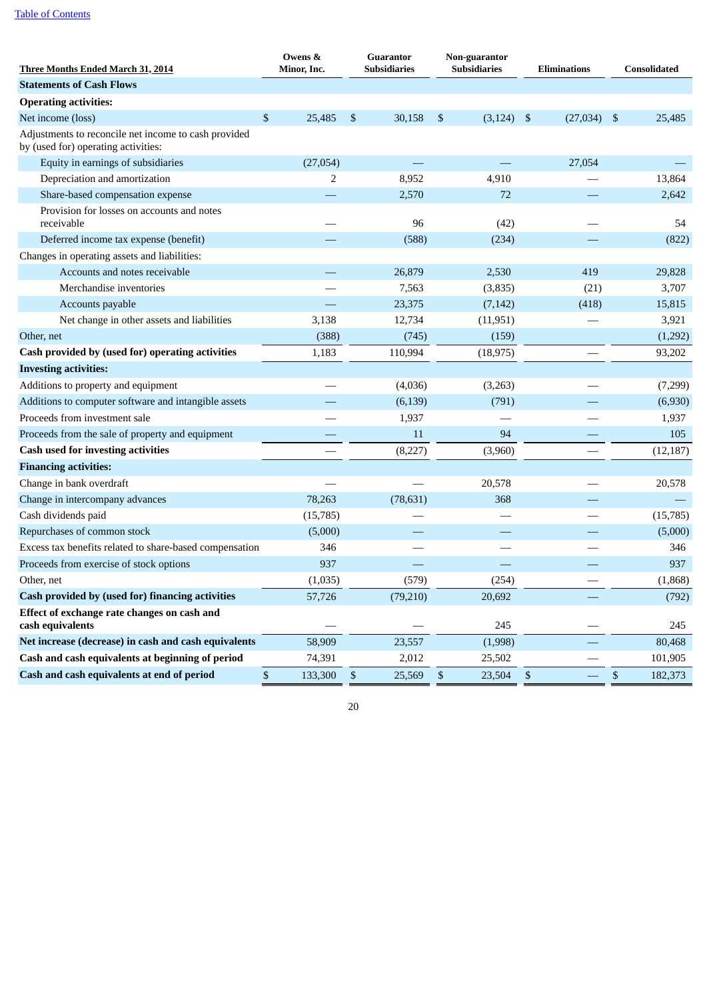| <b>Three Months Ended March 31, 2014</b>                                                    |              | Owens &<br>Minor, Inc. |                           | <b>Guarantor</b><br><b>Subsidiaries</b> |             | Non-guarantor<br><b>Subsidiaries</b> |                | <b>Eliminations</b> |              | <b>Consolidated</b> |
|---------------------------------------------------------------------------------------------|--------------|------------------------|---------------------------|-----------------------------------------|-------------|--------------------------------------|----------------|---------------------|--------------|---------------------|
| <b>Statements of Cash Flows</b>                                                             |              |                        |                           |                                         |             |                                      |                |                     |              |                     |
| <b>Operating activities:</b>                                                                |              |                        |                           |                                         |             |                                      |                |                     |              |                     |
| Net income (loss)                                                                           | \$           | 25,485                 | \$                        | 30,158                                  | \$          | $(3,124)$ \$                         |                | (27, 034)           | \$           | 25,485              |
| Adjustments to reconcile net income to cash provided<br>by (used for) operating activities: |              |                        |                           |                                         |             |                                      |                |                     |              |                     |
| Equity in earnings of subsidiaries                                                          |              | (27,054)               |                           |                                         |             |                                      |                | 27,054              |              |                     |
| Depreciation and amortization                                                               |              | $\overline{2}$         |                           | 8,952                                   |             | 4,910                                |                |                     |              | 13,864              |
| Share-based compensation expense                                                            |              |                        |                           | 2,570                                   |             | 72                                   |                |                     |              | 2,642               |
| Provision for losses on accounts and notes<br>receivable                                    |              |                        |                           | 96                                      |             | (42)                                 |                |                     |              | 54                  |
| Deferred income tax expense (benefit)                                                       |              |                        |                           | (588)                                   |             | (234)                                |                |                     |              | (822)               |
| Changes in operating assets and liabilities:                                                |              |                        |                           |                                         |             |                                      |                |                     |              |                     |
| Accounts and notes receivable                                                               |              |                        |                           | 26,879                                  |             | 2,530                                |                | 419                 |              | 29,828              |
| Merchandise inventories                                                                     |              |                        |                           | 7,563                                   |             | (3,835)                              |                | (21)                |              | 3,707               |
| Accounts payable                                                                            |              |                        |                           | 23,375                                  |             | (7, 142)                             |                | (418)               |              | 15,815              |
| Net change in other assets and liabilities                                                  |              | 3,138                  |                           | 12,734                                  |             | (11, 951)                            |                |                     |              | 3,921               |
| Other, net                                                                                  |              | (388)                  |                           | (745)                                   |             | (159)                                |                |                     |              | (1,292)             |
| Cash provided by (used for) operating activities                                            |              | 1,183                  |                           | 110,994                                 |             | (18, 975)                            |                |                     |              | 93,202              |
| <b>Investing activities:</b>                                                                |              |                        |                           |                                         |             |                                      |                |                     |              |                     |
| Additions to property and equipment                                                         |              |                        |                           | (4,036)                                 |             | (3,263)                              |                |                     |              | (7,299)             |
| Additions to computer software and intangible assets                                        |              |                        |                           | (6, 139)                                |             | (791)                                |                |                     |              | (6,930)             |
| Proceeds from investment sale                                                               |              |                        |                           | 1,937                                   |             |                                      |                |                     |              | 1,937               |
| Proceeds from the sale of property and equipment                                            |              |                        |                           | 11                                      |             | 94                                   |                |                     |              | 105                 |
| <b>Cash used for investing activities</b>                                                   |              |                        |                           | (8,227)                                 |             | (3,960)                              |                |                     |              | (12, 187)           |
| <b>Financing activities:</b>                                                                |              |                        |                           |                                         |             |                                      |                |                     |              |                     |
| Change in bank overdraft                                                                    |              |                        |                           |                                         |             | 20,578                               |                |                     |              | 20,578              |
| Change in intercompany advances                                                             |              | 78,263                 |                           | (78, 631)                               |             | 368                                  |                |                     |              |                     |
| Cash dividends paid                                                                         |              | (15,785)               |                           |                                         |             |                                      |                |                     |              | (15,785)            |
| Repurchases of common stock                                                                 |              | (5,000)                |                           |                                         |             |                                      |                |                     |              | (5,000)             |
| Excess tax benefits related to share-based compensation                                     |              | 346                    |                           |                                         |             |                                      |                |                     |              | 346                 |
| Proceeds from exercise of stock options                                                     |              | 937                    |                           |                                         |             |                                      |                |                     |              | 937                 |
| Other, net                                                                                  |              | (1,035)                |                           | (579)                                   |             | (254)                                |                |                     |              | (1,868)             |
| Cash provided by (used for) financing activities                                            |              | 57,726                 |                           | (79,210)                                |             | 20,692                               |                |                     |              | (792)               |
| Effect of exchange rate changes on cash and<br>cash equivalents                             |              |                        |                           |                                         |             | 245                                  |                |                     |              | 245                 |
| Net increase (decrease) in cash and cash equivalents                                        |              | 58,909                 |                           | 23,557                                  |             | (1,998)                              |                |                     |              | 80,468              |
| Cash and cash equivalents at beginning of period                                            |              | 74,391                 |                           | 2,012                                   |             | 25,502                               |                |                     |              | 101,905             |
| Cash and cash equivalents at end of period                                                  | $\mathbb{S}$ | 133,300                | $\boldsymbol{\mathsf{S}}$ | 25,569                                  | $\mathbb S$ | 23,504                               | $\mathfrak{S}$ |                     | $\mathbb{S}$ | 182,373             |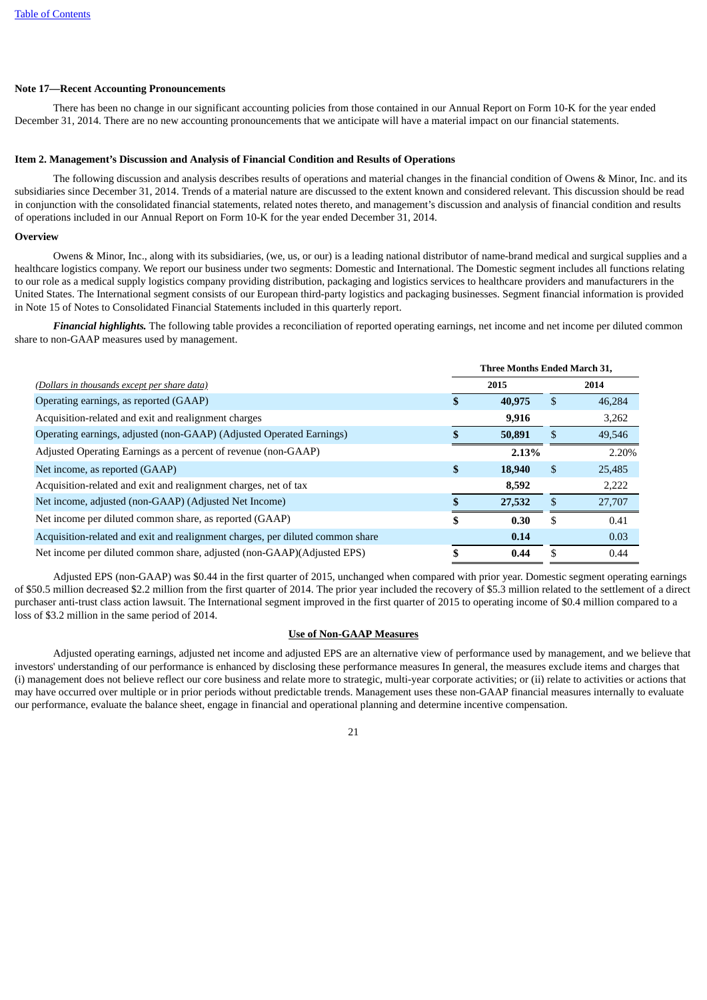#### **Note 17—Recent Accounting Pronouncements**

There has been no change in our significant accounting policies from those contained in our Annual Report on Form 10-K for the year ended December 31, 2014. There are no new accounting pronouncements that we anticipate will have a material impact on our financial statements.

#### <span id="page-20-0"></span>**Item 2. Management's Discussion and Analysis of Financial Condition and Results of Operations**

The following discussion and analysis describes results of operations and material changes in the financial condition of Owens & Minor, Inc. and its subsidiaries since December 31, 2014. Trends of a material nature are discussed to the extent known and considered relevant. This discussion should be read in conjunction with the consolidated financial statements, related notes thereto, and management's discussion and analysis of financial condition and results of operations included in our Annual Report on Form 10-K for the year ended December 31, 2014.

#### **Overview**

Owens & Minor, Inc., along with its subsidiaries, (we, us, or our) is a leading national distributor of name-brand medical and surgical supplies and a healthcare logistics company. We report our business under two segments: Domestic and International. The Domestic segment includes all functions relating to our role as a medical supply logistics company providing distribution, packaging and logistics services to healthcare providers and manufacturers in the United States. The International segment consists of our European third-party logistics and packaging businesses. Segment financial information is provided in Note 15 of Notes to Consolidated Financial Statements included in this quarterly report.

*Financial highlights.* The following table provides a reconciliation of reported operating earnings, net income and net income per diluted common share to non-GAAP measures used by management.

|                                                                                | Three Months Ended March 31, |        |    |        |
|--------------------------------------------------------------------------------|------------------------------|--------|----|--------|
| (Dollars in thousands except per share data)                                   |                              | 2015   |    | 2014   |
| Operating earnings, as reported (GAAP)                                         | S                            | 40,975 | \$ | 46,284 |
| Acquisition-related and exit and realignment charges                           |                              | 9,916  |    | 3,262  |
| Operating earnings, adjusted (non-GAAP) (Adjusted Operated Earnings)           |                              | 50,891 | \$ | 49,546 |
| Adjusted Operating Earnings as a percent of revenue (non-GAAP)                 |                              | 2.13%  |    | 2.20%  |
| Net income, as reported (GAAP)                                                 | \$                           | 18,940 | \$ | 25,485 |
| Acquisition-related and exit and realignment charges, net of tax               |                              | 8,592  |    | 2,222  |
| Net income, adjusted (non-GAAP) (Adjusted Net Income)                          |                              | 27,532 | \$ | 27,707 |
| Net income per diluted common share, as reported (GAAP)                        | \$                           | 0.30   | \$ | 0.41   |
| Acquisition-related and exit and realignment charges, per diluted common share |                              | 0.14   |    | 0.03   |
| Net income per diluted common share, adjusted (non-GAAP)(Adjusted EPS)         | \$                           | 0.44   | \$ | 0.44   |

Adjusted EPS (non-GAAP) was \$0.44 in the first quarter of 2015, unchanged when compared with prior year. Domestic segment operating earnings of \$50.5 million decreased \$2.2 million from the first quarter of 2014. The prior year included the recovery of \$5.3 million related to the settlement of a direct purchaser anti-trust class action lawsuit. The International segment improved in the first quarter of 2015 to operating income of \$0.4 million compared to a loss of \$3.2 million in the same period of 2014.

#### **Use of Non-GAAP Measures**

Adjusted operating earnings, adjusted net income and adjusted EPS are an alternative view of performance used by management, and we believe that investors' understanding of our performance is enhanced by disclosing these performance measures In general, the measures exclude items and charges that (i) management does not believe reflect our core business and relate more to strategic, multi-year corporate activities; or (ii) relate to activities or actions that may have occurred over multiple or in prior periods without predictable trends. Management uses these non-GAAP financial measures internally to evaluate our performance, evaluate the balance sheet, engage in financial and operational planning and determine incentive compensation.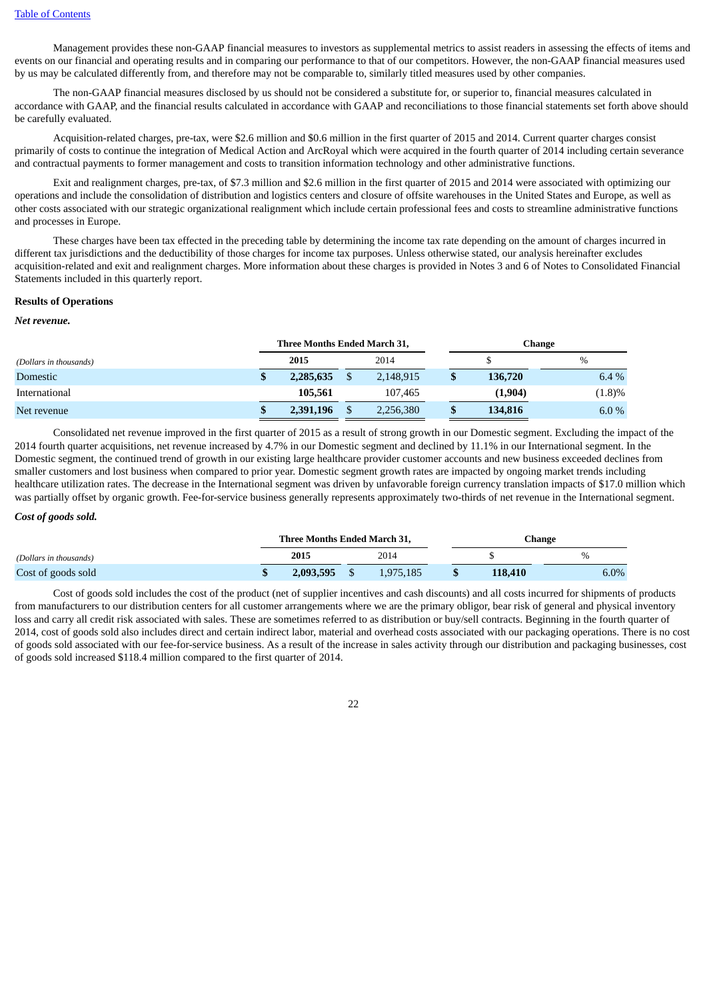Management provides these non-GAAP financial measures to investors as supplemental metrics to assist readers in assessing the effects of items and events on our financial and operating results and in comparing our performance to that of our competitors. However, the non-GAAP financial measures used by us may be calculated differently from, and therefore may not be comparable to, similarly titled measures used by other companies.

The non-GAAP financial measures disclosed by us should not be considered a substitute for, or superior to, financial measures calculated in accordance with GAAP, and the financial results calculated in accordance with GAAP and reconciliations to those financial statements set forth above should be carefully evaluated.

Acquisition-related charges, pre-tax, were \$2.6 million and \$0.6 million in the first quarter of 2015 and 2014. Current quarter charges consist primarily of costs to continue the integration of Medical Action and ArcRoyal which were acquired in the fourth quarter of 2014 including certain severance and contractual payments to former management and costs to transition information technology and other administrative functions.

Exit and realignment charges, pre-tax, of \$7.3 million and \$2.6 million in the first quarter of 2015 and 2014 were associated with optimizing our operations and include the consolidation of distribution and logistics centers and closure of offsite warehouses in the United States and Europe, as well as other costs associated with our strategic organizational realignment which include certain professional fees and costs to streamline administrative functions and processes in Europe.

These charges have been tax effected in the preceding table by determining the income tax rate depending on the amount of charges incurred in different tax jurisdictions and the deductibility of those charges for income tax purposes. Unless otherwise stated, our analysis hereinafter excludes acquisition-related and exit and realignment charges. More information about these charges is provided in Notes 3 and 6 of Notes to Consolidated Financial Statements included in this quarterly report.

#### **Results of Operations**

#### *Net revenue.*

|                        |      | Three Months Ended March 31, |  |           |  | Change  |         |  |  |
|------------------------|------|------------------------------|--|-----------|--|---------|---------|--|--|
| (Dollars in thousands) | 2015 |                              |  | 2014      |  |         | $\%$    |  |  |
| Domestic               |      | 2,285,635                    |  | 2,148,915 |  | 136,720 | $6.4\%$ |  |  |
| International          |      | 105,561                      |  | 107.465   |  | (1,904) | (1.8)%  |  |  |
| Net revenue            |      | 2,391,196                    |  | 2,256,380 |  | 134,816 | 6.0 $%$ |  |  |

Consolidated net revenue improved in the first quarter of 2015 as a result of strong growth in our Domestic segment. Excluding the impact of the 2014 fourth quarter acquisitions, net revenue increased by 4.7% in our Domestic segment and declined by 11.1% in our International segment. In the Domestic segment, the continued trend of growth in our existing large healthcare provider customer accounts and new business exceeded declines from smaller customers and lost business when compared to prior year. Domestic segment growth rates are impacted by ongoing market trends including healthcare utilization rates. The decrease in the International segment was driven by unfavorable foreign currency translation impacts of \$17.0 million which was partially offset by organic growth. Fee-for-service business generally represents approximately two-thirds of net revenue in the International segment.

#### *Cost of goods sold.*

|                        | Three Months Ended March 31. |           |  |           |   | Change |         |  |         |
|------------------------|------------------------------|-----------|--|-----------|---|--------|---------|--|---------|
| (Dollars in thousands) | 2015<br>2014                 |           |  |           | % |        |         |  |         |
| Cost of goods sold     |                              | 2.093.595 |  | 1.975.185 |   |        | 118.410 |  | $6.0\%$ |

Cost of goods sold includes the cost of the product (net of supplier incentives and cash discounts) and all costs incurred for shipments of products from manufacturers to our distribution centers for all customer arrangements where we are the primary obligor, bear risk of general and physical inventory loss and carry all credit risk associated with sales. These are sometimes referred to as distribution or buy/sell contracts. Beginning in the fourth quarter of 2014, cost of goods sold also includes direct and certain indirect labor, material and overhead costs associated with our packaging operations. There is no cost of goods sold associated with our fee-for-service business. As a result of the increase in sales activity through our distribution and packaging businesses, cost of goods sold increased \$118.4 million compared to the first quarter of 2014.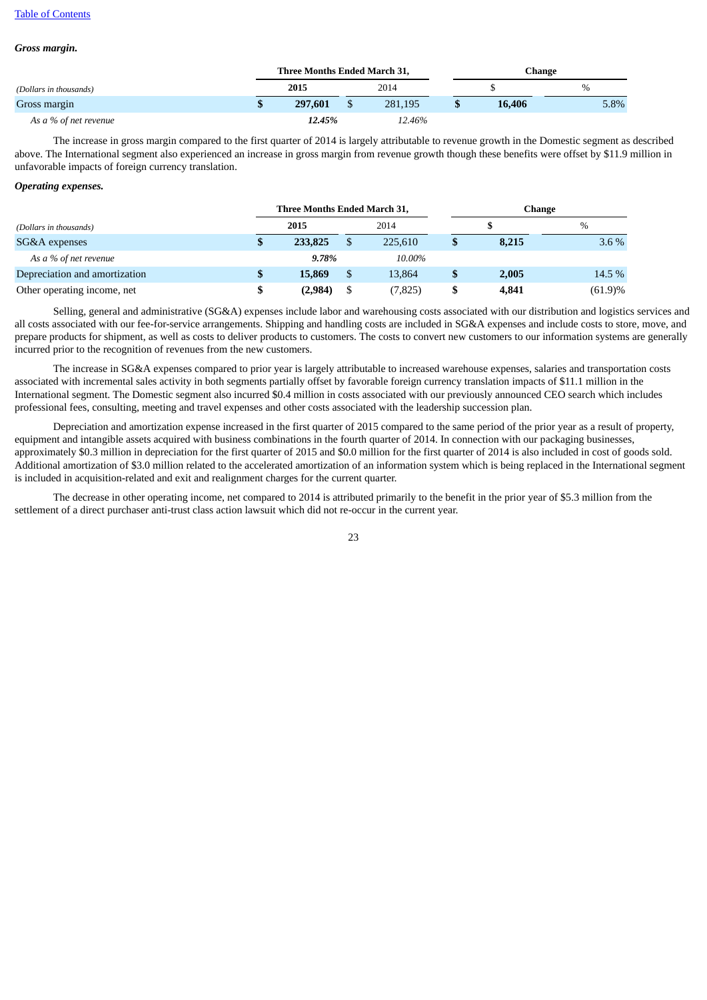#### *Gross margin.*

|                        |  | Three Months Ended March 31,<br>Change |      |         |    |        |      |  |
|------------------------|--|----------------------------------------|------|---------|----|--------|------|--|
| (Dollars in thousands) |  | 2015                                   | 2014 |         |    |        | $\%$ |  |
| Gross margin           |  | 297,601                                |      | 281.195 | J. | 16,406 | 5.8% |  |
| As a % of net revenue  |  | 12.45%                                 |      | 12.46%  |    |        |      |  |

The increase in gross margin compared to the first quarter of 2014 is largely attributable to revenue growth in the Domestic segment as described above. The International segment also experienced an increase in gross margin from revenue growth though these benefits were offset by \$11.9 million in unfavorable impacts of foreign currency translation.

#### *Operating expenses.*

|                               | Three Months Ended March 31, |      |          | Change |       |               |  |
|-------------------------------|------------------------------|------|----------|--------|-------|---------------|--|
| (Dollars in thousands)        | 2015                         | 2014 |          |        |       | $\frac{0}{0}$ |  |
| SG&A expenses                 | 233,825                      |      | 225,610  |        | 8,215 | $3.6\%$       |  |
| As a % of net revenue         | 9.78%                        |      | 10.00%   |        |       |               |  |
| Depreciation and amortization | 15,869                       |      | 13.864   |        | 2,005 | 14.5 %        |  |
| Other operating income, net   | (2,984)                      |      | (7, 825) |        | 4,841 | $(61.9)\%$    |  |

Selling, general and administrative (SG&A) expenses include labor and warehousing costs associated with our distribution and logistics services and all costs associated with our fee-for-service arrangements. Shipping and handling costs are included in SG&A expenses and include costs to store, move, and prepare products for shipment, as well as costs to deliver products to customers. The costs to convert new customers to our information systems are generally incurred prior to the recognition of revenues from the new customers.

The increase in SG&A expenses compared to prior year is largely attributable to increased warehouse expenses, salaries and transportation costs associated with incremental sales activity in both segments partially offset by favorable foreign currency translation impacts of \$11.1 million in the International segment. The Domestic segment also incurred \$0.4 million in costs associated with our previously announced CEO search which includes professional fees, consulting, meeting and travel expenses and other costs associated with the leadership succession plan.

Depreciation and amortization expense increased in the first quarter of 2015 compared to the same period of the prior year as a result of property, equipment and intangible assets acquired with business combinations in the fourth quarter of 2014. In connection with our packaging businesses, approximately \$0.3 million in depreciation for the first quarter of 2015 and \$0.0 million for the first quarter of 2014 is also included in cost of goods sold. Additional amortization of \$3.0 million related to the accelerated amortization of an information system which is being replaced in the International segment is included in acquisition-related and exit and realignment charges for the current quarter.

The decrease in other operating income, net compared to 2014 is attributed primarily to the benefit in the prior year of \$5.3 million from the settlement of a direct purchaser anti-trust class action lawsuit which did not re-occur in the current year.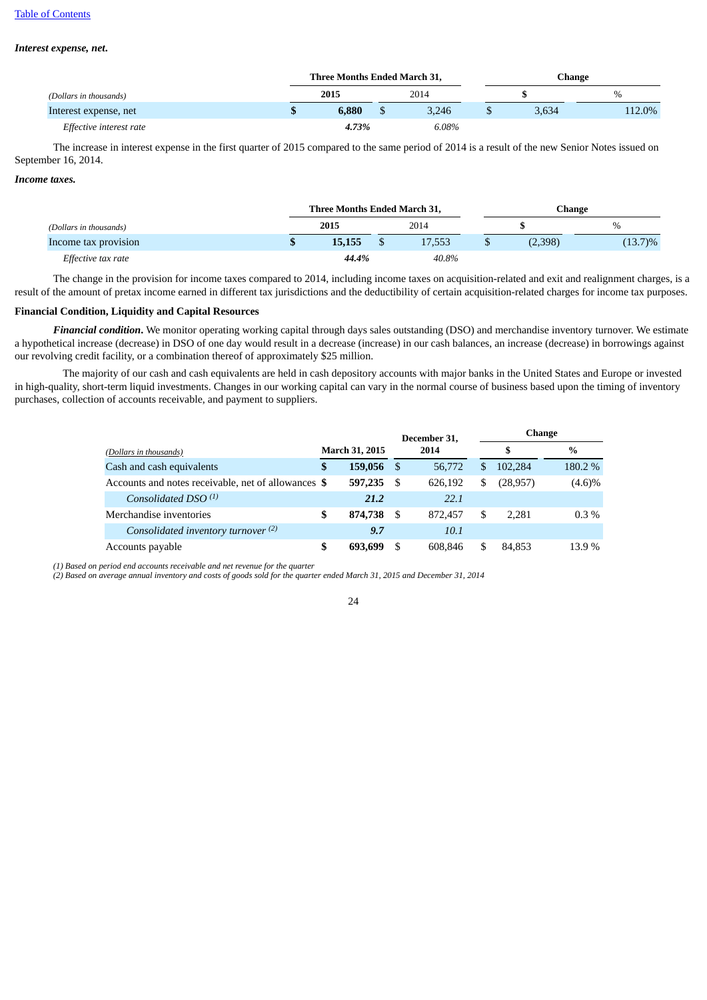#### *Interest expense, net***.**

|                         | Three Months Ended March 31, |       | Change |       |               |  |
|-------------------------|------------------------------|-------|--------|-------|---------------|--|
| (Dollars in thousands)  | 2015                         | 2014  |        |       | $\frac{0}{0}$ |  |
| Interest expense, net   | 6,880                        | 3.246 |        | 3.634 | 112.0%        |  |
| Effective interest rate | 4.73%                        | 6.08% |        |       |               |  |

The increase in interest expense in the first quarter of 2015 compared to the same period of 2014 is a result of the new Senior Notes issued on September 16, 2014.

#### *Income taxes.*

|                        | Three Months Ended March 31, |      |        |  |         | Change     |  |  |
|------------------------|------------------------------|------|--------|--|---------|------------|--|--|
| (Dollars in thousands) | 2015                         | 2014 |        |  |         | $\%$       |  |  |
| Income tax provision   | 15,155                       |      | 17.553 |  | (2,398) | $(13.7)\%$ |  |  |
| Effective tax rate     | 44.4%                        |      | 40.8%  |  |         |            |  |  |

The change in the provision for income taxes compared to 2014, including income taxes on acquisition-related and exit and realignment charges, is a result of the amount of pretax income earned in different tax jurisdictions and the deductibility of certain acquisition-related charges for income tax purposes.

#### **Financial Condition, Liquidity and Capital Resources**

*Financial condition***.** We monitor operating working capital through days sales outstanding (DSO) and merchandise inventory turnover. We estimate a hypothetical increase (decrease) in DSO of one day would result in a decrease (increase) in our cash balances, an increase (decrease) in borrowings against our revolving credit facility, or a combination thereof of approximately \$25 million.

The majority of our cash and cash equivalents are held in cash depository accounts with major banks in the United States and Europe or invested in high-quality, short-term liquid investments. Changes in our working capital can vary in the normal course of business based upon the timing of inventory purchases, collection of accounts receivable, and payment to suppliers.

|                                                     |     |                | December 31. |         | Change |           |           |
|-----------------------------------------------------|-----|----------------|--------------|---------|--------|-----------|-----------|
| (Dollars in thousands)                              |     | March 31, 2015 |              | 2014    |        | \$        | $\%$      |
| Cash and cash equivalents                           | S   | 159,056        | - \$         | 56,772  | \$     | 102.284   | 180.2 %   |
| Accounts and notes receivable, net of allowances \$ |     | 597,235        | - \$         | 626,192 | \$     | (28, 957) | $(4.6)\%$ |
| Consolidated DSO $(1)$                              |     | 21.2           |              | 22.1    |        |           |           |
| Merchandise inventories                             | \$  | 874,738        | -\$          | 872.457 | S      | 2.281     | $0.3\%$   |
| Consolidated inventory turnover (2)                 |     | 9.7            |              | 10.1    |        |           |           |
| Accounts payable                                    | \$. | 693.699        | -S           | 608.846 | \$     | 84.853    | 13.9%     |

*(1) Based on period end accounts receivable and net revenue for the quarter*

(2) Based on average annual inventory and costs of goods sold for the quarter ended March 31, 2015 and December 31, 2014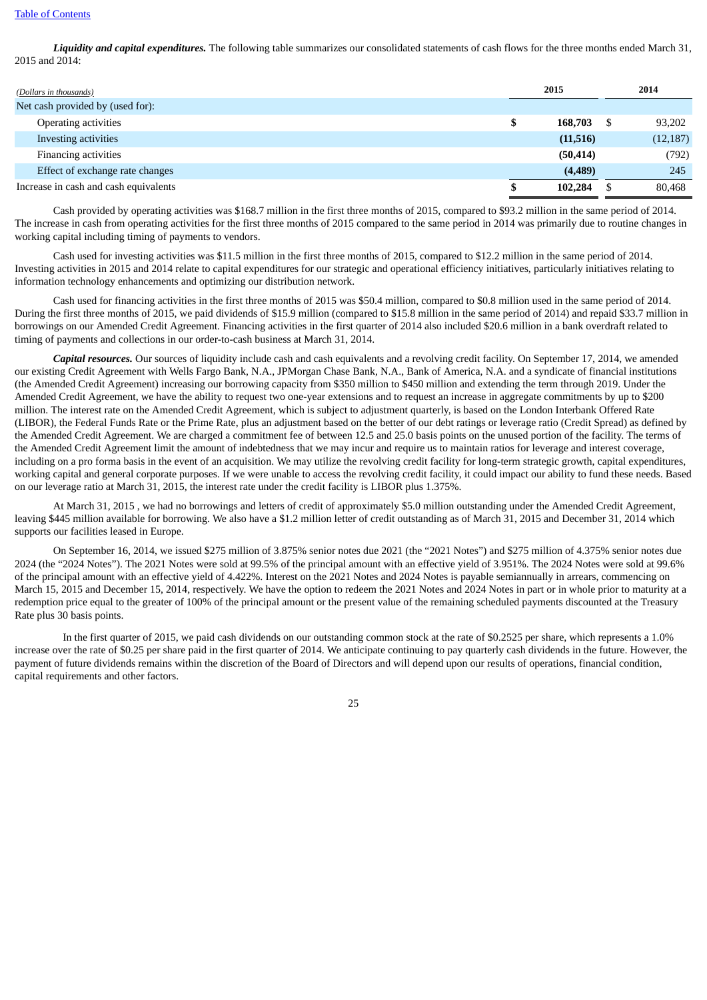*Liquidity and capital expenditures.* The following table summarizes our consolidated statements of cash flows for the three months ended March 31, 2015 and 2014:

| (Dollars in thousands)                | 2015      |      | 2014      |
|---------------------------------------|-----------|------|-----------|
| Net cash provided by (used for):      |           |      |           |
| Operating activities                  | 168,703   | - \$ | 93,202    |
| Investing activities                  | (11,516)  |      | (12, 187) |
| <b>Financing activities</b>           | (50, 414) |      | (792)     |
| Effect of exchange rate changes       | (4,489)   |      | 245       |
| Increase in cash and cash equivalents | 102,284   |      | 80,468    |

Cash provided by operating activities was \$168.7 million in the first three months of 2015, compared to \$93.2 million in the same period of 2014. The increase in cash from operating activities for the first three months of 2015 compared to the same period in 2014 was primarily due to routine changes in working capital including timing of payments to vendors.

Cash used for investing activities was \$11.5 million in the first three months of 2015, compared to \$12.2 million in the same period of 2014. Investing activities in 2015 and 2014 relate to capital expenditures for our strategic and operational efficiency initiatives, particularly initiatives relating to information technology enhancements and optimizing our distribution network.

Cash used for financing activities in the first three months of 2015 was \$50.4 million, compared to \$0.8 million used in the same period of 2014. During the first three months of 2015, we paid dividends of \$15.9 million (compared to \$15.8 million in the same period of 2014) and repaid \$33.7 million in borrowings on our Amended Credit Agreement. Financing activities in the first quarter of 2014 also included \$20.6 million in a bank overdraft related to timing of payments and collections in our order-to-cash business at March 31, 2014.

*Capital resources.* Our sources of liquidity include cash and cash equivalents and a revolving credit facility. On September 17, 2014, we amended our existing Credit Agreement with Wells Fargo Bank, N.A., JPMorgan Chase Bank, N.A., Bank of America, N.A. and a syndicate of financial institutions (the Amended Credit Agreement) increasing our borrowing capacity from \$350 million to \$450 million and extending the term through 2019. Under the Amended Credit Agreement, we have the ability to request two one-year extensions and to request an increase in aggregate commitments by up to \$200 million. The interest rate on the Amended Credit Agreement, which is subject to adjustment quarterly, is based on the London Interbank Offered Rate (LIBOR), the Federal Funds Rate or the Prime Rate, plus an adjustment based on the better of our debt ratings or leverage ratio (Credit Spread) as defined by the Amended Credit Agreement. We are charged a commitment fee of between 12.5 and 25.0 basis points on the unused portion of the facility. The terms of the Amended Credit Agreement limit the amount of indebtedness that we may incur and require us to maintain ratios for leverage and interest coverage, including on a pro forma basis in the event of an acquisition. We may utilize the revolving credit facility for long-term strategic growth, capital expenditures, working capital and general corporate purposes. If we were unable to access the revolving credit facility, it could impact our ability to fund these needs. Based on our leverage ratio at March 31, 2015, the interest rate under the credit facility is LIBOR plus 1.375%.

At March 31, 2015 , we had no borrowings and letters of credit of approximately \$5.0 million outstanding under the Amended Credit Agreement, leaving \$445 million available for borrowing. We also have a \$1.2 million letter of credit outstanding as of March 31, 2015 and December 31, 2014 which supports our facilities leased in Europe.

On September 16, 2014, we issued \$275 million of 3.875% senior notes due 2021 (the "2021 Notes") and \$275 million of 4.375% senior notes due 2024 (the "2024 Notes"). The 2021 Notes were sold at 99.5% of the principal amount with an effective yield of 3.951%. The 2024 Notes were sold at 99.6% of the principal amount with an effective yield of 4.422%. Interest on the 2021 Notes and 2024 Notes is payable semiannually in arrears, commencing on March 15, 2015 and December 15, 2014, respectively. We have the option to redeem the 2021 Notes and 2024 Notes in part or in whole prior to maturity at a redemption price equal to the greater of 100% of the principal amount or the present value of the remaining scheduled payments discounted at the Treasury Rate plus 30 basis points.

In the first quarter of 2015, we paid cash dividends on our outstanding common stock at the rate of \$0.2525 per share, which represents a 1.0% increase over the rate of \$0.25 per share paid in the first quarter of 2014. We anticipate continuing to pay quarterly cash dividends in the future. However, the payment of future dividends remains within the discretion of the Board of Directors and will depend upon our results of operations, financial condition, capital requirements and other factors.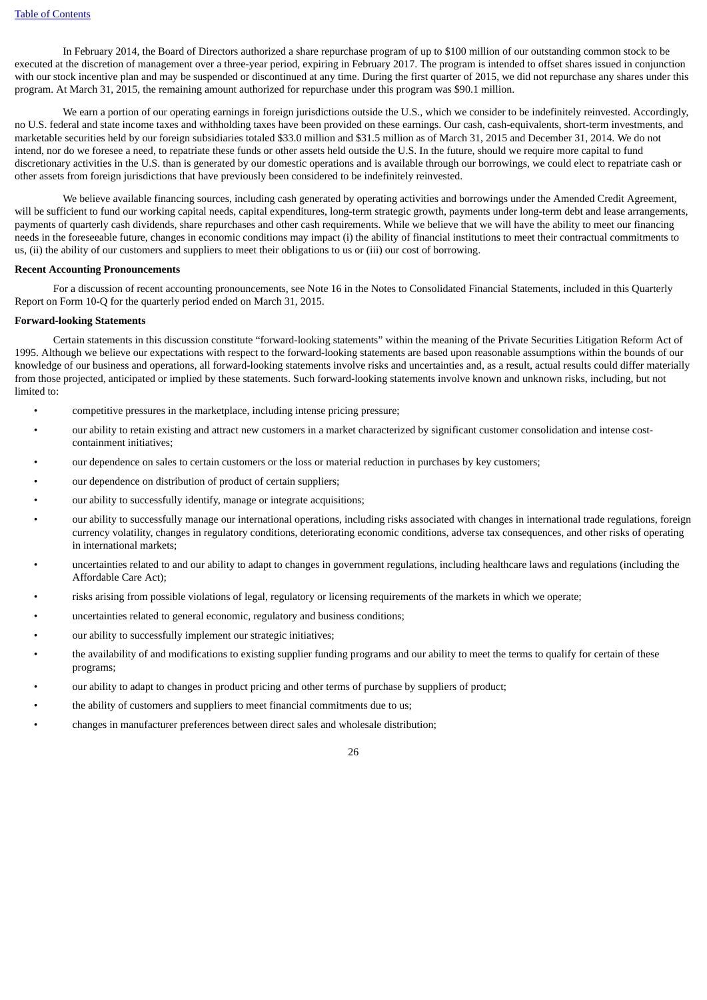In February 2014, the Board of Directors authorized a share repurchase program of up to \$100 million of our outstanding common stock to be executed at the discretion of management over a three-year period, expiring in February 2017. The program is intended to offset shares issued in conjunction with our stock incentive plan and may be suspended or discontinued at any time. During the first quarter of 2015, we did not repurchase any shares under this program. At March 31, 2015, the remaining amount authorized for repurchase under this program was \$90.1 million.

We earn a portion of our operating earnings in foreign jurisdictions outside the U.S., which we consider to be indefinitely reinvested. Accordingly, no U.S. federal and state income taxes and withholding taxes have been provided on these earnings. Our cash, cash-equivalents, short-term investments, and marketable securities held by our foreign subsidiaries totaled \$33.0 million and \$31.5 million as of March 31, 2015 and December 31, 2014. We do not intend, nor do we foresee a need, to repatriate these funds or other assets held outside the U.S. In the future, should we require more capital to fund discretionary activities in the U.S. than is generated by our domestic operations and is available through our borrowings, we could elect to repatriate cash or other assets from foreign jurisdictions that have previously been considered to be indefinitely reinvested.

We believe available financing sources, including cash generated by operating activities and borrowings under the Amended Credit Agreement, will be sufficient to fund our working capital needs, capital expenditures, long-term strategic growth, payments under long-term debt and lease arrangements, payments of quarterly cash dividends, share repurchases and other cash requirements. While we believe that we will have the ability to meet our financing needs in the foreseeable future, changes in economic conditions may impact (i) the ability of financial institutions to meet their contractual commitments to us, (ii) the ability of our customers and suppliers to meet their obligations to us or (iii) our cost of borrowing.

#### **Recent Accounting Pronouncements**

For a discussion of recent accounting pronouncements, see Note 16 in the Notes to Consolidated Financial Statements, included in this Quarterly Report on Form 10-Q for the quarterly period ended on March 31, 2015.

#### **Forward-looking Statements**

Certain statements in this discussion constitute "forward-looking statements" within the meaning of the Private Securities Litigation Reform Act of 1995. Although we believe our expectations with respect to the forward-looking statements are based upon reasonable assumptions within the bounds of our knowledge of our business and operations, all forward-looking statements involve risks and uncertainties and, as a result, actual results could differ materially from those projected, anticipated or implied by these statements. Such forward-looking statements involve known and unknown risks, including, but not limited to:

- competitive pressures in the marketplace, including intense pricing pressure;
- our ability to retain existing and attract new customers in a market characterized by significant customer consolidation and intense costcontainment initiatives;
- our dependence on sales to certain customers or the loss or material reduction in purchases by key customers;
- our dependence on distribution of product of certain suppliers;
- our ability to successfully identify, manage or integrate acquisitions;
- our ability to successfully manage our international operations, including risks associated with changes in international trade regulations, foreign currency volatility, changes in regulatory conditions, deteriorating economic conditions, adverse tax consequences, and other risks of operating in international markets;
- uncertainties related to and our ability to adapt to changes in government regulations, including healthcare laws and regulations (including the Affordable Care Act);
- risks arising from possible violations of legal, regulatory or licensing requirements of the markets in which we operate;
- uncertainties related to general economic, regulatory and business conditions;
- our ability to successfully implement our strategic initiatives;
- the availability of and modifications to existing supplier funding programs and our ability to meet the terms to qualify for certain of these programs;
- our ability to adapt to changes in product pricing and other terms of purchase by suppliers of product;
- the ability of customers and suppliers to meet financial commitments due to us;
- changes in manufacturer preferences between direct sales and wholesale distribution;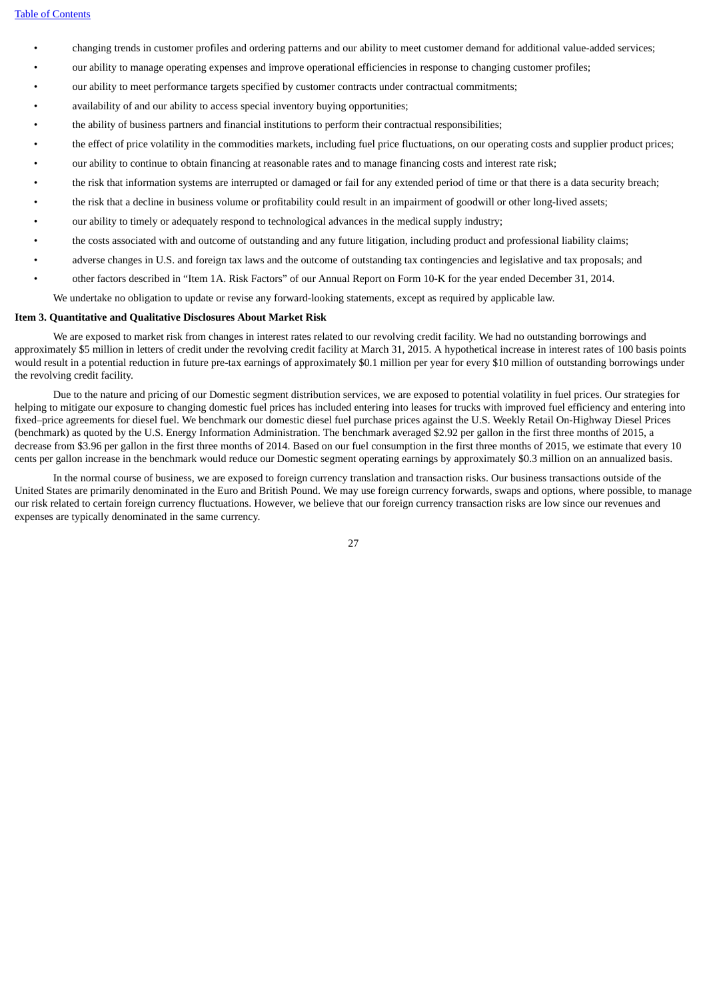- changing trends in customer profiles and ordering patterns and our ability to meet customer demand for additional value-added services;
- our ability to manage operating expenses and improve operational efficiencies in response to changing customer profiles;
- our ability to meet performance targets specified by customer contracts under contractual commitments;
- availability of and our ability to access special inventory buying opportunities;
- the ability of business partners and financial institutions to perform their contractual responsibilities;
- the effect of price volatility in the commodities markets, including fuel price fluctuations, on our operating costs and supplier product prices;
- our ability to continue to obtain financing at reasonable rates and to manage financing costs and interest rate risk;
- the risk that information systems are interrupted or damaged or fail for any extended period of time or that there is a data security breach;
- the risk that a decline in business volume or profitability could result in an impairment of goodwill or other long-lived assets;
- our ability to timely or adequately respond to technological advances in the medical supply industry;
- the costs associated with and outcome of outstanding and any future litigation, including product and professional liability claims;
- adverse changes in U.S. and foreign tax laws and the outcome of outstanding tax contingencies and legislative and tax proposals; and
- other factors described in "Item 1A. Risk Factors" of our Annual Report on Form 10-K for the year ended December 31, 2014.

We undertake no obligation to update or revise any forward-looking statements, except as required by applicable law.

#### <span id="page-26-0"></span>**Item 3. Quantitative and Qualitative Disclosures About Market Risk**

We are exposed to market risk from changes in interest rates related to our revolving credit facility. We had no outstanding borrowings and approximately \$5 million in letters of credit under the revolving credit facility at March 31, 2015. A hypothetical increase in interest rates of 100 basis points would result in a potential reduction in future pre-tax earnings of approximately \$0.1 million per year for every \$10 million of outstanding borrowings under the revolving credit facility.

Due to the nature and pricing of our Domestic segment distribution services, we are exposed to potential volatility in fuel prices. Our strategies for helping to mitigate our exposure to changing domestic fuel prices has included entering into leases for trucks with improved fuel efficiency and entering into fixed–price agreements for diesel fuel. We benchmark our domestic diesel fuel purchase prices against the U.S. Weekly Retail On-Highway Diesel Prices (benchmark) as quoted by the U.S. Energy Information Administration. The benchmark averaged \$2.92 per gallon in the first three months of 2015, a decrease from \$3.96 per gallon in the first three months of 2014. Based on our fuel consumption in the first three months of 2015, we estimate that every 10 cents per gallon increase in the benchmark would reduce our Domestic segment operating earnings by approximately \$0.3 million on an annualized basis.

<span id="page-26-1"></span>In the normal course of business, we are exposed to foreign currency translation and transaction risks. Our business transactions outside of the United States are primarily denominated in the Euro and British Pound. We may use foreign currency forwards, swaps and options, where possible, to manage our risk related to certain foreign currency fluctuations. However, we believe that our foreign currency transaction risks are low since our revenues and expenses are typically denominated in the same currency.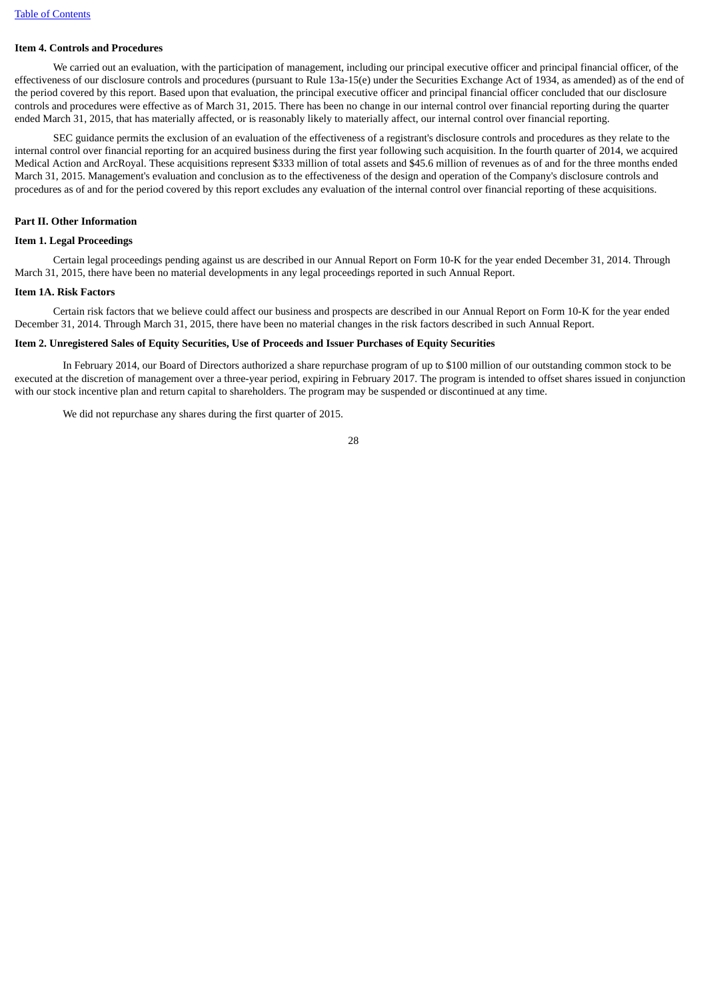### **Item 4. Controls and Procedures**

We carried out an evaluation, with the participation of management, including our principal executive officer and principal financial officer, of the effectiveness of our disclosure controls and procedures (pursuant to Rule 13a-15(e) under the Securities Exchange Act of 1934, as amended) as of the end of the period covered by this report. Based upon that evaluation, the principal executive officer and principal financial officer concluded that our disclosure controls and procedures were effective as of March 31, 2015. There has been no change in our internal control over financial reporting during the quarter ended March 31, 2015, that has materially affected, or is reasonably likely to materially affect, our internal control over financial reporting.

SEC guidance permits the exclusion of an evaluation of the effectiveness of a registrant's disclosure controls and procedures as they relate to the internal control over financial reporting for an acquired business during the first year following such acquisition. In the fourth quarter of 2014, we acquired Medical Action and ArcRoyal. These acquisitions represent \$333 million of total assets and \$45.6 million of revenues as of and for the three months ended March 31, 2015. Management's evaluation and conclusion as to the effectiveness of the design and operation of the Company's disclosure controls and procedures as of and for the period covered by this report excludes any evaluation of the internal control over financial reporting of these acquisitions.

#### <span id="page-27-0"></span>**Part II. Other Information**

#### <span id="page-27-1"></span>**Item 1. Legal Proceedings**

Certain legal proceedings pending against us are described in our Annual Report on Form 10-K for the year ended December 31, 2014. Through March 31, 2015, there have been no material developments in any legal proceedings reported in such Annual Report.

#### <span id="page-27-2"></span>**Item 1A. Risk Factors**

Certain risk factors that we believe could affect our business and prospects are described in our Annual Report on Form 10-K for the year ended December 31, 2014. Through March 31, 2015, there have been no material changes in the risk factors described in such Annual Report.

#### <span id="page-27-3"></span>**Item 2. Unregistered Sales of Equity Securities, Use of Proceeds and Issuer Purchases of Equity Securities**

In February 2014, our Board of Directors authorized a share repurchase program of up to \$100 million of our outstanding common stock to be executed at the discretion of management over a three-year period, expiring in February 2017. The program is intended to offset shares issued in conjunction with our stock incentive plan and return capital to shareholders. The program may be suspended or discontinued at any time.

<span id="page-27-4"></span>We did not repurchase any shares during the first quarter of 2015.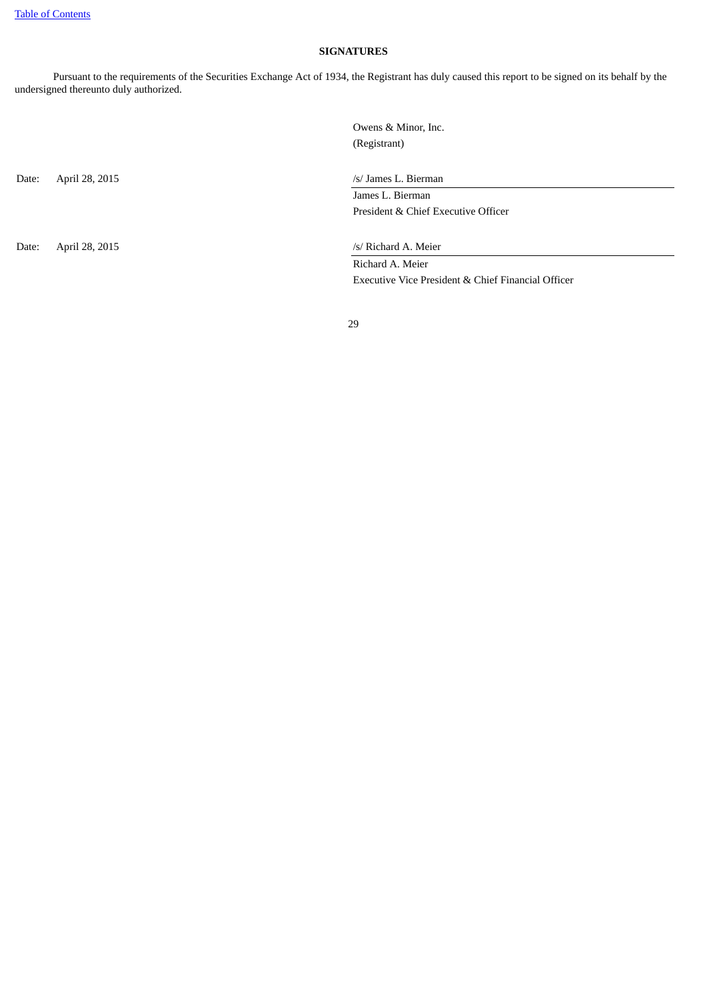### **SIGNATURES**

Pursuant to the requirements of the Securities Exchange Act of 1934, the Registrant has duly caused this report to be signed on its behalf by the undersigned thereunto duly authorized.

Date: April 28, 2015 /s/ James L. Bierman

<span id="page-28-0"></span>Date: April 28, 2015 /s/ Richard A. Meier

Owens & Minor, Inc. (Registrant)

James L. Bierman President & Chief Executive Officer

Richard A. Meier Executive Vice President & Chief Financial Officer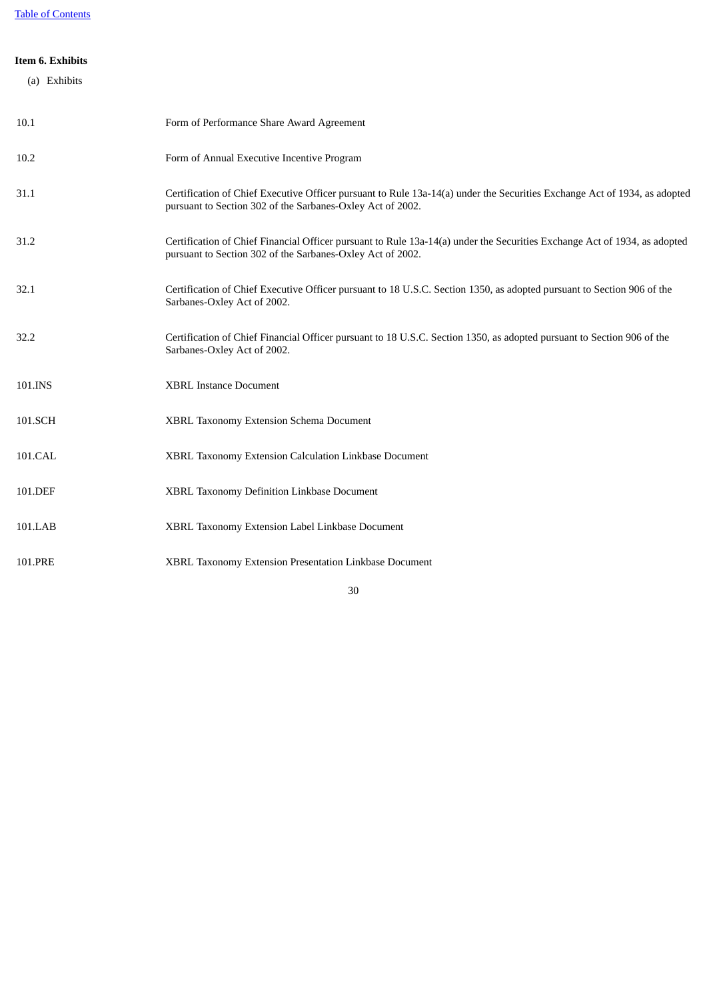### **Item 6. Exhibits**

(a) Exhibits

| 10.1    | Form of Performance Share Award Agreement                                                                                                                                               |
|---------|-----------------------------------------------------------------------------------------------------------------------------------------------------------------------------------------|
| 10.2    | Form of Annual Executive Incentive Program                                                                                                                                              |
| 31.1    | Certification of Chief Executive Officer pursuant to Rule 13a-14(a) under the Securities Exchange Act of 1934, as adopted<br>pursuant to Section 302 of the Sarbanes-Oxley Act of 2002. |
| 31.2    | Certification of Chief Financial Officer pursuant to Rule 13a-14(a) under the Securities Exchange Act of 1934, as adopted<br>pursuant to Section 302 of the Sarbanes-Oxley Act of 2002. |
| 32.1    | Certification of Chief Executive Officer pursuant to 18 U.S.C. Section 1350, as adopted pursuant to Section 906 of the<br>Sarbanes-Oxley Act of 2002.                                   |
| 32.2    | Certification of Chief Financial Officer pursuant to 18 U.S.C. Section 1350, as adopted pursuant to Section 906 of the<br>Sarbanes-Oxley Act of 2002.                                   |
| 101.INS | <b>XBRL Instance Document</b>                                                                                                                                                           |
| 101.SCH | XBRL Taxonomy Extension Schema Document                                                                                                                                                 |
| 101.CAL | XBRL Taxonomy Extension Calculation Linkbase Document                                                                                                                                   |
| 101.DEF | XBRL Taxonomy Definition Linkbase Document                                                                                                                                              |
| 101.LAB | XBRL Taxonomy Extension Label Linkbase Document                                                                                                                                         |
| 101.PRE | XBRL Taxonomy Extension Presentation Linkbase Document                                                                                                                                  |
|         |                                                                                                                                                                                         |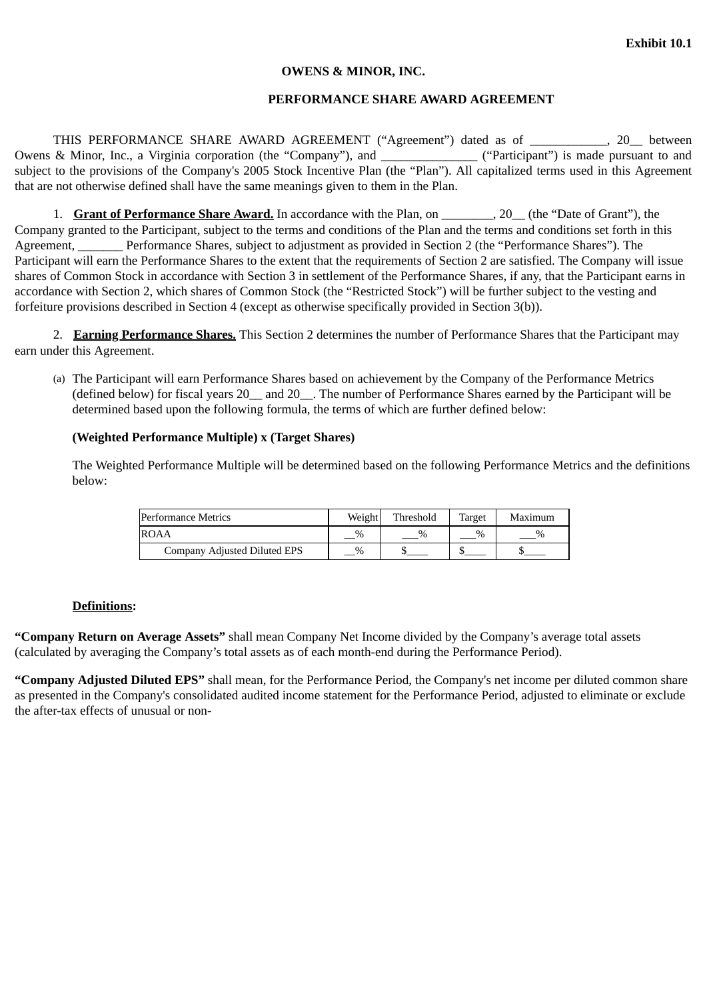### **OWENS & MINOR, INC.**

### **PERFORMANCE SHARE AWARD AGREEMENT**

THIS PERFORMANCE SHARE AWARD AGREEMENT ("Agreement") dated as of \_\_\_\_\_\_\_\_\_\_\_\_, 20\_\_ between Owens & Minor, Inc., a Virginia corporation (the "Company"), and \_\_\_\_\_\_\_\_\_\_\_\_\_\_\_ ("Participant") is made pursuant to and subject to the provisions of the Company's 2005 Stock Incentive Plan (the "Plan"). All capitalized terms used in this Agreement that are not otherwise defined shall have the same meanings given to them in the Plan.

1. **Grant of Performance Share Award.** In accordance with the Plan, on  $\qquad \qquad$ , 20 (the "Date of Grant"), the Company granted to the Participant, subject to the terms and conditions of the Plan and the terms and conditions set forth in this Agreement, Performance Shares, subject to adjustment as provided in Section 2 (the "Performance Shares"). The Participant will earn the Performance Shares to the extent that the requirements of Section 2 are satisfied. The Company will issue shares of Common Stock in accordance with Section 3 in settlement of the Performance Shares, if any, that the Participant earns in accordance with Section 2, which shares of Common Stock (the "Restricted Stock") will be further subject to the vesting and forfeiture provisions described in Section 4 (except as otherwise specifically provided in Section 3(b)).

2. **Earning Performance Shares.** This Section 2 determines the number of Performance Shares that the Participant may earn under this Agreement.

(a) The Participant will earn Performance Shares based on achievement by the Company of the Performance Metrics (defined below) for fiscal years 20\_\_ and 20\_\_. The number of Performance Shares earned by the Participant will be determined based upon the following formula, the terms of which are further defined below:

### **(Weighted Performance Multiple) x (Target Shares)**

The Weighted Performance Multiple will be determined based on the following Performance Metrics and the definitions below:

| Performance Metrics          | Weight | Threshold     | Target | Maximum |
|------------------------------|--------|---------------|--------|---------|
| <b>ROAA</b>                  | $\%$   | $\frac{0}{6}$ | $\%$   | $\%$    |
| Company Adjusted Diluted EPS | $\%$   |               |        |         |

#### **Definitions:**

**"Company Return on Average Assets"** shall mean Company Net Income divided by the Company's average total assets (calculated by averaging the Company's total assets as of each month-end during the Performance Period).

**"Company Adjusted Diluted EPS"** shall mean, for the Performance Period, the Company's net income per diluted common share as presented in the Company's consolidated audited income statement for the Performance Period, adjusted to eliminate or exclude the after-tax effects of unusual or non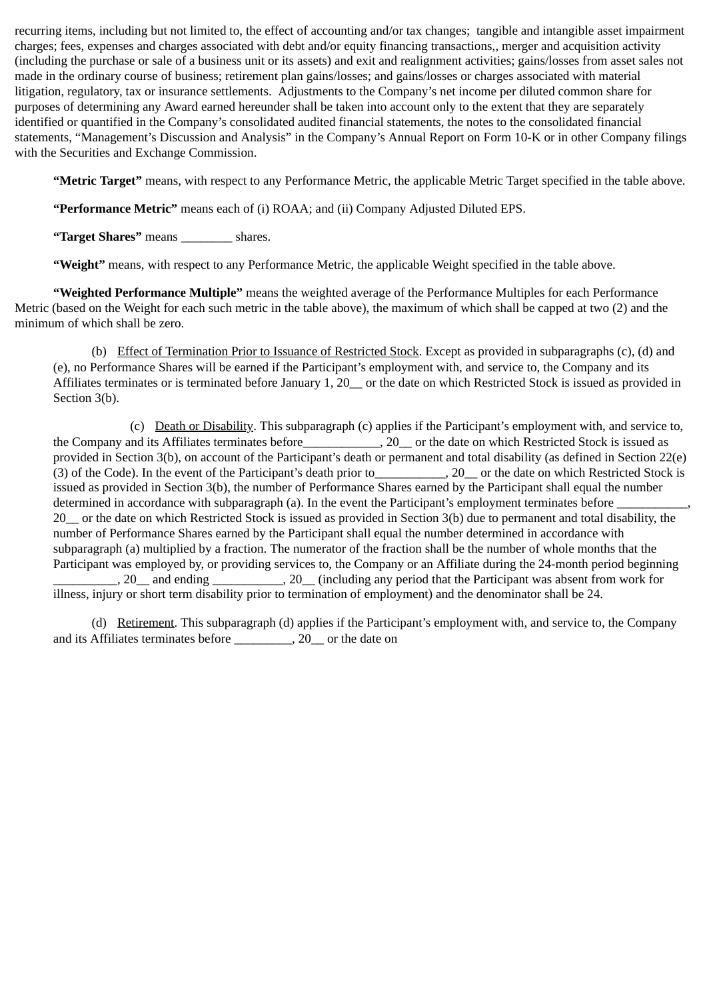recurring items, including but not limited to, the effect of accounting and/or tax changes; tangible and intangible asset impairment charges; fees, expenses and charges associated with debt and/or equity financing transactions,, merger and acquisition activity (including the purchase or sale of a business unit or its assets) and exit and realignment activities; gains/losses from asset sales not made in the ordinary course of business; retirement plan gains/losses; and gains/losses or charges associated with material litigation, regulatory, tax or insurance settlements. Adjustments to the Company's net income per diluted common share for purposes of determining any Award earned hereunder shall be taken into account only to the extent that they are separately identified or quantified in the Company's consolidated audited financial statements, the notes to the consolidated financial statements, "Management's Discussion and Analysis" in the Company's Annual Report on Form 10-K or in other Company filings with the Securities and Exchange Commission.

**"Metric Target"** means, with respect to any Performance Metric, the applicable Metric Target specified in the table above.

**"Performance Metric"** means each of (i) ROAA; and (ii) Company Adjusted Diluted EPS.

**"Target Shares"** means \_\_\_\_\_\_\_\_ shares.

**"Weight"** means, with respect to any Performance Metric, the applicable Weight specified in the table above.

**"Weighted Performance Multiple"** means the weighted average of the Performance Multiples for each Performance Metric (based on the Weight for each such metric in the table above), the maximum of which shall be capped at two (2) and the minimum of which shall be zero.

(b) Effect of Termination Prior to Issuance of Restricted Stock. Except as provided in subparagraphs (c), (d) and (e), no Performance Shares will be earned if the Participant's employment with, and service to, the Company and its Affiliates terminates or is terminated before January 1, 20\_\_ or the date on which Restricted Stock is issued as provided in Section 3(b).

(c) Death or Disability. This subparagraph (c) applies if the Participant's employment with, and service to, the Company and its Affiliates terminates before\_\_\_\_\_\_\_\_\_\_\_\_, 20\_\_ or the date on which Restricted Stock is issued as provided in Section 3(b), on account of the Participant's death or permanent and total disability (as defined in Section 22(e) (3) of the Code). In the event of the Participant's death prior to  $\qquad \qquad$ , 20 or the date on which Restricted Stock is issued as provided in Section 3(b), the number of Performance Shares earned by the Participant shall equal the number determined in accordance with subparagraph (a). In the event the Participant's employment terminates before 20\_\_ or the date on which Restricted Stock is issued as provided in Section 3(b) due to permanent and total disability, the number of Performance Shares earned by the Participant shall equal the number determined in accordance with subparagraph (a) multiplied by a fraction. The numerator of the fraction shall be the number of whole months that the Participant was employed by, or providing services to, the Company or an Affiliate during the 24-month period beginning \_\_\_\_\_\_\_\_\_\_, 20\_\_ and ending \_\_\_\_\_\_\_\_\_\_\_, 20\_\_ (including any period that the Participant was absent from work for illness, injury or short term disability prior to termination of employment) and the denominator shall be 24.

(d) Retirement. This subparagraph (d) applies if the Participant's employment with, and service to, the Company and its Affiliates terminates before \_\_\_\_\_\_\_\_\_, 20\_\_ or the date on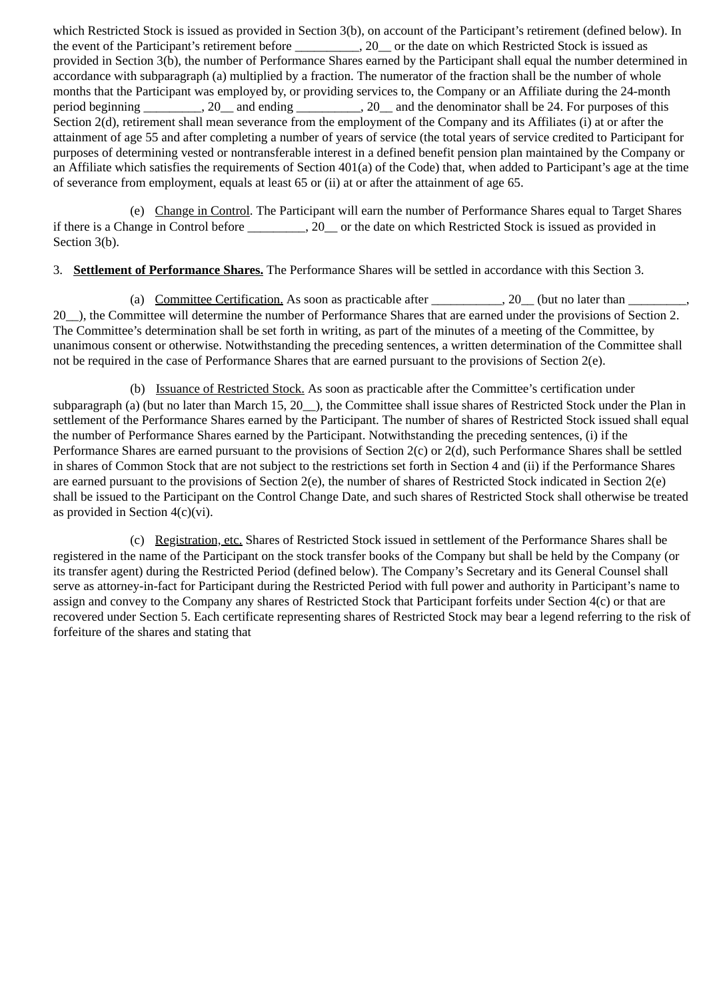which Restricted Stock is issued as provided in Section 3(b), on account of the Participant's retirement (defined below). In the event of the Participant's retirement before \_\_\_\_\_\_\_\_\_\_, 20\_\_ or the date on which Restricted Stock is issued as provided in Section 3(b), the number of Performance Shares earned by the Participant shall equal the number determined in accordance with subparagraph (a) multiplied by a fraction. The numerator of the fraction shall be the number of whole months that the Participant was employed by, or providing services to, the Company or an Affiliate during the 24-month period beginning \_\_\_\_\_\_\_\_, 20\_\_ and ending \_\_\_\_\_\_\_\_, 20\_\_ and the denominator shall be 24. For purposes of this Section 2(d), retirement shall mean severance from the employment of the Company and its Affiliates (i) at or after the attainment of age 55 and after completing a number of years of service (the total years of service credited to Participant for purposes of determining vested or nontransferable interest in a defined benefit pension plan maintained by the Company or an Affiliate which satisfies the requirements of Section 401(a) of the Code) that, when added to Participant's age at the time of severance from employment, equals at least 65 or (ii) at or after the attainment of age 65.

(e) Change in Control. The Participant will earn the number of Performance Shares equal to Target Shares if there is a Change in Control before \_\_\_\_\_\_\_, 20\_\_ or the date on which Restricted Stock is issued as provided in Section 3(b).

# 3. **Settlement of Performance Shares.** The Performance Shares will be settled in accordance with this Section 3.

(a) Committee Certification. As soon as practicable after \_\_\_\_\_\_\_\_\_\_, 20 (but no later than \_ 20\_\_), the Committee will determine the number of Performance Shares that are earned under the provisions of Section 2. The Committee's determination shall be set forth in writing, as part of the minutes of a meeting of the Committee, by unanimous consent or otherwise. Notwithstanding the preceding sentences, a written determination of the Committee shall not be required in the case of Performance Shares that are earned pursuant to the provisions of Section 2(e).

(b) Issuance of Restricted Stock. As soon as practicable after the Committee's certification under subparagraph (a) (but no later than March 15, 20\_\_), the Committee shall issue shares of Restricted Stock under the Plan in settlement of the Performance Shares earned by the Participant. The number of shares of Restricted Stock issued shall equal the number of Performance Shares earned by the Participant. Notwithstanding the preceding sentences, (i) if the Performance Shares are earned pursuant to the provisions of Section 2(c) or 2(d), such Performance Shares shall be settled in shares of Common Stock that are not subject to the restrictions set forth in Section 4 and (ii) if the Performance Shares are earned pursuant to the provisions of Section 2(e), the number of shares of Restricted Stock indicated in Section 2(e) shall be issued to the Participant on the Control Change Date, and such shares of Restricted Stock shall otherwise be treated as provided in Section 4(c)(vi).

(c) Registration, etc. Shares of Restricted Stock issued in settlement of the Performance Shares shall be registered in the name of the Participant on the stock transfer books of the Company but shall be held by the Company (or its transfer agent) during the Restricted Period (defined below). The Company's Secretary and its General Counsel shall serve as attorney-in-fact for Participant during the Restricted Period with full power and authority in Participant's name to assign and convey to the Company any shares of Restricted Stock that Participant forfeits under Section 4(c) or that are recovered under Section 5. Each certificate representing shares of Restricted Stock may bear a legend referring to the risk of forfeiture of the shares and stating that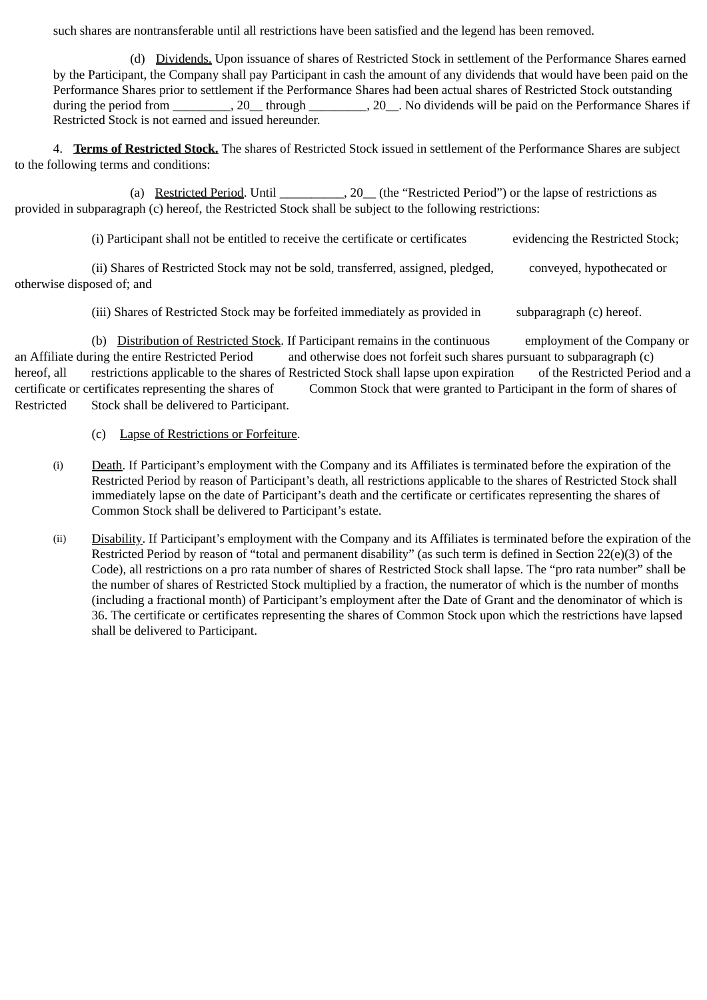such shares are nontransferable until all restrictions have been satisfied and the legend has been removed.

(d) Dividends. Upon issuance of shares of Restricted Stock in settlement of the Performance Shares earned by the Participant, the Company shall pay Participant in cash the amount of any dividends that would have been paid on the Performance Shares prior to settlement if the Performance Shares had been actual shares of Restricted Stock outstanding during the period from \_\_\_\_\_\_\_\_, 20\_\_\_ through \_\_\_\_\_\_\_\_, 20\_\_. No dividends will be paid on the Performance Shares if Restricted Stock is not earned and issued hereunder.

4. **Terms of Restricted Stock.** The shares of Restricted Stock issued in settlement of the Performance Shares are subject to the following terms and conditions:

(a) Restricted Period. Until \_\_\_\_\_\_\_\_\_\_, 20\_\_ (the "Restricted Period") or the lapse of restrictions as provided in subparagraph (c) hereof, the Restricted Stock shall be subject to the following restrictions:

|                            | (i) Participant shall not be entitled to receive the certificate or certificates | evidencing the Restricted Stock; |
|----------------------------|----------------------------------------------------------------------------------|----------------------------------|
| otherwise disposed of; and | (ii) Shares of Restricted Stock may not be sold, transferred, assigned, pledged, | conveyed, hypothecated or        |

(iii) Shares of Restricted Stock may be forfeited immediately as provided in subparagraph (c) hereof.

(b) Distribution of Restricted Stock. If Participant remains in the continuous employment of the Company or an Affiliate during the entire Restricted Period and otherwise does not forfeit such shares pursuant to subparagraph (c) hereof, all restrictions applicable to the shares of Restricted Stock shall lapse upon expiration of the Restricted Period and a certificate or certificates representing the shares of Common Stock that were granted to Participant in the form of shares of Restricted Stock shall be delivered to Participant.

- (c) Lapse of Restrictions or Forfeiture.
- (i) Death. If Participant's employment with the Company and its Affiliates is terminated before the expiration of the Restricted Period by reason of Participant's death, all restrictions applicable to the shares of Restricted Stock shall immediately lapse on the date of Participant's death and the certificate or certificates representing the shares of Common Stock shall be delivered to Participant's estate.
- (ii) Disability. If Participant's employment with the Company and its Affiliates is terminated before the expiration of the Restricted Period by reason of "total and permanent disability" (as such term is defined in Section 22(e)(3) of the Code), all restrictions on a pro rata number of shares of Restricted Stock shall lapse. The "pro rata number" shall be the number of shares of Restricted Stock multiplied by a fraction, the numerator of which is the number of months (including a fractional month) of Participant's employment after the Date of Grant and the denominator of which is 36. The certificate or certificates representing the shares of Common Stock upon which the restrictions have lapsed shall be delivered to Participant.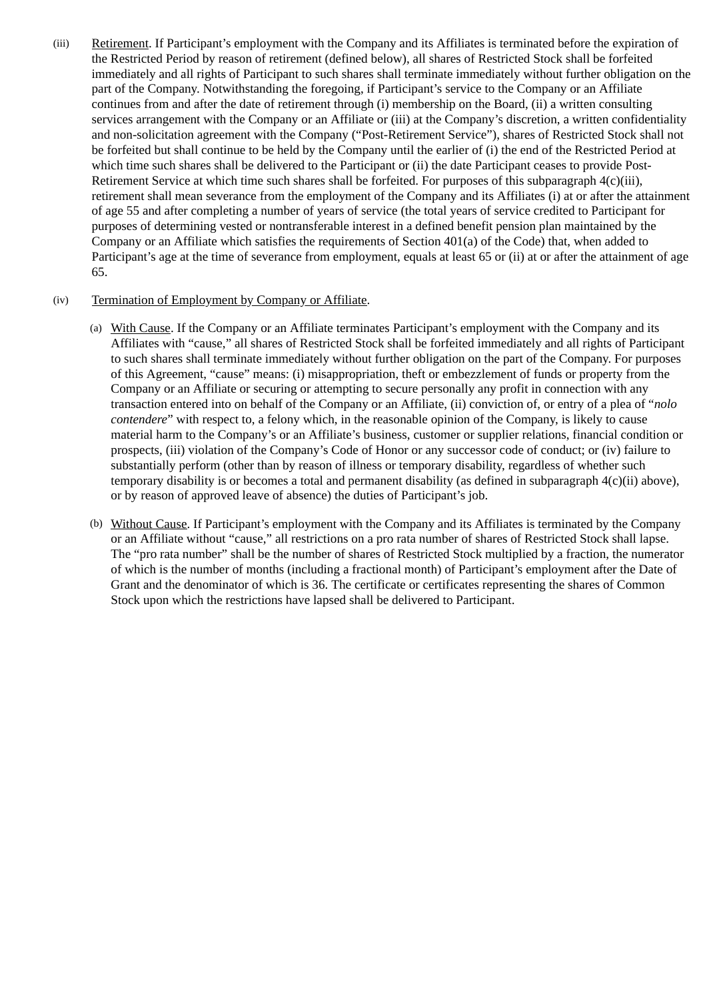(iii) Retirement. If Participant's employment with the Company and its Affiliates is terminated before the expiration of the Restricted Period by reason of retirement (defined below), all shares of Restricted Stock shall be forfeited immediately and all rights of Participant to such shares shall terminate immediately without further obligation on the part of the Company. Notwithstanding the foregoing, if Participant's service to the Company or an Affiliate continues from and after the date of retirement through (i) membership on the Board, (ii) a written consulting services arrangement with the Company or an Affiliate or (iii) at the Company's discretion, a written confidentiality and non-solicitation agreement with the Company ("Post-Retirement Service"), shares of Restricted Stock shall not be forfeited but shall continue to be held by the Company until the earlier of (i) the end of the Restricted Period at which time such shares shall be delivered to the Participant or (ii) the date Participant ceases to provide Post-Retirement Service at which time such shares shall be forfeited. For purposes of this subparagraph 4(c)(iii), retirement shall mean severance from the employment of the Company and its Affiliates (i) at or after the attainment of age 55 and after completing a number of years of service (the total years of service credited to Participant for purposes of determining vested or nontransferable interest in a defined benefit pension plan maintained by the Company or an Affiliate which satisfies the requirements of Section 401(a) of the Code) that, when added to Participant's age at the time of severance from employment, equals at least 65 or (ii) at or after the attainment of age 65.

### (iv) Termination of Employment by Company or Affiliate.

- (a) With Cause. If the Company or an Affiliate terminates Participant's employment with the Company and its Affiliates with "cause," all shares of Restricted Stock shall be forfeited immediately and all rights of Participant to such shares shall terminate immediately without further obligation on the part of the Company. For purposes of this Agreement, "cause" means: (i) misappropriation, theft or embezzlement of funds or property from the Company or an Affiliate or securing or attempting to secure personally any profit in connection with any transaction entered into on behalf of the Company or an Affiliate, (ii) conviction of, or entry of a plea of "*nolo contendere*" with respect to, a felony which, in the reasonable opinion of the Company, is likely to cause material harm to the Company's or an Affiliate's business, customer or supplier relations, financial condition or prospects, (iii) violation of the Company's Code of Honor or any successor code of conduct; or (iv) failure to substantially perform (other than by reason of illness or temporary disability, regardless of whether such temporary disability is or becomes a total and permanent disability (as defined in subparagraph  $4(c)$ (ii) above), or by reason of approved leave of absence) the duties of Participant's job.
- (b) Without Cause. If Participant's employment with the Company and its Affiliates is terminated by the Company or an Affiliate without "cause," all restrictions on a pro rata number of shares of Restricted Stock shall lapse. The "pro rata number" shall be the number of shares of Restricted Stock multiplied by a fraction, the numerator of which is the number of months (including a fractional month) of Participant's employment after the Date of Grant and the denominator of which is 36. The certificate or certificates representing the shares of Common Stock upon which the restrictions have lapsed shall be delivered to Participant.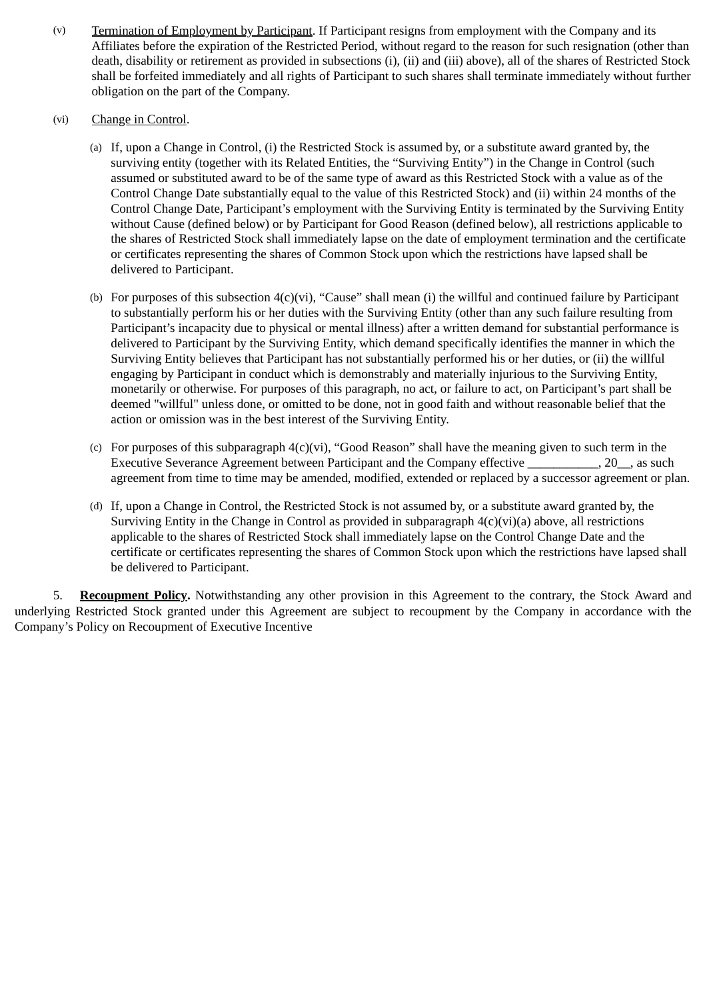- (v) Termination of Employment by Participant. If Participant resigns from employment with the Company and its Affiliates before the expiration of the Restricted Period, without regard to the reason for such resignation (other than death, disability or retirement as provided in subsections (i), (ii) and (iii) above), all of the shares of Restricted Stock shall be forfeited immediately and all rights of Participant to such shares shall terminate immediately without further obligation on the part of the Company.
- (vi) Change in Control.
	- (a) If, upon a Change in Control, (i) the Restricted Stock is assumed by, or a substitute award granted by, the surviving entity (together with its Related Entities, the "Surviving Entity") in the Change in Control (such assumed or substituted award to be of the same type of award as this Restricted Stock with a value as of the Control Change Date substantially equal to the value of this Restricted Stock) and (ii) within 24 months of the Control Change Date, Participant's employment with the Surviving Entity is terminated by the Surviving Entity without Cause (defined below) or by Participant for Good Reason (defined below), all restrictions applicable to the shares of Restricted Stock shall immediately lapse on the date of employment termination and the certificate or certificates representing the shares of Common Stock upon which the restrictions have lapsed shall be delivered to Participant.
	- (b) For purposes of this subsection  $4(c)(vi)$ , "Cause" shall mean (i) the willful and continued failure by Participant to substantially perform his or her duties with the Surviving Entity (other than any such failure resulting from Participant's incapacity due to physical or mental illness) after a written demand for substantial performance is delivered to Participant by the Surviving Entity, which demand specifically identifies the manner in which the Surviving Entity believes that Participant has not substantially performed his or her duties, or (ii) the willful engaging by Participant in conduct which is demonstrably and materially injurious to the Surviving Entity, monetarily or otherwise. For purposes of this paragraph, no act, or failure to act, on Participant's part shall be deemed "willful" unless done, or omitted to be done, not in good faith and without reasonable belief that the action or omission was in the best interest of the Surviving Entity.
	- (c) For purposes of this subparagraph 4(c)(vi), "Good Reason" shall have the meaning given to such term in the Executive Severance Agreement between Participant and the Company effective \_\_\_\_\_\_\_\_\_, 20\_, as such agreement from time to time may be amended, modified, extended or replaced by a successor agreement or plan.
	- (d) If, upon a Change in Control, the Restricted Stock is not assumed by, or a substitute award granted by, the Surviving Entity in the Change in Control as provided in subparagraph  $4(c)(vi)(a)$  above, all restrictions applicable to the shares of Restricted Stock shall immediately lapse on the Control Change Date and the certificate or certificates representing the shares of Common Stock upon which the restrictions have lapsed shall be delivered to Participant.

5. **Recoupment Policy.** Notwithstanding any other provision in this Agreement to the contrary, the Stock Award and underlying Restricted Stock granted under this Agreement are subject to recoupment by the Company in accordance with the Company's Policy on Recoupment of Executive Incentive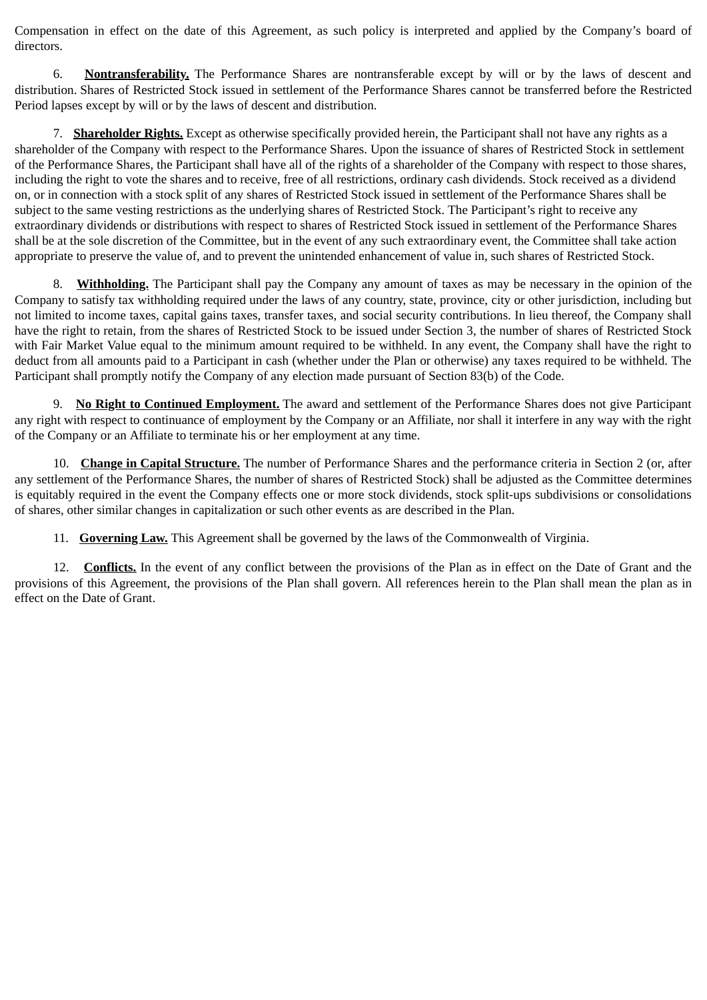Compensation in effect on the date of this Agreement, as such policy is interpreted and applied by the Company's board of directors.

6. **Nontransferability.** The Performance Shares are nontransferable except by will or by the laws of descent and distribution. Shares of Restricted Stock issued in settlement of the Performance Shares cannot be transferred before the Restricted Period lapses except by will or by the laws of descent and distribution.

7. **Shareholder Rights.** Except as otherwise specifically provided herein, the Participant shall not have any rights as a shareholder of the Company with respect to the Performance Shares. Upon the issuance of shares of Restricted Stock in settlement of the Performance Shares, the Participant shall have all of the rights of a shareholder of the Company with respect to those shares, including the right to vote the shares and to receive, free of all restrictions, ordinary cash dividends. Stock received as a dividend on, or in connection with a stock split of any shares of Restricted Stock issued in settlement of the Performance Shares shall be subject to the same vesting restrictions as the underlying shares of Restricted Stock. The Participant's right to receive any extraordinary dividends or distributions with respect to shares of Restricted Stock issued in settlement of the Performance Shares shall be at the sole discretion of the Committee, but in the event of any such extraordinary event, the Committee shall take action appropriate to preserve the value of, and to prevent the unintended enhancement of value in, such shares of Restricted Stock.

8. **Withholding.** The Participant shall pay the Company any amount of taxes as may be necessary in the opinion of the Company to satisfy tax withholding required under the laws of any country, state, province, city or other jurisdiction, including but not limited to income taxes, capital gains taxes, transfer taxes, and social security contributions. In lieu thereof, the Company shall have the right to retain, from the shares of Restricted Stock to be issued under Section 3, the number of shares of Restricted Stock with Fair Market Value equal to the minimum amount required to be withheld. In any event, the Company shall have the right to deduct from all amounts paid to a Participant in cash (whether under the Plan or otherwise) any taxes required to be withheld. The Participant shall promptly notify the Company of any election made pursuant of Section 83(b) of the Code.

9. **No Right to Continued Employment.** The award and settlement of the Performance Shares does not give Participant any right with respect to continuance of employment by the Company or an Affiliate, nor shall it interfere in any way with the right of the Company or an Affiliate to terminate his or her employment at any time.

10. **Change in Capital Structure.** The number of Performance Shares and the performance criteria in Section 2 (or, after any settlement of the Performance Shares, the number of shares of Restricted Stock) shall be adjusted as the Committee determines is equitably required in the event the Company effects one or more stock dividends, stock split-ups subdivisions or consolidations of shares, other similar changes in capitalization or such other events as are described in the Plan.

11. **Governing Law.** This Agreement shall be governed by the laws of the Commonwealth of Virginia.

12. **Conflicts.** In the event of any conflict between the provisions of the Plan as in effect on the Date of Grant and the provisions of this Agreement, the provisions of the Plan shall govern. All references herein to the Plan shall mean the plan as in effect on the Date of Grant.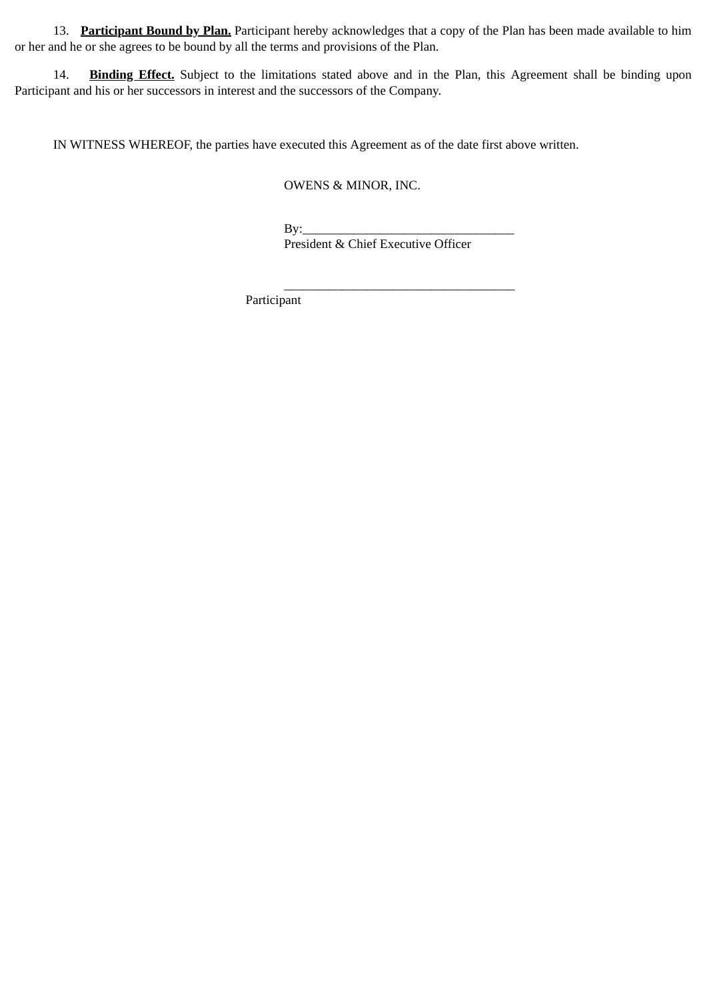13. **Participant Bound by Plan.** Participant hereby acknowledges that a copy of the Plan has been made available to him or her and he or she agrees to be bound by all the terms and provisions of the Plan.

14. **Binding Effect.** Subject to the limitations stated above and in the Plan, this Agreement shall be binding upon Participant and his or her successors in interest and the successors of the Company.

IN WITNESS WHEREOF, the parties have executed this Agreement as of the date first above written.

OWENS & MINOR, INC.

By:\_\_\_\_\_\_\_\_\_\_\_\_\_\_\_\_\_\_\_\_\_\_\_\_\_\_\_\_\_\_\_\_\_ President & Chief Executive Officer

 $\overline{\phantom{a}}$  , and the set of the set of the set of the set of the set of the set of the set of the set of the set of the set of the set of the set of the set of the set of the set of the set of the set of the set of the s

Participant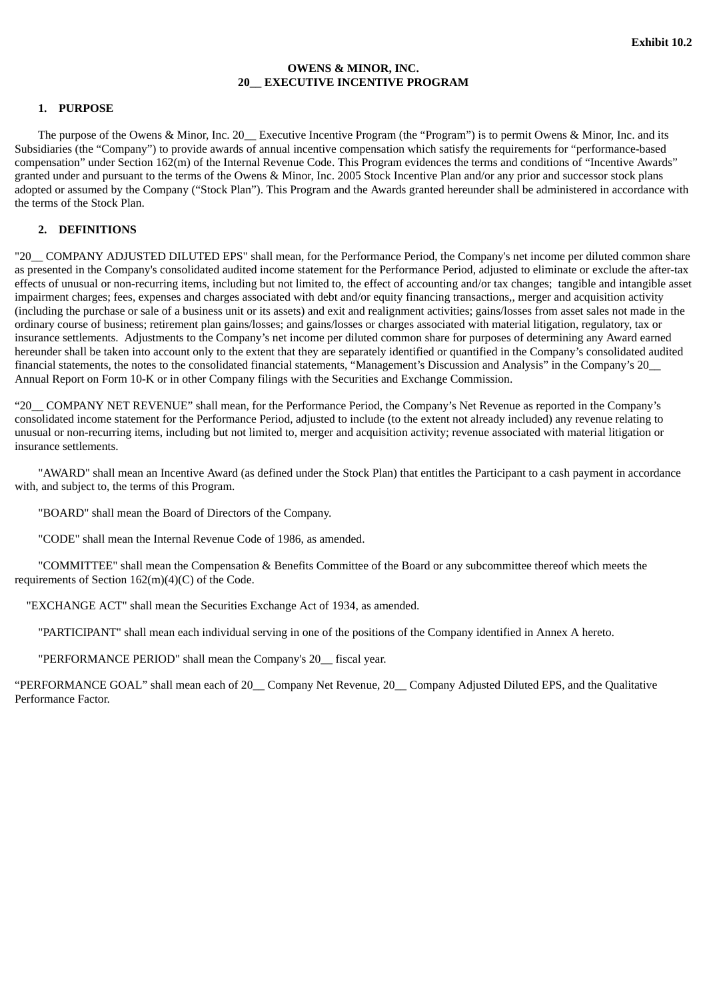### **OWENS & MINOR, INC. 20\_\_ EXECUTIVE INCENTIVE PROGRAM**

### **1. PURPOSE**

The purpose of the Owens & Minor, Inc. 20\_\_ Executive Incentive Program (the "Program") is to permit Owens & Minor, Inc. and its Subsidiaries (the "Company") to provide awards of annual incentive compensation which satisfy the requirements for "performance-based compensation" under Section 162(m) of the Internal Revenue Code. This Program evidences the terms and conditions of "Incentive Awards" granted under and pursuant to the terms of the Owens & Minor, Inc. 2005 Stock Incentive Plan and/or any prior and successor stock plans adopted or assumed by the Company ("Stock Plan"). This Program and the Awards granted hereunder shall be administered in accordance with the terms of the Stock Plan.

### **2. DEFINITIONS**

"20 COMPANY ADJUSTED DILUTED EPS" shall mean, for the Performance Period, the Company's net income per diluted common share as presented in the Company's consolidated audited income statement for the Performance Period, adjusted to eliminate or exclude the after-tax effects of unusual or non-recurring items, including but not limited to, the effect of accounting and/or tax changes; tangible and intangible asset impairment charges; fees, expenses and charges associated with debt and/or equity financing transactions,, merger and acquisition activity (including the purchase or sale of a business unit or its assets) and exit and realignment activities; gains/losses from asset sales not made in the ordinary course of business; retirement plan gains/losses; and gains/losses or charges associated with material litigation, regulatory, tax or insurance settlements. Adjustments to the Company's net income per diluted common share for purposes of determining any Award earned hereunder shall be taken into account only to the extent that they are separately identified or quantified in the Company's consolidated audited financial statements, the notes to the consolidated financial statements, "Management's Discussion and Analysis" in the Company's 20\_\_ Annual Report on Form 10-K or in other Company filings with the Securities and Exchange Commission.

"20\_\_ COMPANY NET REVENUE" shall mean, for the Performance Period, the Company's Net Revenue as reported in the Company's consolidated income statement for the Performance Period, adjusted to include (to the extent not already included) any revenue relating to unusual or non-recurring items, including but not limited to, merger and acquisition activity; revenue associated with material litigation or insurance settlements.

"AWARD" shall mean an Incentive Award (as defined under the Stock Plan) that entitles the Participant to a cash payment in accordance with, and subject to, the terms of this Program.

"BOARD" shall mean the Board of Directors of the Company.

"CODE" shall mean the Internal Revenue Code of 1986, as amended.

"COMMITTEE" shall mean the Compensation & Benefits Committee of the Board or any subcommittee thereof which meets the requirements of Section 162(m)(4)(C) of the Code.

"EXCHANGE ACT" shall mean the Securities Exchange Act of 1934, as amended.

"PARTICIPANT" shall mean each individual serving in one of the positions of the Company identified in Annex A hereto.

"PERFORMANCE PERIOD" shall mean the Company's 20\_\_ fiscal year.

"PERFORMANCE GOAL" shall mean each of 20\_\_ Company Net Revenue, 20\_\_ Company Adjusted Diluted EPS, and the Qualitative Performance Factor.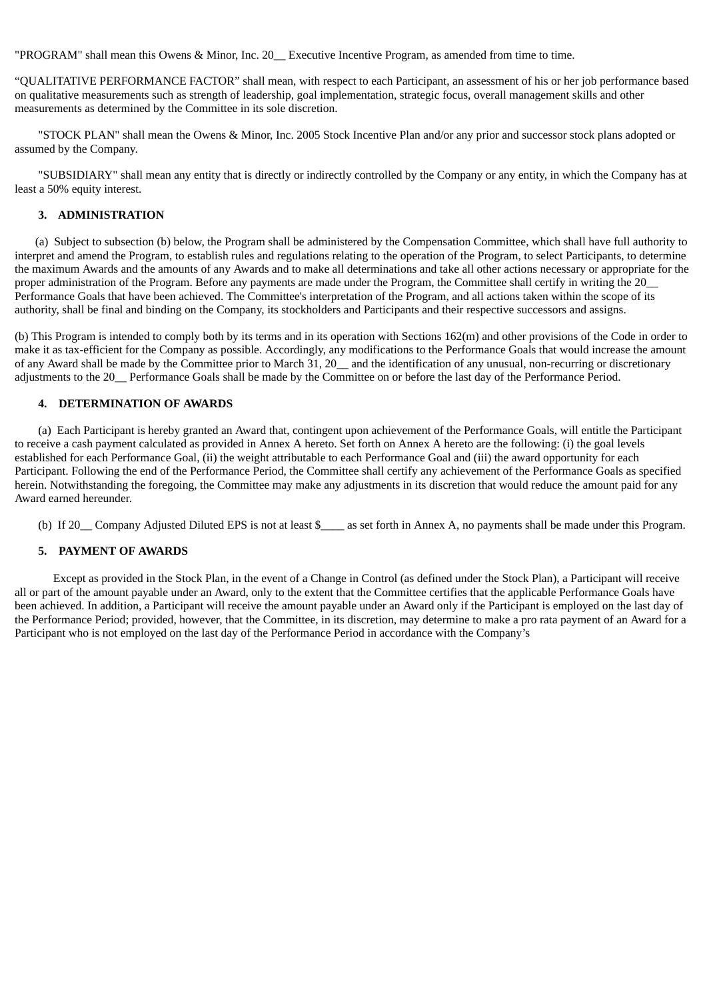"PROGRAM" shall mean this Owens & Minor, Inc. 20\_\_ Executive Incentive Program, as amended from time to time.

"QUALITATIVE PERFORMANCE FACTOR" shall mean, with respect to each Participant, an assessment of his or her job performance based on qualitative measurements such as strength of leadership, goal implementation, strategic focus, overall management skills and other measurements as determined by the Committee in its sole discretion.

"STOCK PLAN" shall mean the Owens & Minor, Inc. 2005 Stock Incentive Plan and/or any prior and successor stock plans adopted or assumed by the Company.

"SUBSIDIARY" shall mean any entity that is directly or indirectly controlled by the Company or any entity, in which the Company has at least a 50% equity interest.

### **3. ADMINISTRATION**

(a) Subject to subsection (b) below, the Program shall be administered by the Compensation Committee, which shall have full authority to interpret and amend the Program, to establish rules and regulations relating to the operation of the Program, to select Participants, to determine the maximum Awards and the amounts of any Awards and to make all determinations and take all other actions necessary or appropriate for the proper administration of the Program. Before any payments are made under the Program, the Committee shall certify in writing the 20\_\_ Performance Goals that have been achieved. The Committee's interpretation of the Program, and all actions taken within the scope of its authority, shall be final and binding on the Company, its stockholders and Participants and their respective successors and assigns.

(b) This Program is intended to comply both by its terms and in its operation with Sections 162(m) and other provisions of the Code in order to make it as tax-efficient for the Company as possible. Accordingly, any modifications to the Performance Goals that would increase the amount of any Award shall be made by the Committee prior to March 31, 20\_\_ and the identification of any unusual, non-recurring or discretionary adjustments to the 20\_\_ Performance Goals shall be made by the Committee on or before the last day of the Performance Period.

### **4. DETERMINATION OF AWARDS**

(a) Each Participant is hereby granted an Award that, contingent upon achievement of the Performance Goals, will entitle the Participant to receive a cash payment calculated as provided in Annex A hereto. Set forth on Annex A hereto are the following: (i) the goal levels established for each Performance Goal, (ii) the weight attributable to each Performance Goal and (iii) the award opportunity for each Participant. Following the end of the Performance Period, the Committee shall certify any achievement of the Performance Goals as specified herein. Notwithstanding the foregoing, the Committee may make any adjustments in its discretion that would reduce the amount paid for any Award earned hereunder.

(b) If 20\_\_ Company Adjusted Diluted EPS is not at least \$\_\_\_\_ as set forth in Annex A, no payments shall be made under this Program.

### **5. PAYMENT OF AWARDS**

Except as provided in the Stock Plan, in the event of a Change in Control (as defined under the Stock Plan), a Participant will receive all or part of the amount payable under an Award, only to the extent that the Committee certifies that the applicable Performance Goals have been achieved. In addition, a Participant will receive the amount payable under an Award only if the Participant is employed on the last day of the Performance Period; provided, however, that the Committee, in its discretion, may determine to make a pro rata payment of an Award for a Participant who is not employed on the last day of the Performance Period in accordance with the Company's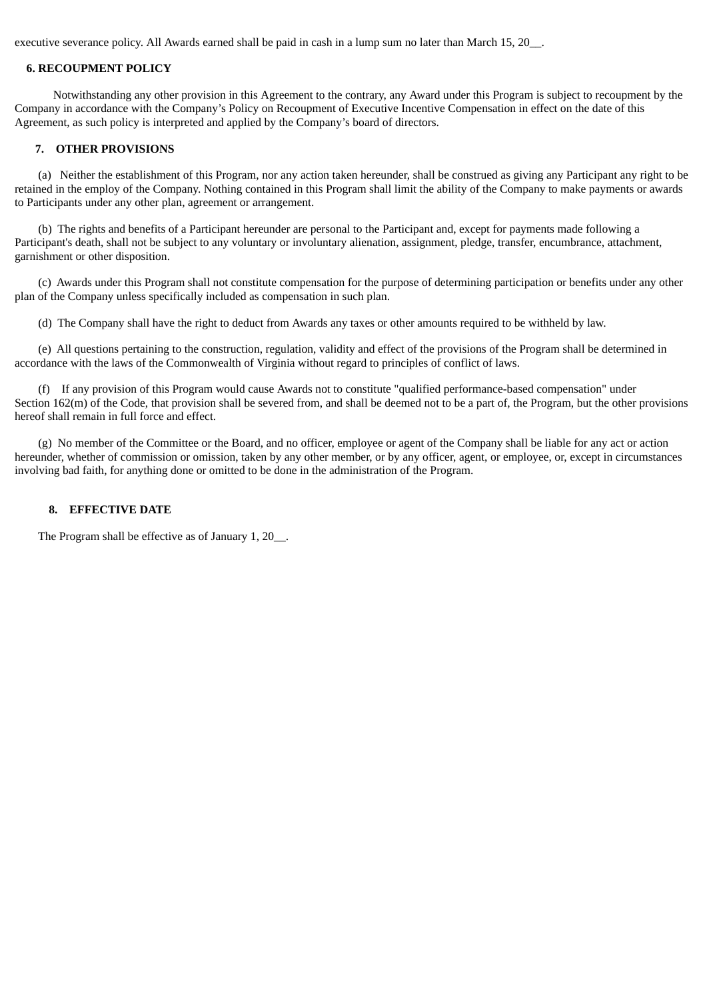executive severance policy. All Awards earned shall be paid in cash in a lump sum no later than March 15, 20\_\_.

### **6. RECOUPMENT POLICY**

Notwithstanding any other provision in this Agreement to the contrary, any Award under this Program is subject to recoupment by the Company in accordance with the Company's Policy on Recoupment of Executive Incentive Compensation in effect on the date of this Agreement, as such policy is interpreted and applied by the Company's board of directors.

### **7. OTHER PROVISIONS**

(a) Neither the establishment of this Program, nor any action taken hereunder, shall be construed as giving any Participant any right to be retained in the employ of the Company. Nothing contained in this Program shall limit the ability of the Company to make payments or awards to Participants under any other plan, agreement or arrangement.

(b) The rights and benefits of a Participant hereunder are personal to the Participant and, except for payments made following a Participant's death, shall not be subject to any voluntary or involuntary alienation, assignment, pledge, transfer, encumbrance, attachment, garnishment or other disposition.

(c) Awards under this Program shall not constitute compensation for the purpose of determining participation or benefits under any other plan of the Company unless specifically included as compensation in such plan.

(d) The Company shall have the right to deduct from Awards any taxes or other amounts required to be withheld by law.

(e) All questions pertaining to the construction, regulation, validity and effect of the provisions of the Program shall be determined in accordance with the laws of the Commonwealth of Virginia without regard to principles of conflict of laws.

(f) If any provision of this Program would cause Awards not to constitute "qualified performance-based compensation" under Section 162(m) of the Code, that provision shall be severed from, and shall be deemed not to be a part of, the Program, but the other provisions hereof shall remain in full force and effect.

(g) No member of the Committee or the Board, and no officer, employee or agent of the Company shall be liable for any act or action hereunder, whether of commission or omission, taken by any other member, or by any officer, agent, or employee, or, except in circumstances involving bad faith, for anything done or omitted to be done in the administration of the Program.

#### **8. EFFECTIVE DATE**

The Program shall be effective as of January 1, 20.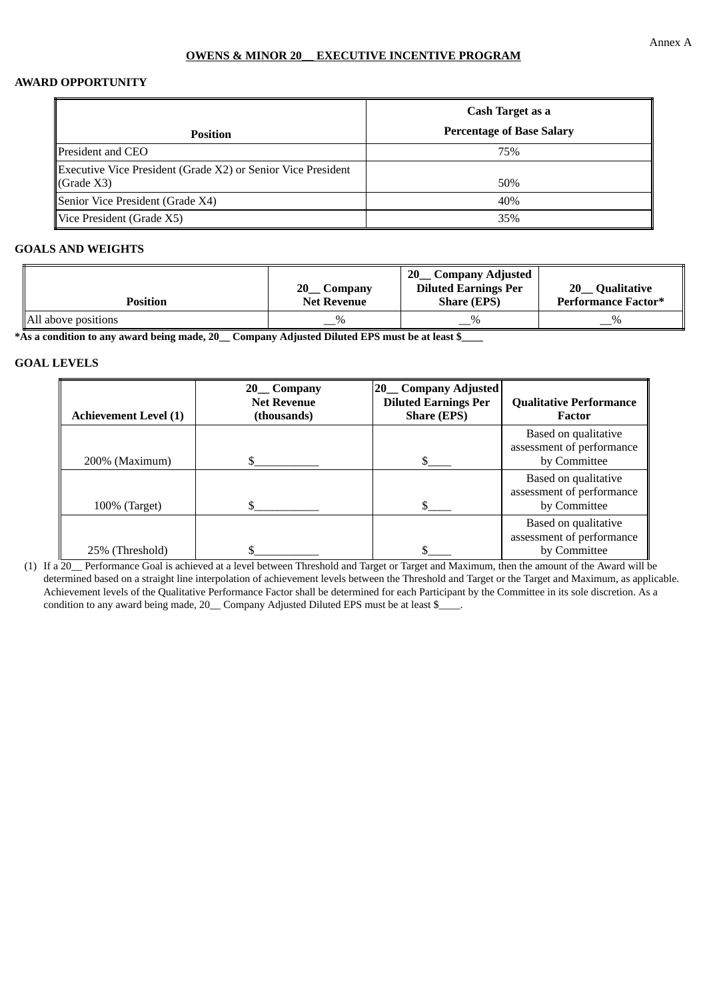## **OWENS & MINOR 20\_\_ EXECUTIVE INCENTIVE PROGRAM**

### **AWARD OPPORTUNITY**

|                                                                               | Cash Target as a                 |  |
|-------------------------------------------------------------------------------|----------------------------------|--|
| <b>Position</b>                                                               | <b>Percentage of Base Salary</b> |  |
| <b>President and CEO</b>                                                      | 75%                              |  |
| Executive Vice President (Grade X2) or Senior Vice President<br>(Grade $X3$ ) | 50%                              |  |
| Senior Vice President (Grade X4)                                              | 40%                              |  |
| Vice President (Grade X5)                                                     | 35%                              |  |

### **GOALS AND WEIGHTS**

| <b>Position</b>     | 20<br>Company<br><b>Net Revenue</b> | <b>20</b><br>Company Adjusted<br><b>Diluted Earnings Per</b><br><b>Share (EPS)</b> | 20 Qualitative<br><b>Performance Factor*</b> |
|---------------------|-------------------------------------|------------------------------------------------------------------------------------|----------------------------------------------|
| All above positions | $\%$                                | $\%$                                                                               | $\%$                                         |

**\*As a condition to any award being made, 20\_\_ Company Adjusted Diluted EPS must be at least \$\_\_\_\_**

### **GOAL LEVELS**

| <b>Achievement Level (1)</b> | 20 <sub>Company</sub><br><b>Net Revenue</b><br>(thousands) | 20_Company Adjusted<br><b>Diluted Earnings Per</b><br><b>Share (EPS)</b> | <b>Qualitative Performance</b><br>Factor                          |
|------------------------------|------------------------------------------------------------|--------------------------------------------------------------------------|-------------------------------------------------------------------|
| 200% (Maximum)               |                                                            |                                                                          | Based on qualitative<br>assessment of performance<br>by Committee |
| 100% (Target)                |                                                            |                                                                          | Based on qualitative<br>assessment of performance<br>by Committee |
| 25% (Threshold)              |                                                            |                                                                          | Based on qualitative<br>assessment of performance<br>by Committee |

(1) If a 20\_\_ Performance Goal is achieved at a level between Threshold and Target or Target and Maximum, then the amount of the Award will be determined based on a straight line interpolation of achievement levels between the Threshold and Target or the Target and Maximum, as applicable. Achievement levels of the Qualitative Performance Factor shall be determined for each Participant by the Committee in its sole discretion. As a condition to any award being made, 20\_\_ Company Adjusted Diluted EPS must be at least \$\_\_\_.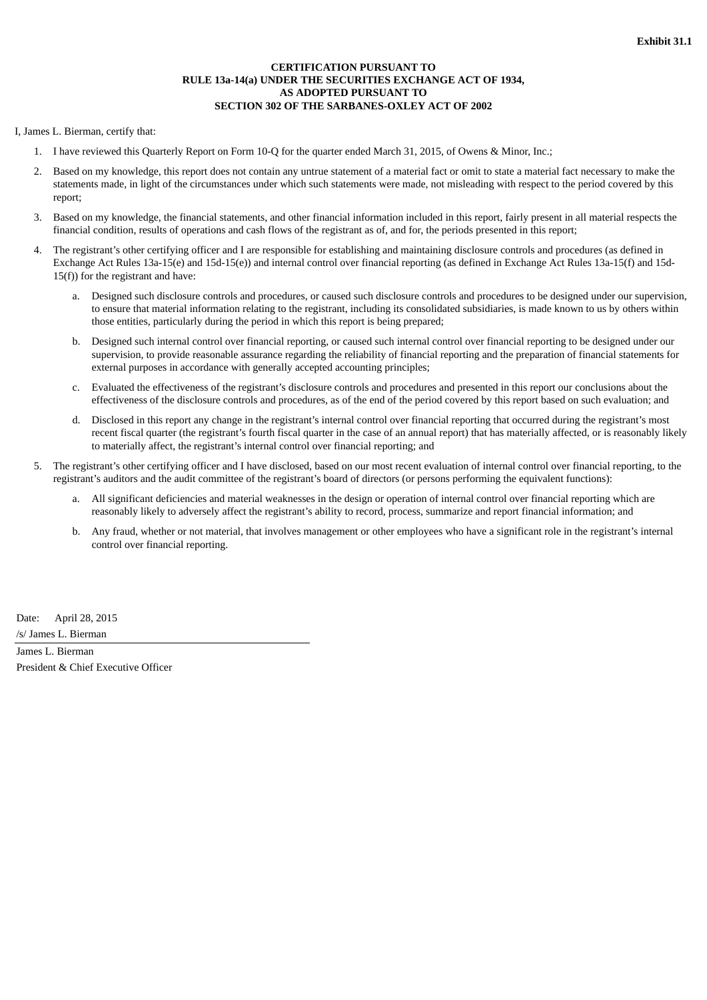### **CERTIFICATION PURSUANT TO RULE 13a-14(a) UNDER THE SECURITIES EXCHANGE ACT OF 1934, AS ADOPTED PURSUANT TO SECTION 302 OF THE SARBANES-OXLEY ACT OF 2002**

### I, James L. Bierman, certify that:

- 1. I have reviewed this Quarterly Report on Form 10-Q for the quarter ended March 31, 2015, of Owens & Minor, Inc.;
- 2. Based on my knowledge, this report does not contain any untrue statement of a material fact or omit to state a material fact necessary to make the statements made, in light of the circumstances under which such statements were made, not misleading with respect to the period covered by this report;
- 3. Based on my knowledge, the financial statements, and other financial information included in this report, fairly present in all material respects the financial condition, results of operations and cash flows of the registrant as of, and for, the periods presented in this report;
- 4. The registrant's other certifying officer and I are responsible for establishing and maintaining disclosure controls and procedures (as defined in Exchange Act Rules 13a-15(e) and 15d-15(e)) and internal control over financial reporting (as defined in Exchange Act Rules 13a-15(f) and 15d- $15(f)$ ) for the registrant and have:
	- a. Designed such disclosure controls and procedures, or caused such disclosure controls and procedures to be designed under our supervision, to ensure that material information relating to the registrant, including its consolidated subsidiaries, is made known to us by others within those entities, particularly during the period in which this report is being prepared;
	- b. Designed such internal control over financial reporting, or caused such internal control over financial reporting to be designed under our supervision, to provide reasonable assurance regarding the reliability of financial reporting and the preparation of financial statements for external purposes in accordance with generally accepted accounting principles;
	- c. Evaluated the effectiveness of the registrant's disclosure controls and procedures and presented in this report our conclusions about the effectiveness of the disclosure controls and procedures, as of the end of the period covered by this report based on such evaluation; and
	- d. Disclosed in this report any change in the registrant's internal control over financial reporting that occurred during the registrant's most recent fiscal quarter (the registrant's fourth fiscal quarter in the case of an annual report) that has materially affected, or is reasonably likely to materially affect, the registrant's internal control over financial reporting; and
- 5. The registrant's other certifying officer and I have disclosed, based on our most recent evaluation of internal control over financial reporting, to the registrant's auditors and the audit committee of the registrant's board of directors (or persons performing the equivalent functions):
	- a. All significant deficiencies and material weaknesses in the design or operation of internal control over financial reporting which are reasonably likely to adversely affect the registrant's ability to record, process, summarize and report financial information; and
	- b. Any fraud, whether or not material, that involves management or other employees who have a significant role in the registrant's internal control over financial reporting.

Date: April 28, 2015

/s/ James L. Bierman

James L. Bierman President & Chief Executive Officer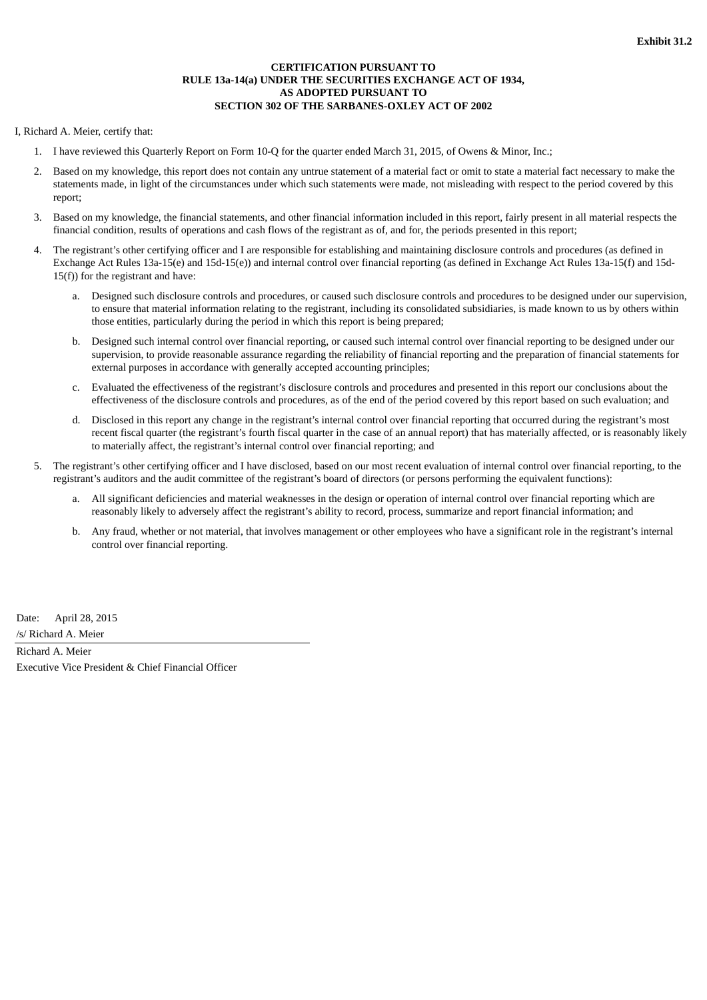### **CERTIFICATION PURSUANT TO RULE 13a-14(a) UNDER THE SECURITIES EXCHANGE ACT OF 1934, AS ADOPTED PURSUANT TO SECTION 302 OF THE SARBANES-OXLEY ACT OF 2002**

#### I, Richard A. Meier, certify that:

- 1. I have reviewed this Quarterly Report on Form 10-Q for the quarter ended March 31, 2015, of Owens & Minor, Inc.;
- 2. Based on my knowledge, this report does not contain any untrue statement of a material fact or omit to state a material fact necessary to make the statements made, in light of the circumstances under which such statements were made, not misleading with respect to the period covered by this report;
- 3. Based on my knowledge, the financial statements, and other financial information included in this report, fairly present in all material respects the financial condition, results of operations and cash flows of the registrant as of, and for, the periods presented in this report;
- 4. The registrant's other certifying officer and I are responsible for establishing and maintaining disclosure controls and procedures (as defined in Exchange Act Rules 13a-15(e) and 15d-15(e)) and internal control over financial reporting (as defined in Exchange Act Rules 13a-15(f) and 15d- $15(f)$ ) for the registrant and have:
	- a. Designed such disclosure controls and procedures, or caused such disclosure controls and procedures to be designed under our supervision, to ensure that material information relating to the registrant, including its consolidated subsidiaries, is made known to us by others within those entities, particularly during the period in which this report is being prepared;
	- b. Designed such internal control over financial reporting, or caused such internal control over financial reporting to be designed under our supervision, to provide reasonable assurance regarding the reliability of financial reporting and the preparation of financial statements for external purposes in accordance with generally accepted accounting principles;
	- c. Evaluated the effectiveness of the registrant's disclosure controls and procedures and presented in this report our conclusions about the effectiveness of the disclosure controls and procedures, as of the end of the period covered by this report based on such evaluation; and
	- d. Disclosed in this report any change in the registrant's internal control over financial reporting that occurred during the registrant's most recent fiscal quarter (the registrant's fourth fiscal quarter in the case of an annual report) that has materially affected, or is reasonably likely to materially affect, the registrant's internal control over financial reporting; and
- 5. The registrant's other certifying officer and I have disclosed, based on our most recent evaluation of internal control over financial reporting, to the registrant's auditors and the audit committee of the registrant's board of directors (or persons performing the equivalent functions):
	- a. All significant deficiencies and material weaknesses in the design or operation of internal control over financial reporting which are reasonably likely to adversely affect the registrant's ability to record, process, summarize and report financial information; and
	- b. Any fraud, whether or not material, that involves management or other employees who have a significant role in the registrant's internal control over financial reporting.

Date: April 28, 2015

/s/ Richard A. Meier

Richard A. Meier Executive Vice President & Chief Financial Officer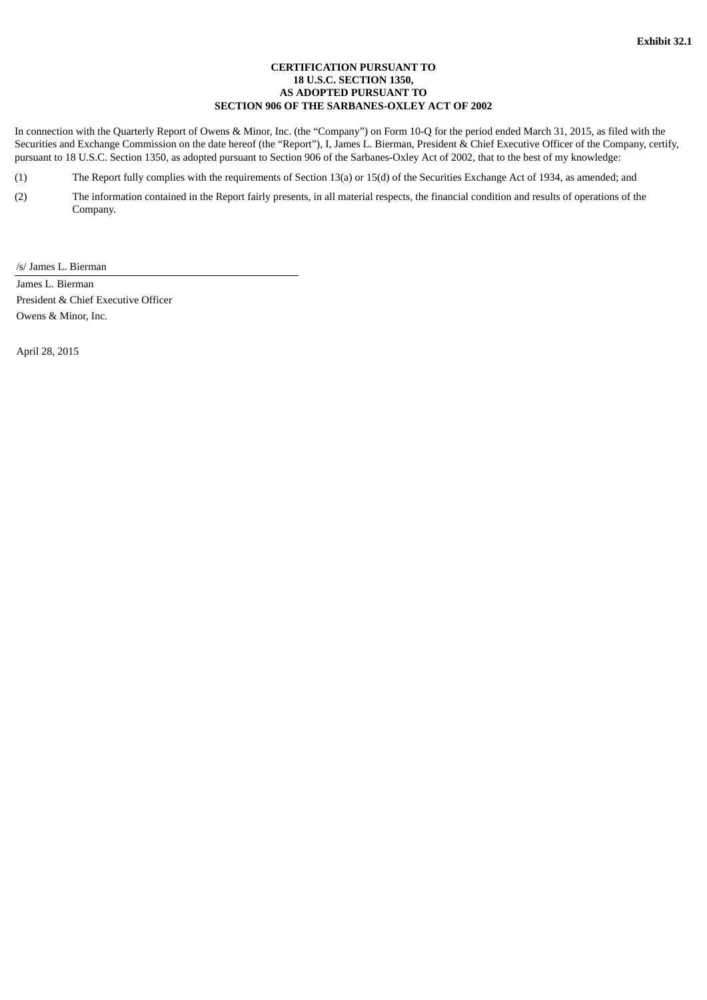### **CERTIFICATION PURSUANT TO 18 U.S.C. SECTION 1350, AS ADOPTED PURSUANT TO SECTION 906 OF THE SARBANES-OXLEY ACT OF 2002**

In connection with the Quarterly Report of Owens & Minor, Inc. (the "Company") on Form 10-Q for the period ended March 31, 2015, as filed with the Securities and Exchange Commission on the date hereof (the "Report"), I, James L. Bierman, President & Chief Executive Officer of the Company, certify, pursuant to 18 U.S.C. Section 1350, as adopted pursuant to Section 906 of the Sarbanes-Oxley Act of 2002, that to the best of my knowledge:

(1) The Report fully complies with the requirements of Section 13(a) or 15(d) of the Securities Exchange Act of 1934, as amended; and

(2) The information contained in the Report fairly presents, in all material respects, the financial condition and results of operations of the Company.

/s/ James L. Bierman

James L. Bierman President & Chief Executive Officer Owens & Minor, Inc.

April 28, 2015